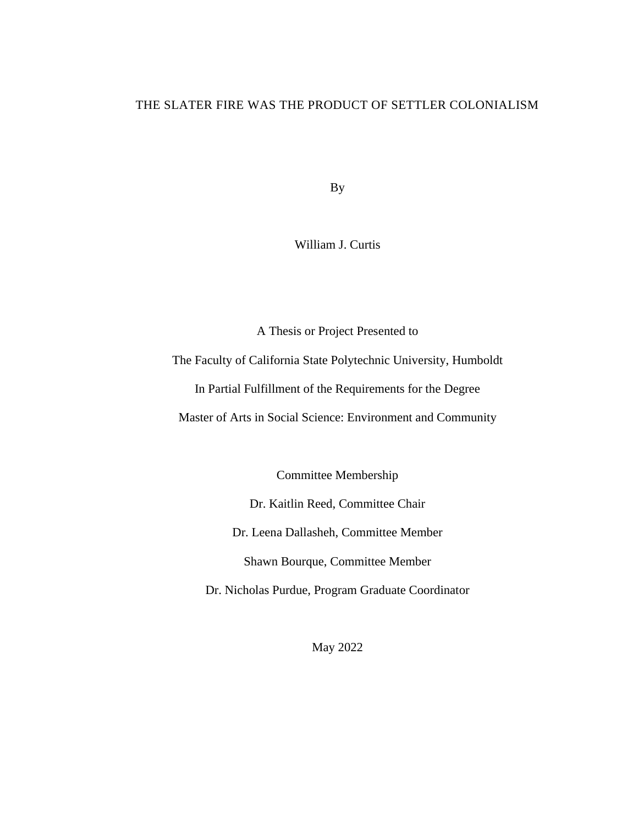### THE SLATER FIRE WAS THE PRODUCT OF SETTLER COLONIALISM

By

William J. Curtis

A Thesis or Project Presented to

The Faculty of California State Polytechnic University, Humboldt In Partial Fulfillment of the Requirements for the Degree Master of Arts in Social Science: Environment and Community

Committee Membership

Dr. Kaitlin Reed, Committee Chair

Dr. Leena Dallasheh, Committee Member

Shawn Bourque, Committee Member

Dr. Nicholas Purdue, Program Graduate Coordinator

May 2022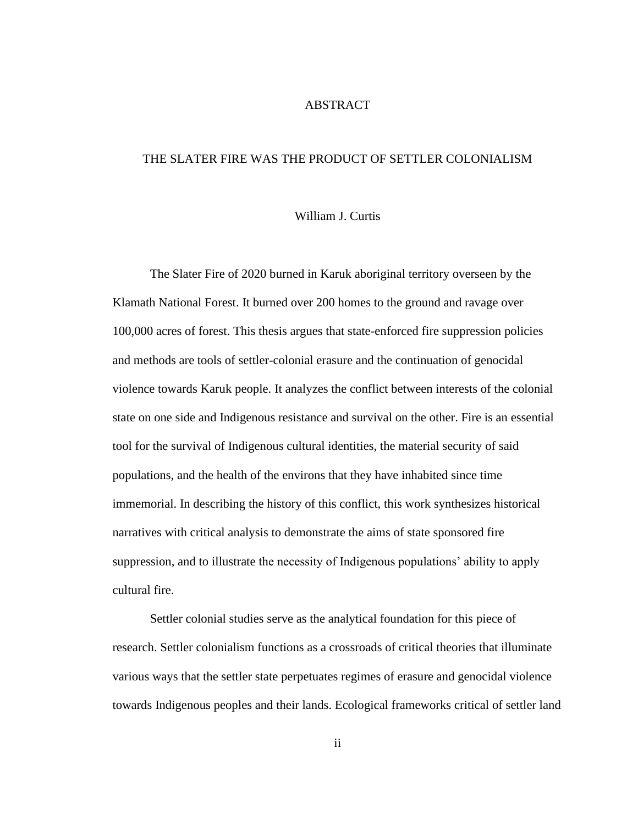### ABSTRACT

### <span id="page-1-0"></span>THE SLATER FIRE WAS THE PRODUCT OF SETTLER COLONIALISM

#### William J. Curtis

The Slater Fire of 2020 burned in Karuk aboriginal territory overseen by the Klamath National Forest. It burned over 200 homes to the ground and ravage over 100,000 acres of forest. This thesis argues that state-enforced fire suppression policies and methods are tools of settler-colonial erasure and the continuation of genocidal violence towards Karuk people. It analyzes the conflict between interests of the colonial state on one side and Indigenous resistance and survival on the other. Fire is an essential tool for the survival of Indigenous cultural identities, the material security of said populations, and the health of the environs that they have inhabited since time immemorial. In describing the history of this conflict, this work synthesizes historical narratives with critical analysis to demonstrate the aims of state sponsored fire suppression, and to illustrate the necessity of Indigenous populations' ability to apply cultural fire.

Settler colonial studies serve as the analytical foundation for this piece of research. Settler colonialism functions as a crossroads of critical theories that illuminate various ways that the settler state perpetuates regimes of erasure and genocidal violence towards Indigenous peoples and their lands. Ecological frameworks critical of settler land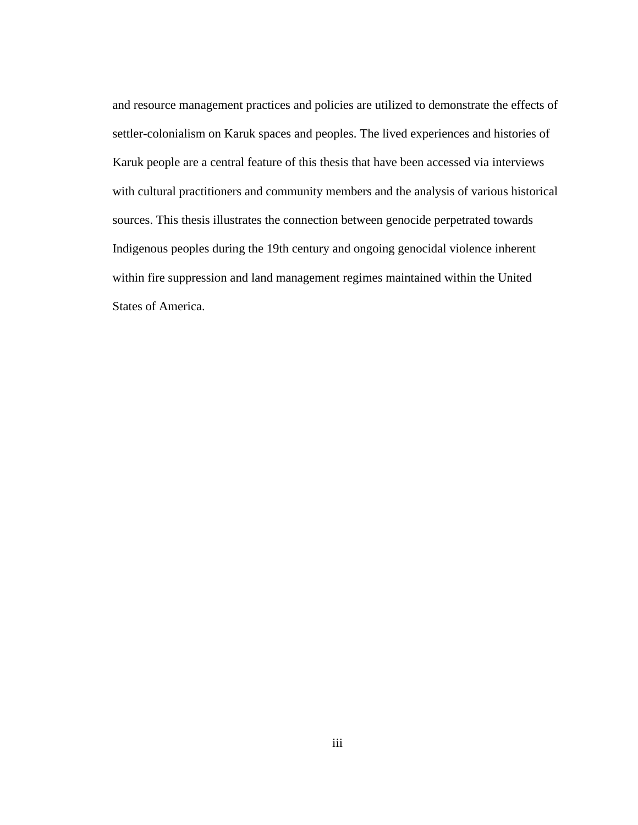and resource management practices and policies are utilized to demonstrate the effects of settler-colonialism on Karuk spaces and peoples. The lived experiences and histories of Karuk people are a central feature of this thesis that have been accessed via interviews with cultural practitioners and community members and the analysis of various historical sources. This thesis illustrates the connection between genocide perpetrated towards Indigenous peoples during the 19th century and ongoing genocidal violence inherent within fire suppression and land management regimes maintained within the United States of America.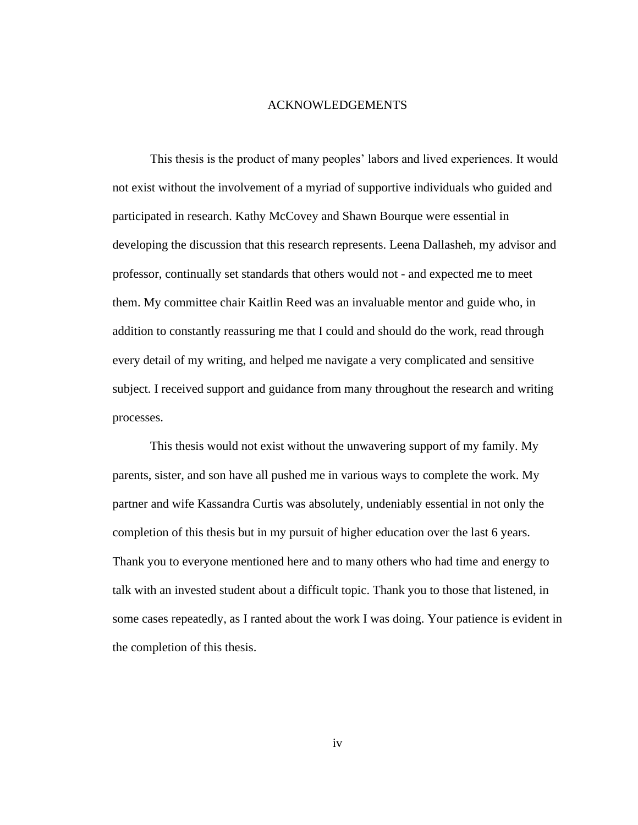#### ACKNOWLEDGEMENTS

<span id="page-3-0"></span>This thesis is the product of many peoples' labors and lived experiences. It would not exist without the involvement of a myriad of supportive individuals who guided and participated in research. Kathy McCovey and Shawn Bourque were essential in developing the discussion that this research represents. Leena Dallasheh, my advisor and professor, continually set standards that others would not - and expected me to meet them. My committee chair Kaitlin Reed was an invaluable mentor and guide who, in addition to constantly reassuring me that I could and should do the work, read through every detail of my writing, and helped me navigate a very complicated and sensitive subject. I received support and guidance from many throughout the research and writing processes.

This thesis would not exist without the unwavering support of my family. My parents, sister, and son have all pushed me in various ways to complete the work. My partner and wife Kassandra Curtis was absolutely, undeniably essential in not only the completion of this thesis but in my pursuit of higher education over the last 6 years. Thank you to everyone mentioned here and to many others who had time and energy to talk with an invested student about a difficult topic. Thank you to those that listened, in some cases repeatedly, as I ranted about the work I was doing. Your patience is evident in the completion of this thesis.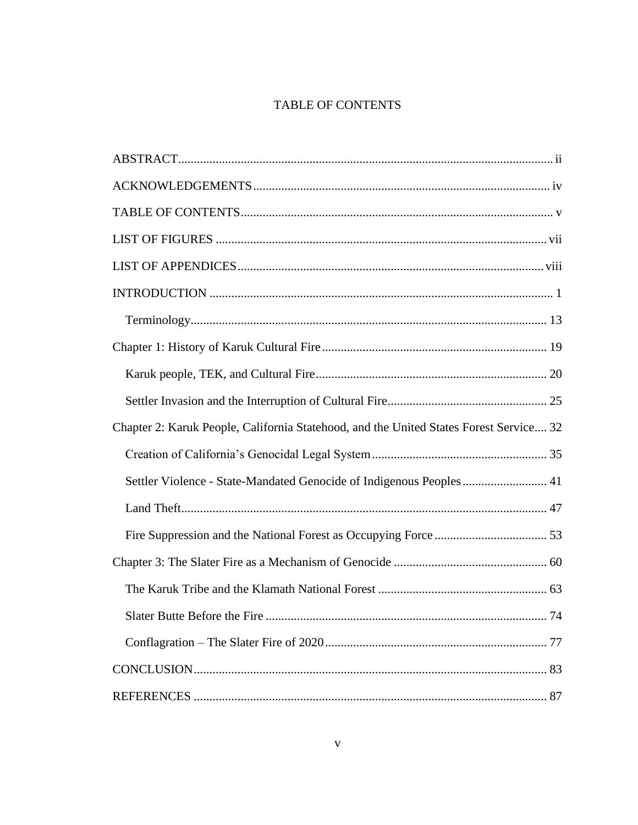### TABLE OF CONTENTS

<span id="page-4-0"></span>

| Chapter 2: Karuk People, California Statehood, and the United States Forest Service 32 |
|----------------------------------------------------------------------------------------|
|                                                                                        |
| Settler Violence - State-Mandated Genocide of Indigenous Peoples  41                   |
|                                                                                        |
|                                                                                        |
|                                                                                        |
|                                                                                        |
|                                                                                        |
|                                                                                        |
|                                                                                        |
|                                                                                        |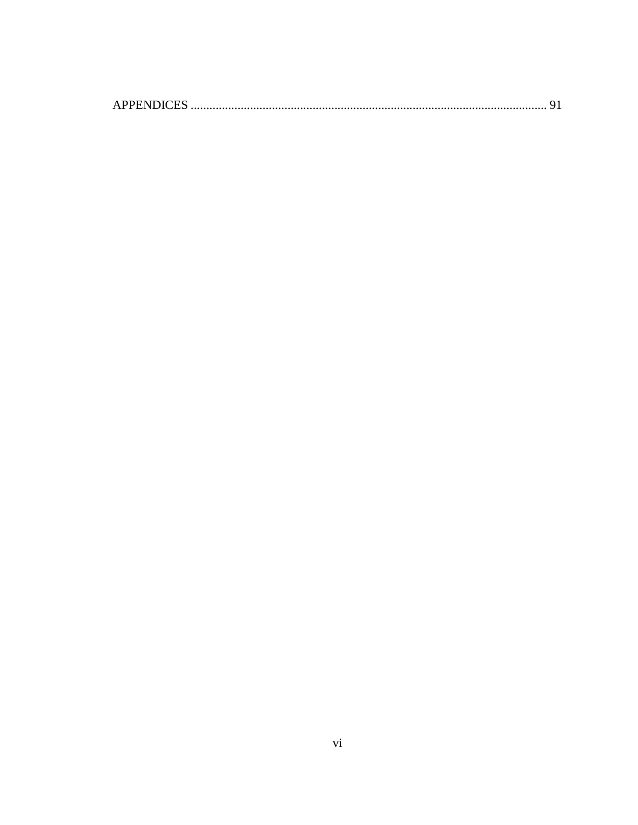|--|--|--|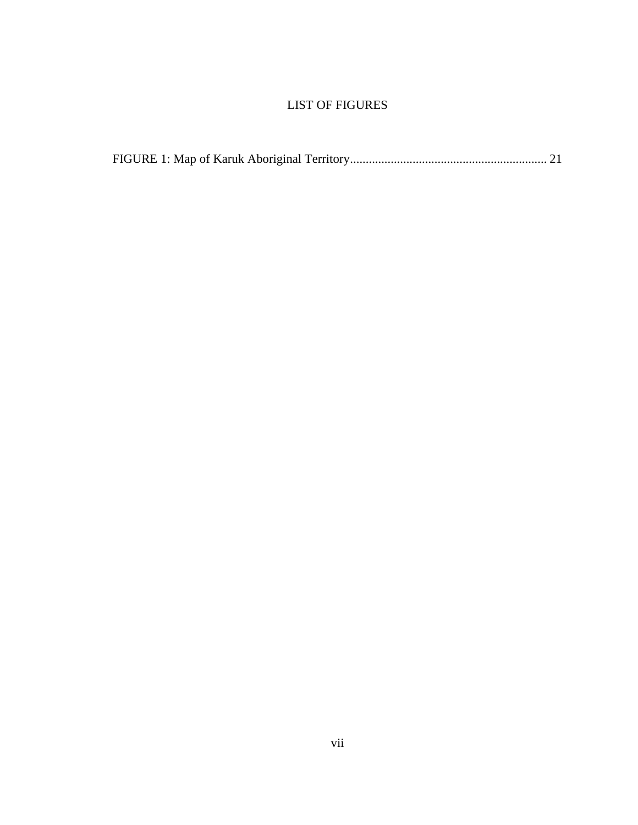## <span id="page-6-0"></span>LIST OF FIGURES

|--|--|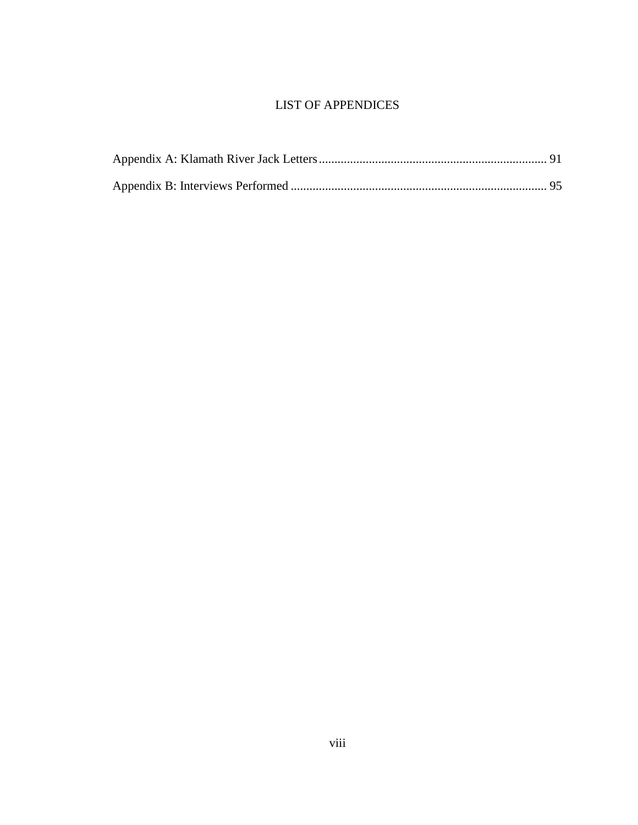## <span id="page-7-0"></span>LIST OF APPENDICES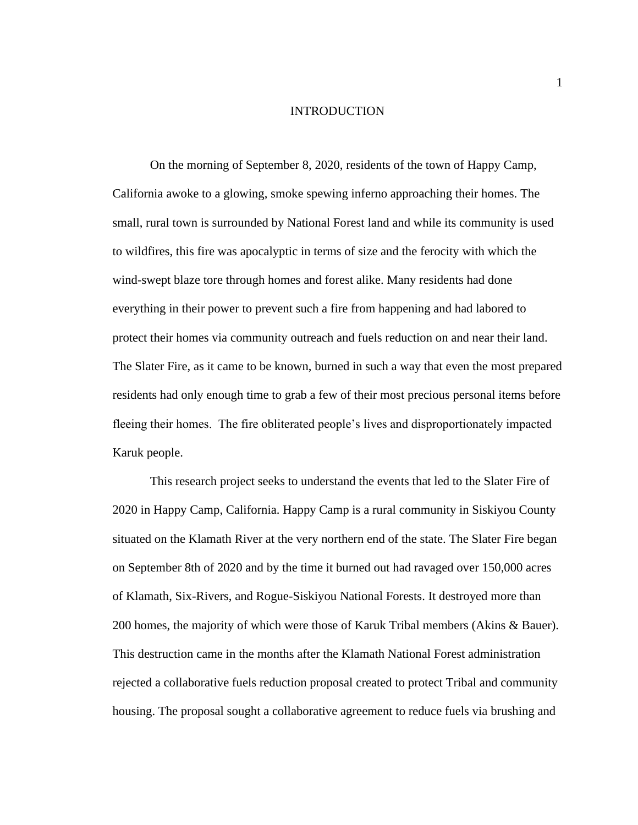### INTRODUCTION

<span id="page-8-0"></span>On the morning of September 8, 2020, residents of the town of Happy Camp, California awoke to a glowing, smoke spewing inferno approaching their homes. The small, rural town is surrounded by National Forest land and while its community is used to wildfires, this fire was apocalyptic in terms of size and the ferocity with which the wind-swept blaze tore through homes and forest alike. Many residents had done everything in their power to prevent such a fire from happening and had labored to protect their homes via community outreach and fuels reduction on and near their land. The Slater Fire, as it came to be known, burned in such a way that even the most prepared residents had only enough time to grab a few of their most precious personal items before fleeing their homes. The fire obliterated people's lives and disproportionately impacted Karuk people.

This research project seeks to understand the events that led to the Slater Fire of 2020 in Happy Camp, California. Happy Camp is a rural community in Siskiyou County situated on the Klamath River at the very northern end of the state. The Slater Fire began on September 8th of 2020 and by the time it burned out had ravaged over 150,000 acres of Klamath, Six-Rivers, and Rogue-Siskiyou National Forests. It destroyed more than 200 homes, the majority of which were those of Karuk Tribal members (Akins & Bauer). This destruction came in the months after the Klamath National Forest administration rejected a collaborative fuels reduction proposal created to protect Tribal and community housing. The proposal sought a collaborative agreement to reduce fuels via brushing and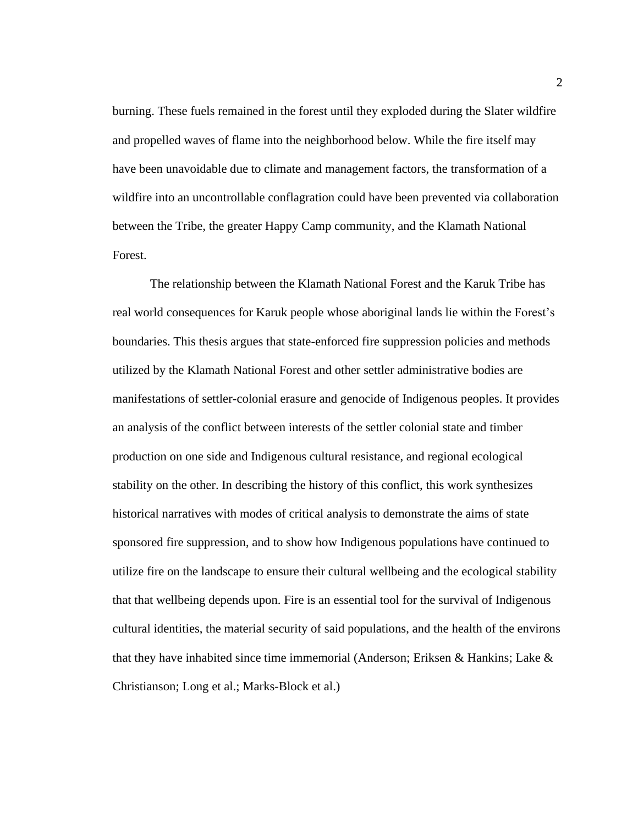burning. These fuels remained in the forest until they exploded during the Slater wildfire and propelled waves of flame into the neighborhood below. While the fire itself may have been unavoidable due to climate and management factors, the transformation of a wildfire into an uncontrollable conflagration could have been prevented via collaboration between the Tribe, the greater Happy Camp community, and the Klamath National Forest.

The relationship between the Klamath National Forest and the Karuk Tribe has real world consequences for Karuk people whose aboriginal lands lie within the Forest's boundaries. This thesis argues that state-enforced fire suppression policies and methods utilized by the Klamath National Forest and other settler administrative bodies are manifestations of settler-colonial erasure and genocide of Indigenous peoples. It provides an analysis of the conflict between interests of the settler colonial state and timber production on one side and Indigenous cultural resistance, and regional ecological stability on the other. In describing the history of this conflict, this work synthesizes historical narratives with modes of critical analysis to demonstrate the aims of state sponsored fire suppression, and to show how Indigenous populations have continued to utilize fire on the landscape to ensure their cultural wellbeing and the ecological stability that that wellbeing depends upon. Fire is an essential tool for the survival of Indigenous cultural identities, the material security of said populations, and the health of the environs that they have inhabited since time immemorial (Anderson; Eriksen & Hankins; Lake  $\&$ Christianson; Long et al.; Marks-Block et al.)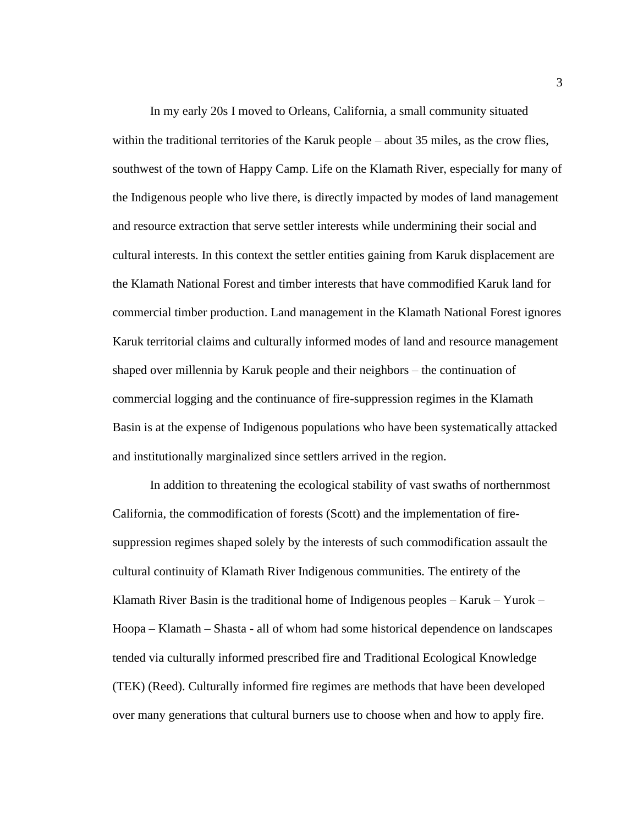In my early 20s I moved to Orleans, California, a small community situated within the traditional territories of the Karuk people – about 35 miles, as the crow flies, southwest of the town of Happy Camp. Life on the Klamath River, especially for many of the Indigenous people who live there, is directly impacted by modes of land management and resource extraction that serve settler interests while undermining their social and cultural interests. In this context the settler entities gaining from Karuk displacement are the Klamath National Forest and timber interests that have commodified Karuk land for commercial timber production. Land management in the Klamath National Forest ignores Karuk territorial claims and culturally informed modes of land and resource management shaped over millennia by Karuk people and their neighbors – the continuation of commercial logging and the continuance of fire-suppression regimes in the Klamath Basin is at the expense of Indigenous populations who have been systematically attacked and institutionally marginalized since settlers arrived in the region.

In addition to threatening the ecological stability of vast swaths of northernmost California, the commodification of forests (Scott) and the implementation of firesuppression regimes shaped solely by the interests of such commodification assault the cultural continuity of Klamath River Indigenous communities. The entirety of the Klamath River Basin is the traditional home of Indigenous peoples  $-$  Karuk – Yurok – Hoopa – Klamath – Shasta - all of whom had some historical dependence on landscapes tended via culturally informed prescribed fire and Traditional Ecological Knowledge (TEK) (Reed). Culturally informed fire regimes are methods that have been developed over many generations that cultural burners use to choose when and how to apply fire.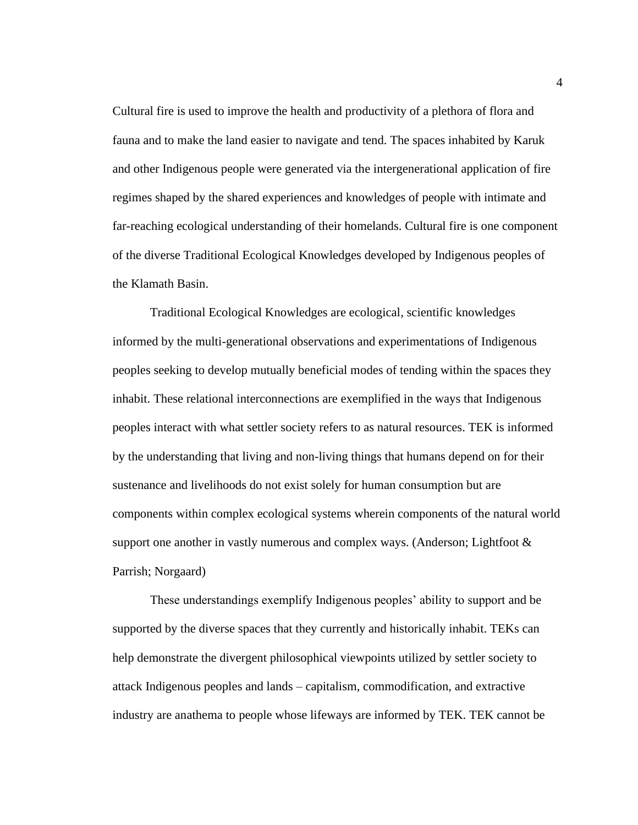Cultural fire is used to improve the health and productivity of a plethora of flora and fauna and to make the land easier to navigate and tend. The spaces inhabited by Karuk and other Indigenous people were generated via the intergenerational application of fire regimes shaped by the shared experiences and knowledges of people with intimate and far-reaching ecological understanding of their homelands. Cultural fire is one component of the diverse Traditional Ecological Knowledges developed by Indigenous peoples of the Klamath Basin.

Traditional Ecological Knowledges are ecological, scientific knowledges informed by the multi-generational observations and experimentations of Indigenous peoples seeking to develop mutually beneficial modes of tending within the spaces they inhabit. These relational interconnections are exemplified in the ways that Indigenous peoples interact with what settler society refers to as natural resources. TEK is informed by the understanding that living and non-living things that humans depend on for their sustenance and livelihoods do not exist solely for human consumption but are components within complex ecological systems wherein components of the natural world support one another in vastly numerous and complex ways. (Anderson; Lightfoot  $\&$ Parrish; Norgaard)

These understandings exemplify Indigenous peoples' ability to support and be supported by the diverse spaces that they currently and historically inhabit. TEKs can help demonstrate the divergent philosophical viewpoints utilized by settler society to attack Indigenous peoples and lands – capitalism, commodification, and extractive industry are anathema to people whose lifeways are informed by TEK. TEK cannot be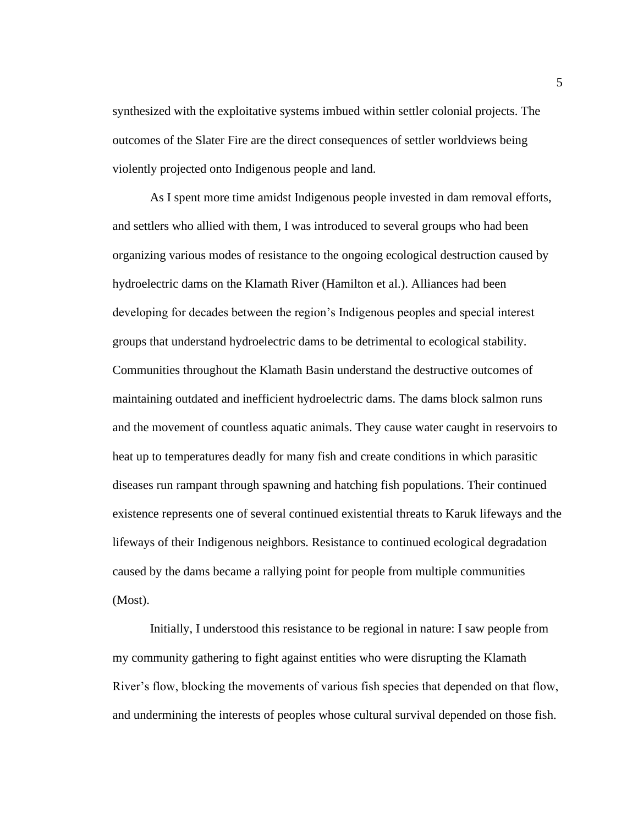synthesized with the exploitative systems imbued within settler colonial projects. The outcomes of the Slater Fire are the direct consequences of settler worldviews being violently projected onto Indigenous people and land.

As I spent more time amidst Indigenous people invested in dam removal efforts, and settlers who allied with them, I was introduced to several groups who had been organizing various modes of resistance to the ongoing ecological destruction caused by hydroelectric dams on the Klamath River (Hamilton et al.). Alliances had been developing for decades between the region's Indigenous peoples and special interest groups that understand hydroelectric dams to be detrimental to ecological stability. Communities throughout the Klamath Basin understand the destructive outcomes of maintaining outdated and inefficient hydroelectric dams. The dams block salmon runs and the movement of countless aquatic animals. They cause water caught in reservoirs to heat up to temperatures deadly for many fish and create conditions in which parasitic diseases run rampant through spawning and hatching fish populations. Their continued existence represents one of several continued existential threats to Karuk lifeways and the lifeways of their Indigenous neighbors. Resistance to continued ecological degradation caused by the dams became a rallying point for people from multiple communities (Most).

Initially, I understood this resistance to be regional in nature: I saw people from my community gathering to fight against entities who were disrupting the Klamath River's flow, blocking the movements of various fish species that depended on that flow, and undermining the interests of peoples whose cultural survival depended on those fish.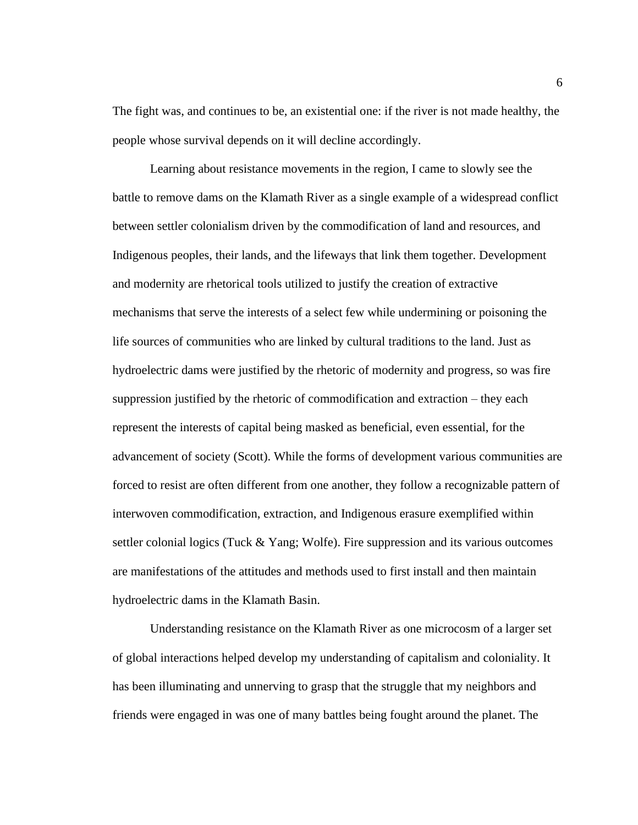The fight was, and continues to be, an existential one: if the river is not made healthy, the people whose survival depends on it will decline accordingly.

Learning about resistance movements in the region, I came to slowly see the battle to remove dams on the Klamath River as a single example of a widespread conflict between settler colonialism driven by the commodification of land and resources, and Indigenous peoples, their lands, and the lifeways that link them together. Development and modernity are rhetorical tools utilized to justify the creation of extractive mechanisms that serve the interests of a select few while undermining or poisoning the life sources of communities who are linked by cultural traditions to the land. Just as hydroelectric dams were justified by the rhetoric of modernity and progress, so was fire suppression justified by the rhetoric of commodification and extraction – they each represent the interests of capital being masked as beneficial, even essential, for the advancement of society (Scott). While the forms of development various communities are forced to resist are often different from one another, they follow a recognizable pattern of interwoven commodification, extraction, and Indigenous erasure exemplified within settler colonial logics (Tuck  $& Yang$ ; Wolfe). Fire suppression and its various outcomes are manifestations of the attitudes and methods used to first install and then maintain hydroelectric dams in the Klamath Basin.

Understanding resistance on the Klamath River as one microcosm of a larger set of global interactions helped develop my understanding of capitalism and coloniality. It has been illuminating and unnerving to grasp that the struggle that my neighbors and friends were engaged in was one of many battles being fought around the planet. The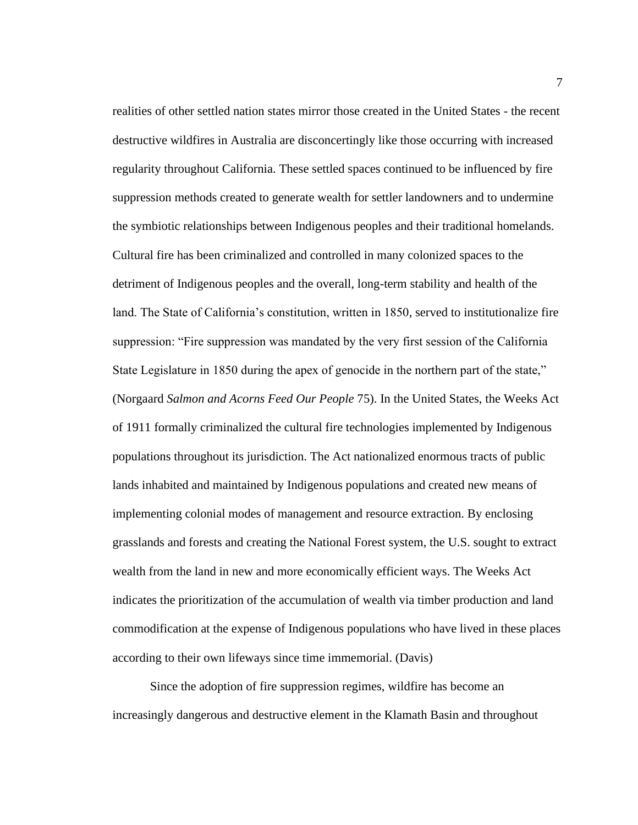realities of other settled nation states mirror those created in the United States - the recent destructive wildfires in Australia are disconcertingly like those occurring with increased regularity throughout California. These settled spaces continued to be influenced by fire suppression methods created to generate wealth for settler landowners and to undermine the symbiotic relationships between Indigenous peoples and their traditional homelands. Cultural fire has been criminalized and controlled in many colonized spaces to the detriment of Indigenous peoples and the overall, long-term stability and health of the land. The State of California's constitution, written in 1850, served to institutionalize fire suppression: "Fire suppression was mandated by the very first session of the California State Legislature in 1850 during the apex of genocide in the northern part of the state," (Norgaard *Salmon and Acorns Feed Our People* 75). In the United States, the Weeks Act of 1911 formally criminalized the cultural fire technologies implemented by Indigenous populations throughout its jurisdiction. The Act nationalized enormous tracts of public lands inhabited and maintained by Indigenous populations and created new means of implementing colonial modes of management and resource extraction. By enclosing grasslands and forests and creating the National Forest system, the U.S. sought to extract wealth from the land in new and more economically efficient ways. The Weeks Act indicates the prioritization of the accumulation of wealth via timber production and land commodification at the expense of Indigenous populations who have lived in these places according to their own lifeways since time immemorial. (Davis)

Since the adoption of fire suppression regimes, wildfire has become an increasingly dangerous and destructive element in the Klamath Basin and throughout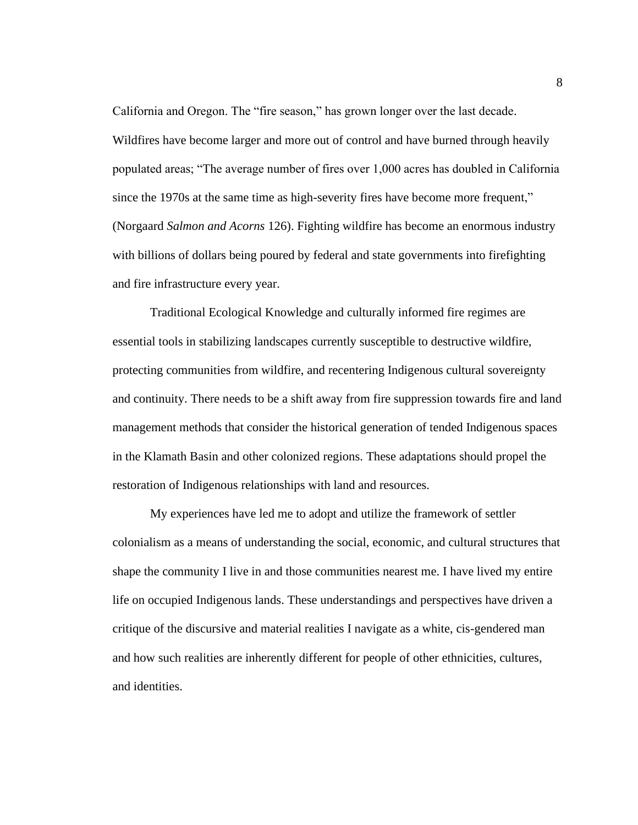California and Oregon. The "fire season," has grown longer over the last decade. Wildfires have become larger and more out of control and have burned through heavily populated areas; "The average number of fires over 1,000 acres has doubled in California since the 1970s at the same time as high-severity fires have become more frequent," (Norgaard *Salmon and Acorns* 126). Fighting wildfire has become an enormous industry with billions of dollars being poured by federal and state governments into firefighting and fire infrastructure every year.

Traditional Ecological Knowledge and culturally informed fire regimes are essential tools in stabilizing landscapes currently susceptible to destructive wildfire, protecting communities from wildfire, and recentering Indigenous cultural sovereignty and continuity. There needs to be a shift away from fire suppression towards fire and land management methods that consider the historical generation of tended Indigenous spaces in the Klamath Basin and other colonized regions. These adaptations should propel the restoration of Indigenous relationships with land and resources.

My experiences have led me to adopt and utilize the framework of settler colonialism as a means of understanding the social, economic, and cultural structures that shape the community I live in and those communities nearest me. I have lived my entire life on occupied Indigenous lands. These understandings and perspectives have driven a critique of the discursive and material realities I navigate as a white, cis-gendered man and how such realities are inherently different for people of other ethnicities, cultures, and identities.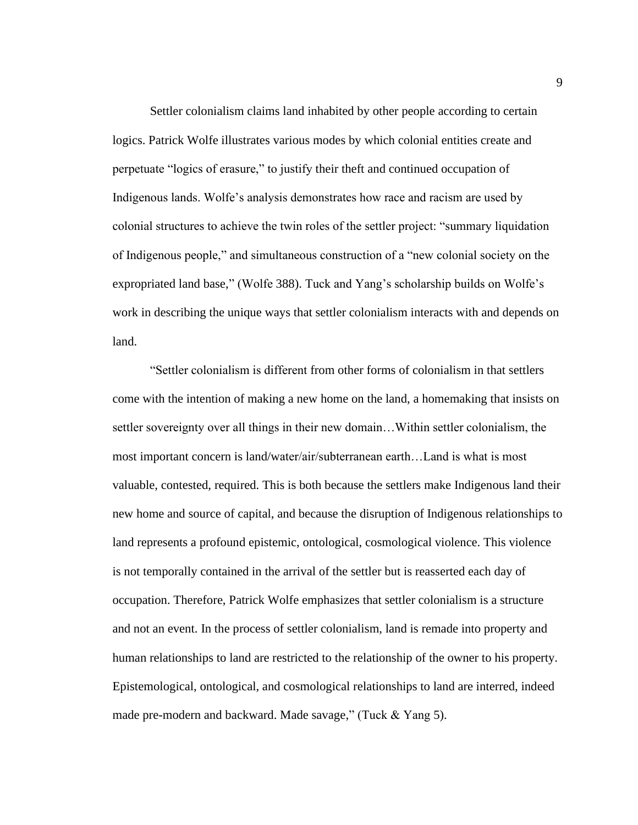Settler colonialism claims land inhabited by other people according to certain logics. Patrick Wolfe illustrates various modes by which colonial entities create and perpetuate "logics of erasure," to justify their theft and continued occupation of Indigenous lands. Wolfe's analysis demonstrates how race and racism are used by colonial structures to achieve the twin roles of the settler project: "summary liquidation of Indigenous people," and simultaneous construction of a "new colonial society on the expropriated land base," (Wolfe 388). Tuck and Yang's scholarship builds on Wolfe's work in describing the unique ways that settler colonialism interacts with and depends on land.

"Settler colonialism is different from other forms of colonialism in that settlers come with the intention of making a new home on the land, a homemaking that insists on settler sovereignty over all things in their new domain…Within settler colonialism, the most important concern is land/water/air/subterranean earth…Land is what is most valuable, contested, required. This is both because the settlers make Indigenous land their new home and source of capital, and because the disruption of Indigenous relationships to land represents a profound epistemic, ontological, cosmological violence. This violence is not temporally contained in the arrival of the settler but is reasserted each day of occupation. Therefore, Patrick Wolfe emphasizes that settler colonialism is a structure and not an event. In the process of settler colonialism, land is remade into property and human relationships to land are restricted to the relationship of the owner to his property. Epistemological, ontological, and cosmological relationships to land are interred, indeed made pre-modern and backward. Made savage," (Tuck & Yang 5).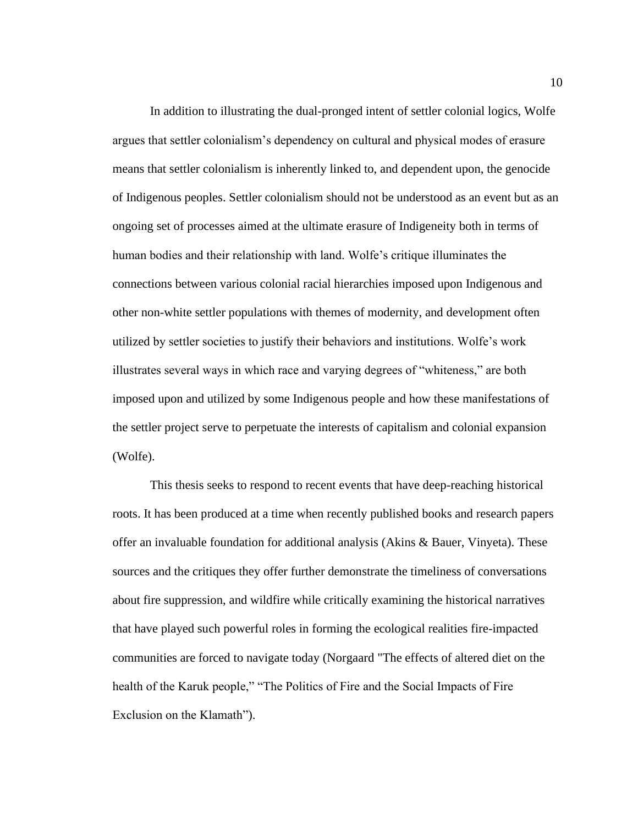In addition to illustrating the dual-pronged intent of settler colonial logics, Wolfe argues that settler colonialism's dependency on cultural and physical modes of erasure means that settler colonialism is inherently linked to, and dependent upon, the genocide of Indigenous peoples. Settler colonialism should not be understood as an event but as an ongoing set of processes aimed at the ultimate erasure of Indigeneity both in terms of human bodies and their relationship with land. Wolfe's critique illuminates the connections between various colonial racial hierarchies imposed upon Indigenous and other non-white settler populations with themes of modernity, and development often utilized by settler societies to justify their behaviors and institutions. Wolfe's work illustrates several ways in which race and varying degrees of "whiteness," are both imposed upon and utilized by some Indigenous people and how these manifestations of the settler project serve to perpetuate the interests of capitalism and colonial expansion (Wolfe).

This thesis seeks to respond to recent events that have deep-reaching historical roots. It has been produced at a time when recently published books and research papers offer an invaluable foundation for additional analysis (Akins & Bauer, Vinyeta). These sources and the critiques they offer further demonstrate the timeliness of conversations about fire suppression, and wildfire while critically examining the historical narratives that have played such powerful roles in forming the ecological realities fire-impacted communities are forced to navigate today (Norgaard "The effects of altered diet on the health of the Karuk people," "The Politics of Fire and the Social Impacts of Fire Exclusion on the Klamath").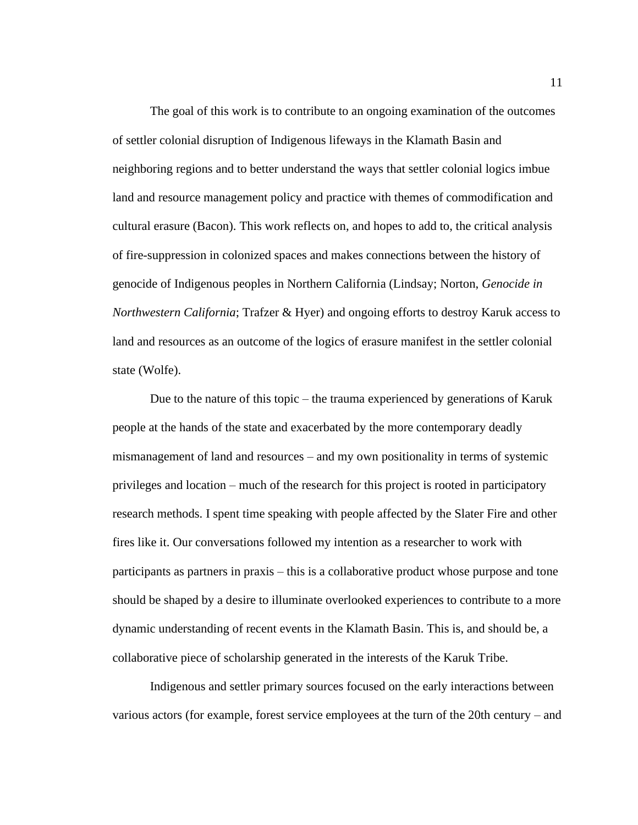The goal of this work is to contribute to an ongoing examination of the outcomes of settler colonial disruption of Indigenous lifeways in the Klamath Basin and neighboring regions and to better understand the ways that settler colonial logics imbue land and resource management policy and practice with themes of commodification and cultural erasure (Bacon). This work reflects on, and hopes to add to, the critical analysis of fire-suppression in colonized spaces and makes connections between the history of genocide of Indigenous peoples in Northern California (Lindsay; Norton, *Genocide in Northwestern California*; Trafzer & Hyer) and ongoing efforts to destroy Karuk access to land and resources as an outcome of the logics of erasure manifest in the settler colonial state (Wolfe).

Due to the nature of this topic – the trauma experienced by generations of Karuk people at the hands of the state and exacerbated by the more contemporary deadly mismanagement of land and resources – and my own positionality in terms of systemic privileges and location – much of the research for this project is rooted in participatory research methods. I spent time speaking with people affected by the Slater Fire and other fires like it. Our conversations followed my intention as a researcher to work with participants as partners in praxis – this is a collaborative product whose purpose and tone should be shaped by a desire to illuminate overlooked experiences to contribute to a more dynamic understanding of recent events in the Klamath Basin. This is, and should be, a collaborative piece of scholarship generated in the interests of the Karuk Tribe.

Indigenous and settler primary sources focused on the early interactions between various actors (for example, forest service employees at the turn of the 20th century – and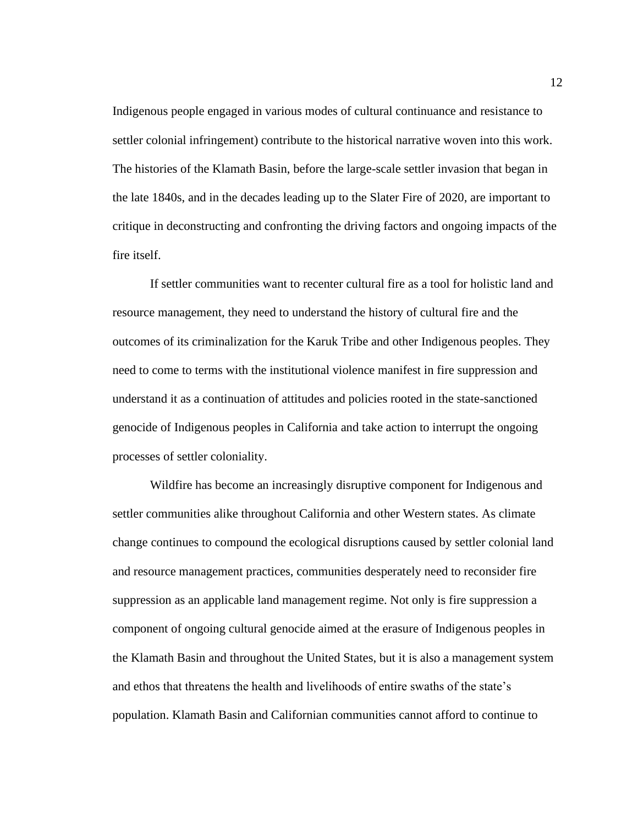Indigenous people engaged in various modes of cultural continuance and resistance to settler colonial infringement) contribute to the historical narrative woven into this work. The histories of the Klamath Basin, before the large-scale settler invasion that began in the late 1840s, and in the decades leading up to the Slater Fire of 2020, are important to critique in deconstructing and confronting the driving factors and ongoing impacts of the fire itself.

If settler communities want to recenter cultural fire as a tool for holistic land and resource management, they need to understand the history of cultural fire and the outcomes of its criminalization for the Karuk Tribe and other Indigenous peoples. They need to come to terms with the institutional violence manifest in fire suppression and understand it as a continuation of attitudes and policies rooted in the state-sanctioned genocide of Indigenous peoples in California and take action to interrupt the ongoing processes of settler coloniality.

Wildfire has become an increasingly disruptive component for Indigenous and settler communities alike throughout California and other Western states. As climate change continues to compound the ecological disruptions caused by settler colonial land and resource management practices, communities desperately need to reconsider fire suppression as an applicable land management regime. Not only is fire suppression a component of ongoing cultural genocide aimed at the erasure of Indigenous peoples in the Klamath Basin and throughout the United States, but it is also a management system and ethos that threatens the health and livelihoods of entire swaths of the state's population. Klamath Basin and Californian communities cannot afford to continue to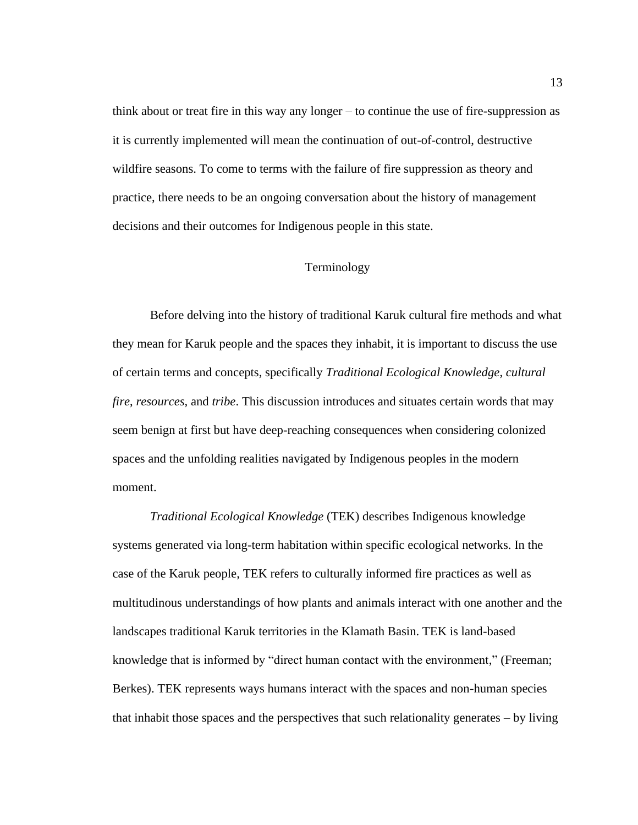think about or treat fire in this way any longer – to continue the use of fire-suppression as it is currently implemented will mean the continuation of out-of-control, destructive wildfire seasons. To come to terms with the failure of fire suppression as theory and practice, there needs to be an ongoing conversation about the history of management decisions and their outcomes for Indigenous people in this state.

### Terminology

<span id="page-20-0"></span>Before delving into the history of traditional Karuk cultural fire methods and what they mean for Karuk people and the spaces they inhabit, it is important to discuss the use of certain terms and concepts, specifically *Traditional Ecological Knowledge*, *cultural fire*, *resources,* and *tribe*. This discussion introduces and situates certain words that may seem benign at first but have deep-reaching consequences when considering colonized spaces and the unfolding realities navigated by Indigenous peoples in the modern moment.

*Traditional Ecological Knowledge* (TEK) describes Indigenous knowledge systems generated via long-term habitation within specific ecological networks. In the case of the Karuk people, TEK refers to culturally informed fire practices as well as multitudinous understandings of how plants and animals interact with one another and the landscapes traditional Karuk territories in the Klamath Basin. TEK is land-based knowledge that is informed by "direct human contact with the environment," (Freeman; Berkes). TEK represents ways humans interact with the spaces and non-human species that inhabit those spaces and the perspectives that such relationality generates – by living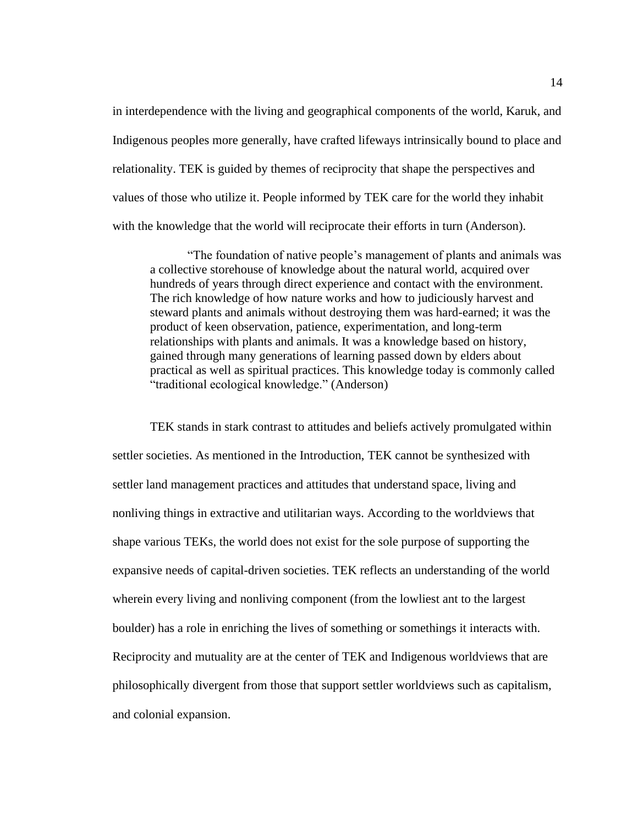in interdependence with the living and geographical components of the world, Karuk, and Indigenous peoples more generally, have crafted lifeways intrinsically bound to place and relationality. TEK is guided by themes of reciprocity that shape the perspectives and values of those who utilize it. People informed by TEK care for the world they inhabit with the knowledge that the world will reciprocate their efforts in turn (Anderson).

"The foundation of native people's management of plants and animals was a collective storehouse of knowledge about the natural world, acquired over hundreds of years through direct experience and contact with the environment. The rich knowledge of how nature works and how to judiciously harvest and steward plants and animals without destroying them was hard-earned; it was the product of keen observation, patience, experimentation, and long-term relationships with plants and animals. It was a knowledge based on history, gained through many generations of learning passed down by elders about practical as well as spiritual practices. This knowledge today is commonly called "traditional ecological knowledge." (Anderson)

TEK stands in stark contrast to attitudes and beliefs actively promulgated within settler societies. As mentioned in the Introduction, TEK cannot be synthesized with settler land management practices and attitudes that understand space, living and nonliving things in extractive and utilitarian ways. According to the worldviews that shape various TEKs, the world does not exist for the sole purpose of supporting the expansive needs of capital-driven societies. TEK reflects an understanding of the world wherein every living and nonliving component (from the lowliest ant to the largest boulder) has a role in enriching the lives of something or somethings it interacts with. Reciprocity and mutuality are at the center of TEK and Indigenous worldviews that are philosophically divergent from those that support settler worldviews such as capitalism, and colonial expansion.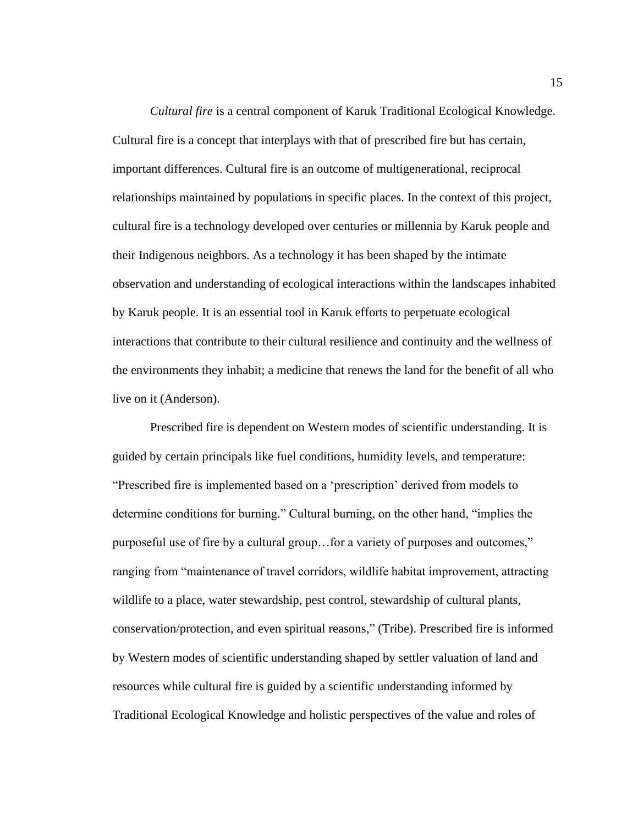*Cultural fire* is a central component of Karuk Traditional Ecological Knowledge. Cultural fire is a concept that interplays with that of prescribed fire but has certain, important differences. Cultural fire is an outcome of multigenerational, reciprocal relationships maintained by populations in specific places. In the context of this project, cultural fire is a technology developed over centuries or millennia by Karuk people and their Indigenous neighbors. As a technology it has been shaped by the intimate observation and understanding of ecological interactions within the landscapes inhabited by Karuk people. It is an essential tool in Karuk efforts to perpetuate ecological interactions that contribute to their cultural resilience and continuity and the wellness of the environments they inhabit; a medicine that renews the land for the benefit of all who live on it (Anderson).

Prescribed fire is dependent on Western modes of scientific understanding. It is guided by certain principals like fuel conditions, humidity levels, and temperature: "Prescribed fire is implemented based on a 'prescription' derived from models to determine conditions for burning." Cultural burning, on the other hand, "implies the purposeful use of fire by a cultural group…for a variety of purposes and outcomes," ranging from "maintenance of travel corridors, wildlife habitat improvement, attracting wildlife to a place, water stewardship, pest control, stewardship of cultural plants, conservation/protection, and even spiritual reasons," (Tribe). Prescribed fire is informed by Western modes of scientific understanding shaped by settler valuation of land and resources while cultural fire is guided by a scientific understanding informed by Traditional Ecological Knowledge and holistic perspectives of the value and roles of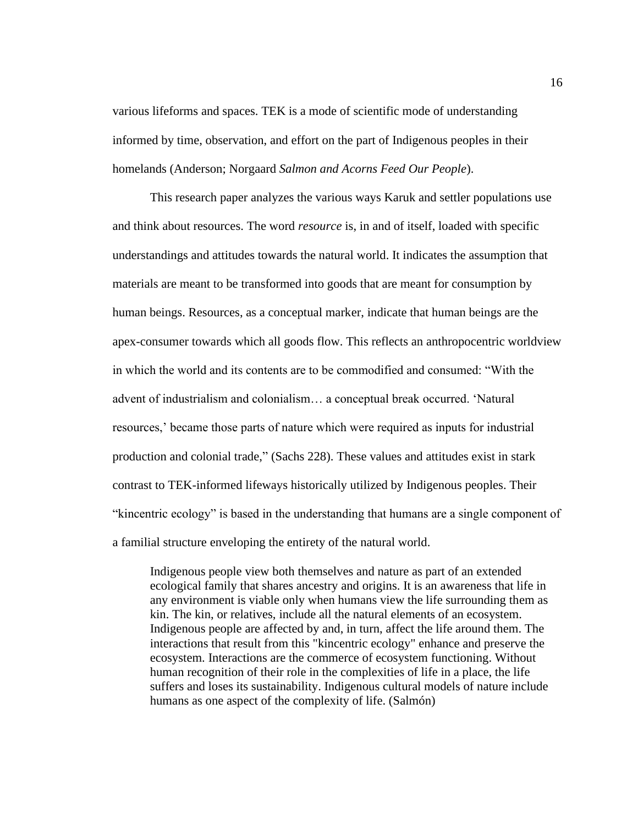various lifeforms and spaces. TEK is a mode of scientific mode of understanding informed by time, observation, and effort on the part of Indigenous peoples in their homelands (Anderson; Norgaard *Salmon and Acorns Feed Our People*).

This research paper analyzes the various ways Karuk and settler populations use and think about resources. The word *resource* is, in and of itself, loaded with specific understandings and attitudes towards the natural world. It indicates the assumption that materials are meant to be transformed into goods that are meant for consumption by human beings. Resources, as a conceptual marker, indicate that human beings are the apex-consumer towards which all goods flow. This reflects an anthropocentric worldview in which the world and its contents are to be commodified and consumed: "With the advent of industrialism and colonialism… a conceptual break occurred. 'Natural resources,' became those parts of nature which were required as inputs for industrial production and colonial trade," (Sachs 228). These values and attitudes exist in stark contrast to TEK-informed lifeways historically utilized by Indigenous peoples. Their "kincentric ecology" is based in the understanding that humans are a single component of a familial structure enveloping the entirety of the natural world.

Indigenous people view both themselves and nature as part of an extended ecological family that shares ancestry and origins. It is an awareness that life in any environment is viable only when humans view the life surrounding them as kin. The kin, or relatives, include all the natural elements of an ecosystem. Indigenous people are affected by and, in turn, affect the life around them. The interactions that result from this "kincentric ecology" enhance and preserve the ecosystem. Interactions are the commerce of ecosystem functioning. Without human recognition of their role in the complexities of life in a place, the life suffers and loses its sustainability. Indigenous cultural models of nature include humans as one aspect of the complexity of life. (Salmón)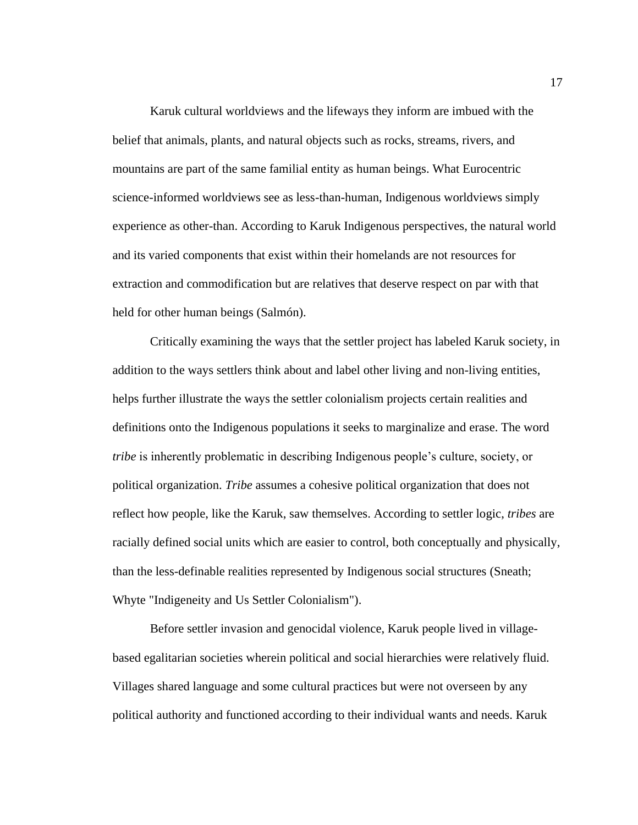Karuk cultural worldviews and the lifeways they inform are imbued with the belief that animals, plants, and natural objects such as rocks, streams, rivers, and mountains are part of the same familial entity as human beings. What Eurocentric science-informed worldviews see as less-than-human, Indigenous worldviews simply experience as other-than. According to Karuk Indigenous perspectives, the natural world and its varied components that exist within their homelands are not resources for extraction and commodification but are relatives that deserve respect on par with that held for other human beings (Salmón).

Critically examining the ways that the settler project has labeled Karuk society, in addition to the ways settlers think about and label other living and non-living entities, helps further illustrate the ways the settler colonialism projects certain realities and definitions onto the Indigenous populations it seeks to marginalize and erase. The word *tribe* is inherently problematic in describing Indigenous people's culture, society, or political organization. *Tribe* assumes a cohesive political organization that does not reflect how people, like the Karuk, saw themselves. According to settler logic, *tribes* are racially defined social units which are easier to control, both conceptually and physically, than the less-definable realities represented by Indigenous social structures (Sneath; Whyte "Indigeneity and Us Settler Colonialism").

Before settler invasion and genocidal violence, Karuk people lived in villagebased egalitarian societies wherein political and social hierarchies were relatively fluid. Villages shared language and some cultural practices but were not overseen by any political authority and functioned according to their individual wants and needs. Karuk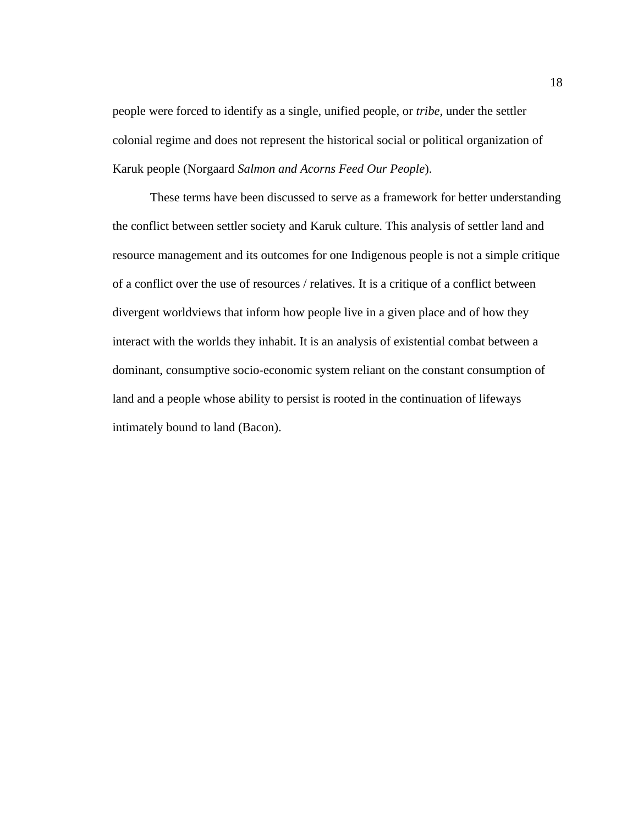people were forced to identify as a single, unified people, or *tribe,* under the settler colonial regime and does not represent the historical social or political organization of Karuk people (Norgaard *Salmon and Acorns Feed Our People*).

These terms have been discussed to serve as a framework for better understanding the conflict between settler society and Karuk culture. This analysis of settler land and resource management and its outcomes for one Indigenous people is not a simple critique of a conflict over the use of resources / relatives. It is a critique of a conflict between divergent worldviews that inform how people live in a given place and of how they interact with the worlds they inhabit. It is an analysis of existential combat between a dominant, consumptive socio-economic system reliant on the constant consumption of land and a people whose ability to persist is rooted in the continuation of lifeways intimately bound to land (Bacon).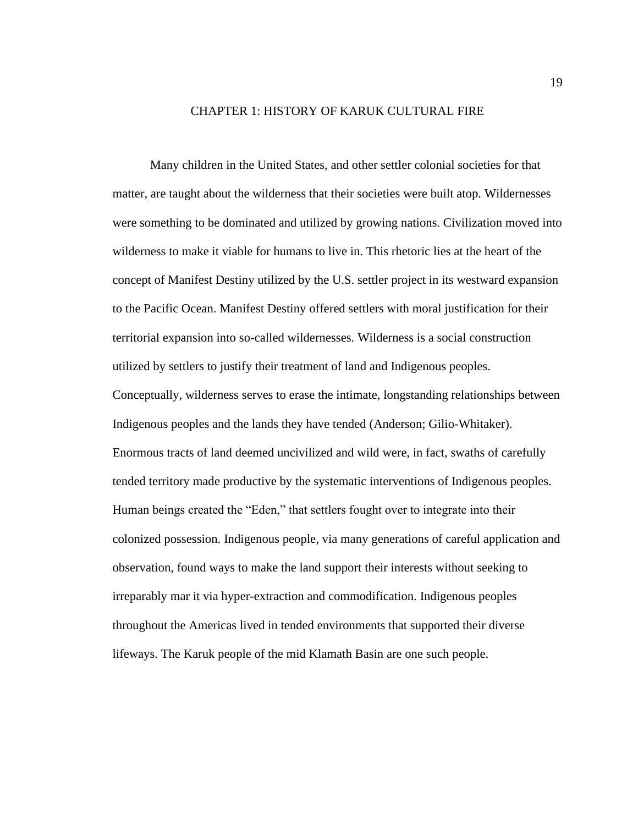#### CHAPTER 1: HISTORY OF KARUK CULTURAL FIRE

<span id="page-26-0"></span>Many children in the United States, and other settler colonial societies for that matter, are taught about the wilderness that their societies were built atop. Wildernesses were something to be dominated and utilized by growing nations. Civilization moved into wilderness to make it viable for humans to live in. This rhetoric lies at the heart of the concept of Manifest Destiny utilized by the U.S. settler project in its westward expansion to the Pacific Ocean. Manifest Destiny offered settlers with moral justification for their territorial expansion into so-called wildernesses. Wilderness is a social construction utilized by settlers to justify their treatment of land and Indigenous peoples. Conceptually, wilderness serves to erase the intimate, longstanding relationships between Indigenous peoples and the lands they have tended (Anderson; Gilio-Whitaker). Enormous tracts of land deemed uncivilized and wild were, in fact, swaths of carefully tended territory made productive by the systematic interventions of Indigenous peoples. Human beings created the "Eden," that settlers fought over to integrate into their colonized possession. Indigenous people, via many generations of careful application and observation, found ways to make the land support their interests without seeking to irreparably mar it via hyper-extraction and commodification. Indigenous peoples throughout the Americas lived in tended environments that supported their diverse lifeways. The Karuk people of the mid Klamath Basin are one such people.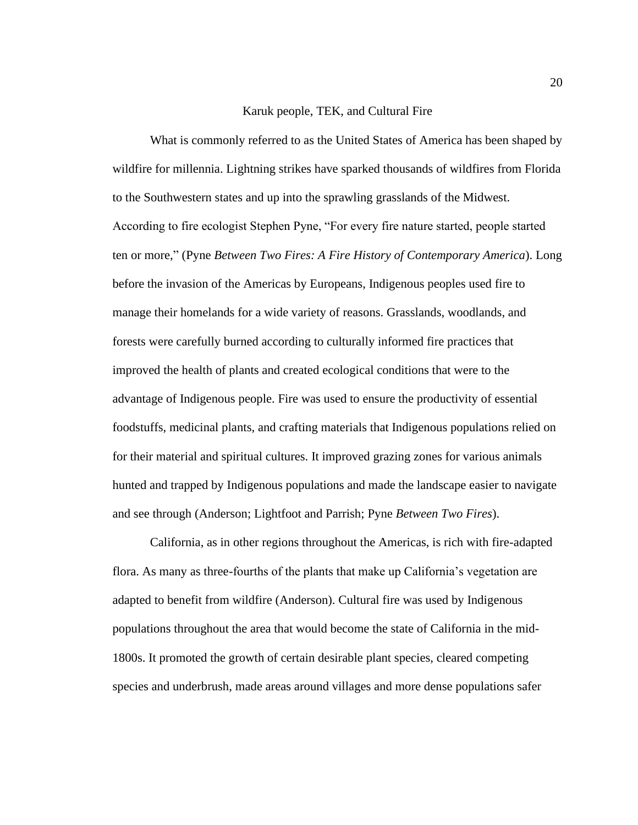### Karuk people, TEK, and Cultural Fire

<span id="page-27-0"></span>What is commonly referred to as the United States of America has been shaped by wildfire for millennia. Lightning strikes have sparked thousands of wildfires from Florida to the Southwestern states and up into the sprawling grasslands of the Midwest. According to fire ecologist Stephen Pyne, "For every fire nature started, people started ten or more," (Pyne *Between Two Fires: A Fire History of Contemporary America*). Long before the invasion of the Americas by Europeans, Indigenous peoples used fire to manage their homelands for a wide variety of reasons. Grasslands, woodlands, and forests were carefully burned according to culturally informed fire practices that improved the health of plants and created ecological conditions that were to the advantage of Indigenous people. Fire was used to ensure the productivity of essential foodstuffs, medicinal plants, and crafting materials that Indigenous populations relied on for their material and spiritual cultures. It improved grazing zones for various animals hunted and trapped by Indigenous populations and made the landscape easier to navigate and see through (Anderson; Lightfoot and Parrish; Pyne *Between Two Fires*).

California, as in other regions throughout the Americas, is rich with fire-adapted flora. As many as three-fourths of the plants that make up California's vegetation are adapted to benefit from wildfire (Anderson). Cultural fire was used by Indigenous populations throughout the area that would become the state of California in the mid-1800s. It promoted the growth of certain desirable plant species, cleared competing species and underbrush, made areas around villages and more dense populations safer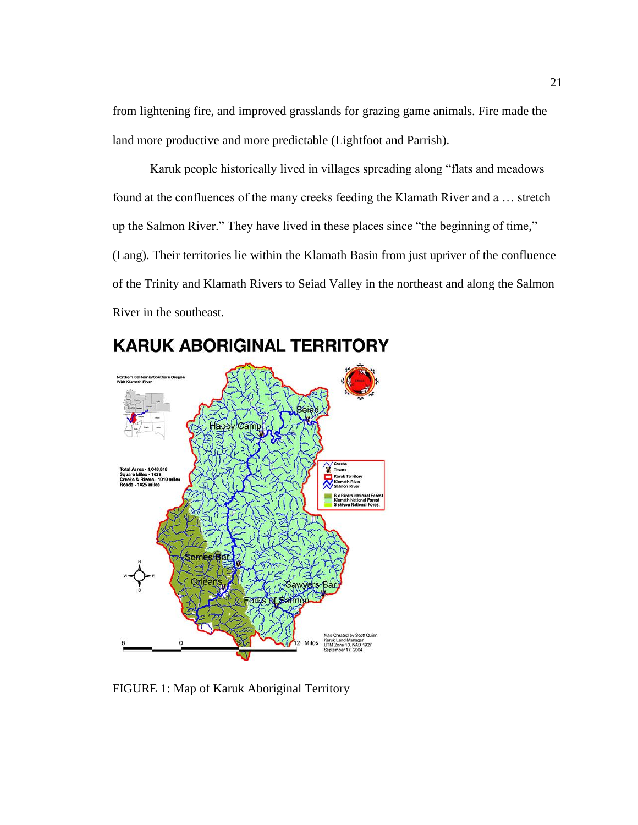from lightening fire, and improved grasslands for grazing game animals. Fire made the land more productive and more predictable (Lightfoot and Parrish).

Karuk people historically lived in villages spreading along "flats and meadows found at the confluences of the many creeks feeding the Klamath River and a … stretch up the Salmon River." They have lived in these places since "the beginning of time," (Lang). Their territories lie within the Klamath Basin from just upriver of the confluence of the Trinity and Klamath Rivers to Seiad Valley in the northeast and along the Salmon River in the southeast.



# **KARUK ABORIGINAL TERRITORY**

<span id="page-28-0"></span>FIGURE 1: Map of Karuk Aboriginal Territory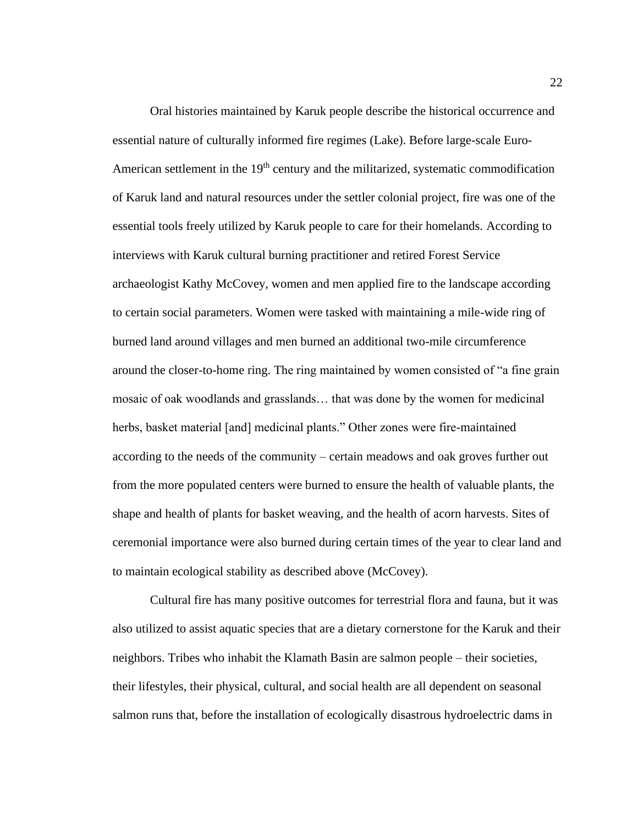Oral histories maintained by Karuk people describe the historical occurrence and essential nature of culturally informed fire regimes (Lake). Before large-scale Euro-American settlement in the 19<sup>th</sup> century and the militarized, systematic commodification of Karuk land and natural resources under the settler colonial project, fire was one of the essential tools freely utilized by Karuk people to care for their homelands. According to interviews with Karuk cultural burning practitioner and retired Forest Service archaeologist Kathy McCovey, women and men applied fire to the landscape according to certain social parameters. Women were tasked with maintaining a mile-wide ring of burned land around villages and men burned an additional two-mile circumference around the closer-to-home ring. The ring maintained by women consisted of "a fine grain mosaic of oak woodlands and grasslands… that was done by the women for medicinal herbs, basket material [and] medicinal plants." Other zones were fire-maintained according to the needs of the community – certain meadows and oak groves further out from the more populated centers were burned to ensure the health of valuable plants, the shape and health of plants for basket weaving, and the health of acorn harvests. Sites of ceremonial importance were also burned during certain times of the year to clear land and to maintain ecological stability as described above (McCovey).

Cultural fire has many positive outcomes for terrestrial flora and fauna, but it was also utilized to assist aquatic species that are a dietary cornerstone for the Karuk and their neighbors. Tribes who inhabit the Klamath Basin are salmon people – their societies, their lifestyles, their physical, cultural, and social health are all dependent on seasonal salmon runs that, before the installation of ecologically disastrous hydroelectric dams in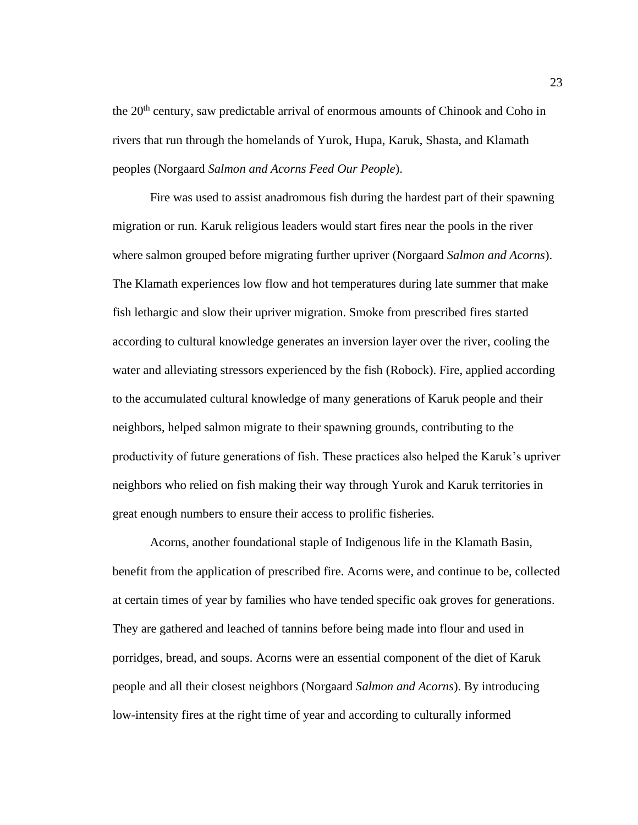the 20<sup>th</sup> century, saw predictable arrival of enormous amounts of Chinook and Coho in rivers that run through the homelands of Yurok, Hupa, Karuk, Shasta, and Klamath peoples (Norgaard *Salmon and Acorns Feed Our People*).

Fire was used to assist anadromous fish during the hardest part of their spawning migration or run. Karuk religious leaders would start fires near the pools in the river where salmon grouped before migrating further upriver (Norgaard *Salmon and Acorns*). The Klamath experiences low flow and hot temperatures during late summer that make fish lethargic and slow their upriver migration. Smoke from prescribed fires started according to cultural knowledge generates an inversion layer over the river, cooling the water and alleviating stressors experienced by the fish (Robock). Fire, applied according to the accumulated cultural knowledge of many generations of Karuk people and their neighbors, helped salmon migrate to their spawning grounds, contributing to the productivity of future generations of fish. These practices also helped the Karuk's upriver neighbors who relied on fish making their way through Yurok and Karuk territories in great enough numbers to ensure their access to prolific fisheries.

Acorns, another foundational staple of Indigenous life in the Klamath Basin, benefit from the application of prescribed fire. Acorns were, and continue to be, collected at certain times of year by families who have tended specific oak groves for generations. They are gathered and leached of tannins before being made into flour and used in porridges, bread, and soups. Acorns were an essential component of the diet of Karuk people and all their closest neighbors (Norgaard *Salmon and Acorns*). By introducing low-intensity fires at the right time of year and according to culturally informed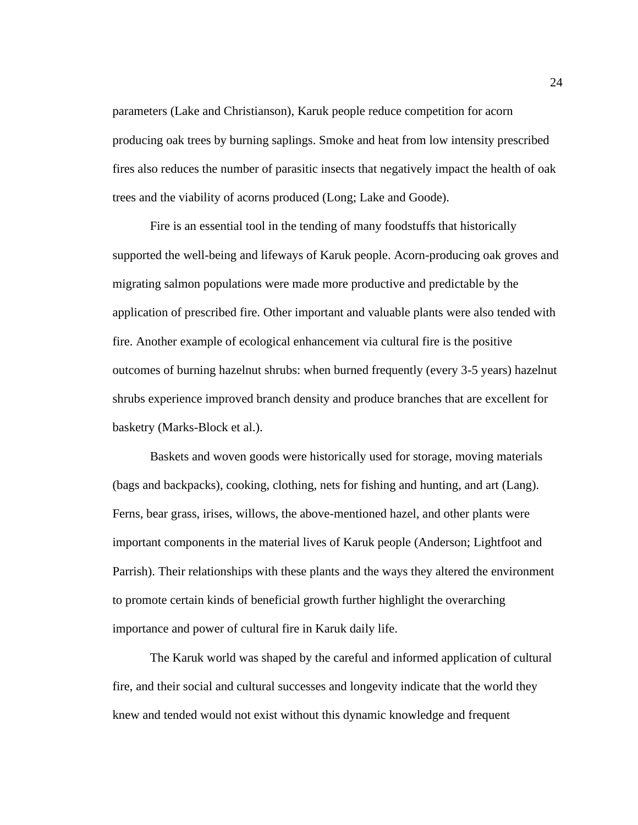parameters (Lake and Christianson), Karuk people reduce competition for acorn producing oak trees by burning saplings. Smoke and heat from low intensity prescribed fires also reduces the number of parasitic insects that negatively impact the health of oak trees and the viability of acorns produced (Long; Lake and Goode).

Fire is an essential tool in the tending of many foodstuffs that historically supported the well-being and lifeways of Karuk people. Acorn-producing oak groves and migrating salmon populations were made more productive and predictable by the application of prescribed fire. Other important and valuable plants were also tended with fire. Another example of ecological enhancement via cultural fire is the positive outcomes of burning hazelnut shrubs: when burned frequently (every 3-5 years) hazelnut shrubs experience improved branch density and produce branches that are excellent for basketry (Marks-Block et al.).

Baskets and woven goods were historically used for storage, moving materials (bags and backpacks), cooking, clothing, nets for fishing and hunting, and art (Lang). Ferns, bear grass, irises, willows, the above-mentioned hazel, and other plants were important components in the material lives of Karuk people (Anderson; Lightfoot and Parrish). Their relationships with these plants and the ways they altered the environment to promote certain kinds of beneficial growth further highlight the overarching importance and power of cultural fire in Karuk daily life.

The Karuk world was shaped by the careful and informed application of cultural fire, and their social and cultural successes and longevity indicate that the world they knew and tended would not exist without this dynamic knowledge and frequent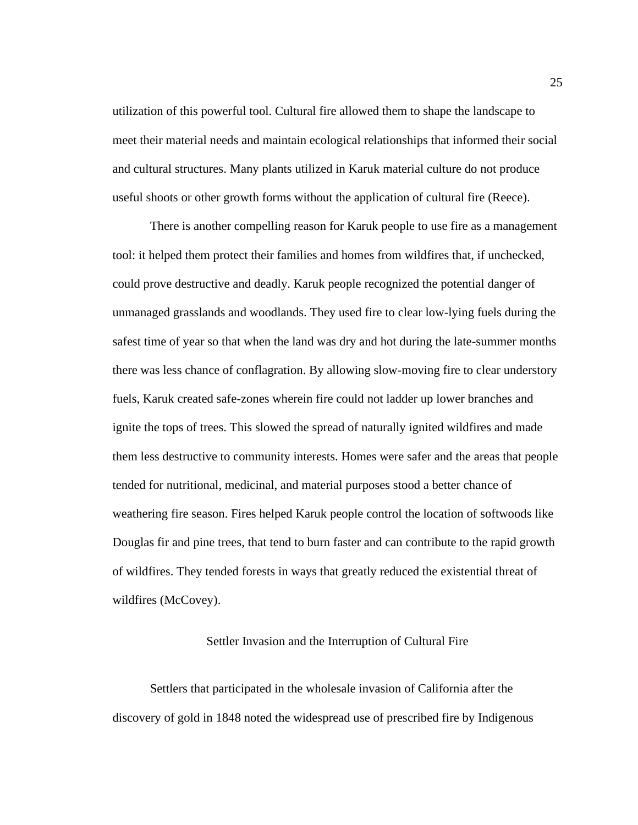utilization of this powerful tool. Cultural fire allowed them to shape the landscape to meet their material needs and maintain ecological relationships that informed their social and cultural structures. Many plants utilized in Karuk material culture do not produce useful shoots or other growth forms without the application of cultural fire (Reece).

There is another compelling reason for Karuk people to use fire as a management tool: it helped them protect their families and homes from wildfires that, if unchecked, could prove destructive and deadly. Karuk people recognized the potential danger of unmanaged grasslands and woodlands. They used fire to clear low-lying fuels during the safest time of year so that when the land was dry and hot during the late-summer months there was less chance of conflagration. By allowing slow-moving fire to clear understory fuels, Karuk created safe-zones wherein fire could not ladder up lower branches and ignite the tops of trees. This slowed the spread of naturally ignited wildfires and made them less destructive to community interests. Homes were safer and the areas that people tended for nutritional, medicinal, and material purposes stood a better chance of weathering fire season. Fires helped Karuk people control the location of softwoods like Douglas fir and pine trees, that tend to burn faster and can contribute to the rapid growth of wildfires. They tended forests in ways that greatly reduced the existential threat of wildfires (McCovey).

### Settler Invasion and the Interruption of Cultural Fire

<span id="page-32-0"></span>Settlers that participated in the wholesale invasion of California after the discovery of gold in 1848 noted the widespread use of prescribed fire by Indigenous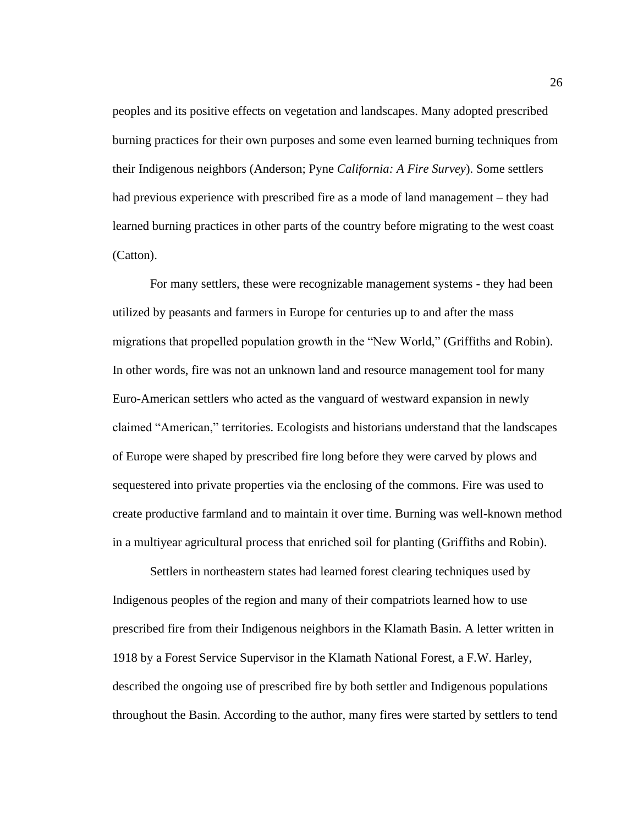peoples and its positive effects on vegetation and landscapes. Many adopted prescribed burning practices for their own purposes and some even learned burning techniques from their Indigenous neighbors (Anderson; Pyne *California: A Fire Survey*). Some settlers had previous experience with prescribed fire as a mode of land management – they had learned burning practices in other parts of the country before migrating to the west coast (Catton).

For many settlers, these were recognizable management systems - they had been utilized by peasants and farmers in Europe for centuries up to and after the mass migrations that propelled population growth in the "New World," (Griffiths and Robin). In other words, fire was not an unknown land and resource management tool for many Euro-American settlers who acted as the vanguard of westward expansion in newly claimed "American," territories. Ecologists and historians understand that the landscapes of Europe were shaped by prescribed fire long before they were carved by plows and sequestered into private properties via the enclosing of the commons. Fire was used to create productive farmland and to maintain it over time. Burning was well-known method in a multiyear agricultural process that enriched soil for planting (Griffiths and Robin).

Settlers in northeastern states had learned forest clearing techniques used by Indigenous peoples of the region and many of their compatriots learned how to use prescribed fire from their Indigenous neighbors in the Klamath Basin. A letter written in 1918 by a Forest Service Supervisor in the Klamath National Forest, a F.W. Harley, described the ongoing use of prescribed fire by both settler and Indigenous populations throughout the Basin. According to the author, many fires were started by settlers to tend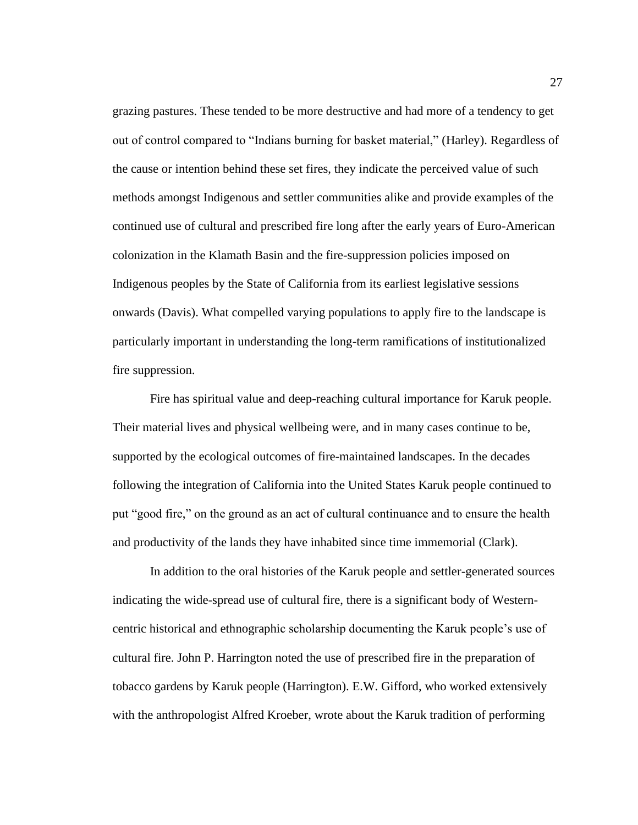grazing pastures. These tended to be more destructive and had more of a tendency to get out of control compared to "Indians burning for basket material," (Harley). Regardless of the cause or intention behind these set fires, they indicate the perceived value of such methods amongst Indigenous and settler communities alike and provide examples of the continued use of cultural and prescribed fire long after the early years of Euro-American colonization in the Klamath Basin and the fire-suppression policies imposed on Indigenous peoples by the State of California from its earliest legislative sessions onwards (Davis). What compelled varying populations to apply fire to the landscape is particularly important in understanding the long-term ramifications of institutionalized fire suppression.

Fire has spiritual value and deep-reaching cultural importance for Karuk people. Their material lives and physical wellbeing were, and in many cases continue to be, supported by the ecological outcomes of fire-maintained landscapes. In the decades following the integration of California into the United States Karuk people continued to put "good fire," on the ground as an act of cultural continuance and to ensure the health and productivity of the lands they have inhabited since time immemorial (Clark).

In addition to the oral histories of the Karuk people and settler-generated sources indicating the wide-spread use of cultural fire, there is a significant body of Westerncentric historical and ethnographic scholarship documenting the Karuk people's use of cultural fire. John P. Harrington noted the use of prescribed fire in the preparation of tobacco gardens by Karuk people (Harrington). E.W. Gifford, who worked extensively with the anthropologist Alfred Kroeber, wrote about the Karuk tradition of performing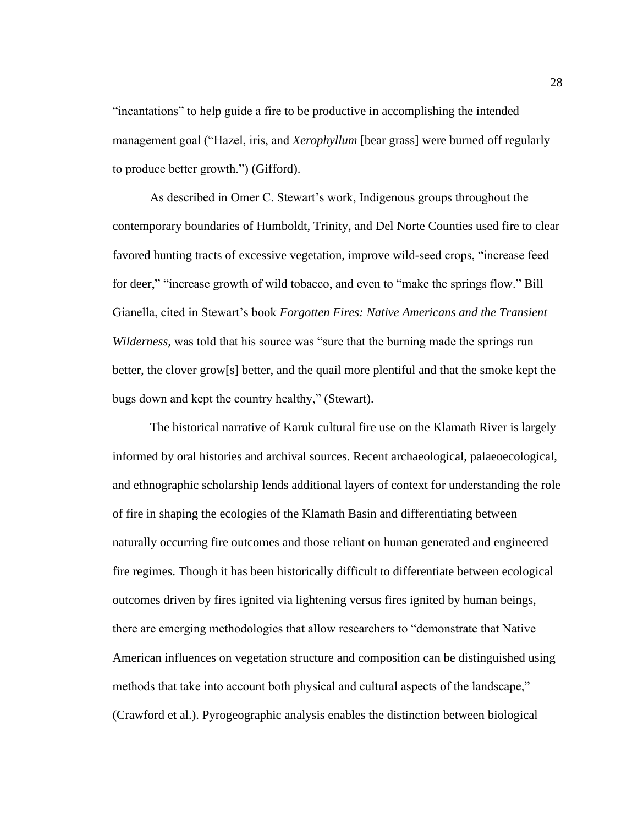"incantations" to help guide a fire to be productive in accomplishing the intended management goal ("Hazel, iris, and *Xerophyllum* [bear grass] were burned off regularly to produce better growth.") (Gifford).

As described in Omer C. Stewart's work, Indigenous groups throughout the contemporary boundaries of Humboldt, Trinity, and Del Norte Counties used fire to clear favored hunting tracts of excessive vegetation, improve wild-seed crops, "increase feed for deer," "increase growth of wild tobacco, and even to "make the springs flow." Bill Gianella, cited in Stewart's book *Forgotten Fires: Native Americans and the Transient Wilderness,* was told that his source was "sure that the burning made the springs run better, the clover grow[s] better, and the quail more plentiful and that the smoke kept the bugs down and kept the country healthy," (Stewart).

The historical narrative of Karuk cultural fire use on the Klamath River is largely informed by oral histories and archival sources. Recent archaeological, palaeoecological, and ethnographic scholarship lends additional layers of context for understanding the role of fire in shaping the ecologies of the Klamath Basin and differentiating between naturally occurring fire outcomes and those reliant on human generated and engineered fire regimes. Though it has been historically difficult to differentiate between ecological outcomes driven by fires ignited via lightening versus fires ignited by human beings, there are emerging methodologies that allow researchers to "demonstrate that Native American influences on vegetation structure and composition can be distinguished using methods that take into account both physical and cultural aspects of the landscape," (Crawford et al.). Pyrogeographic analysis enables the distinction between biological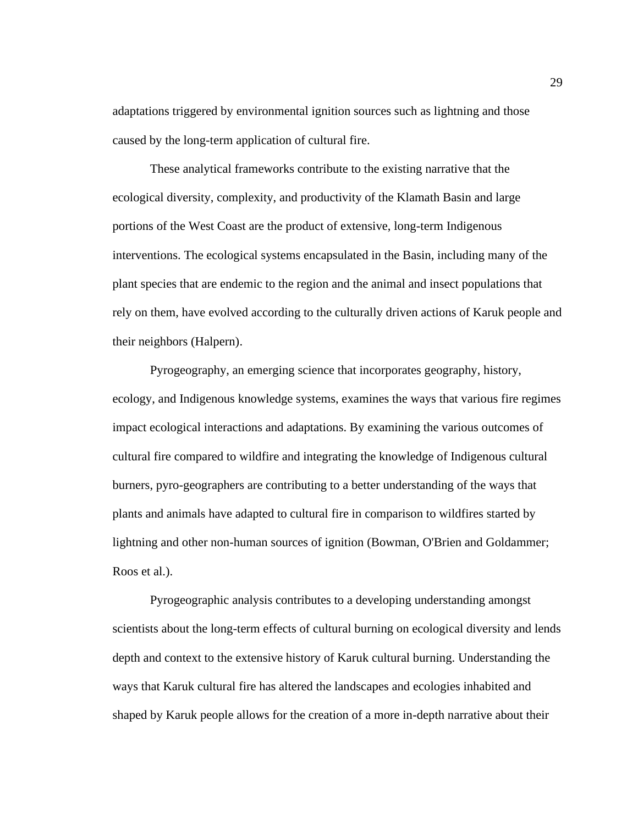adaptations triggered by environmental ignition sources such as lightning and those caused by the long-term application of cultural fire.

These analytical frameworks contribute to the existing narrative that the ecological diversity, complexity, and productivity of the Klamath Basin and large portions of the West Coast are the product of extensive, long-term Indigenous interventions. The ecological systems encapsulated in the Basin, including many of the plant species that are endemic to the region and the animal and insect populations that rely on them, have evolved according to the culturally driven actions of Karuk people and their neighbors (Halpern).

Pyrogeography, an emerging science that incorporates geography, history, ecology, and Indigenous knowledge systems, examines the ways that various fire regimes impact ecological interactions and adaptations. By examining the various outcomes of cultural fire compared to wildfire and integrating the knowledge of Indigenous cultural burners, pyro-geographers are contributing to a better understanding of the ways that plants and animals have adapted to cultural fire in comparison to wildfires started by lightning and other non-human sources of ignition (Bowman, O'Brien and Goldammer; Roos et al.).

Pyrogeographic analysis contributes to a developing understanding amongst scientists about the long-term effects of cultural burning on ecological diversity and lends depth and context to the extensive history of Karuk cultural burning. Understanding the ways that Karuk cultural fire has altered the landscapes and ecologies inhabited and shaped by Karuk people allows for the creation of a more in-depth narrative about their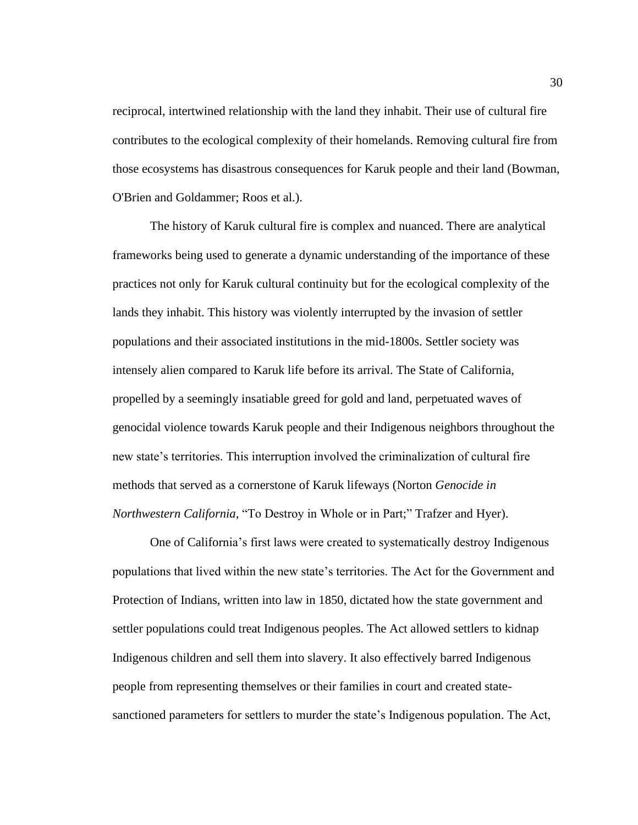reciprocal, intertwined relationship with the land they inhabit. Their use of cultural fire contributes to the ecological complexity of their homelands. Removing cultural fire from those ecosystems has disastrous consequences for Karuk people and their land (Bowman, O'Brien and Goldammer; Roos et al.).

The history of Karuk cultural fire is complex and nuanced. There are analytical frameworks being used to generate a dynamic understanding of the importance of these practices not only for Karuk cultural continuity but for the ecological complexity of the lands they inhabit. This history was violently interrupted by the invasion of settler populations and their associated institutions in the mid-1800s. Settler society was intensely alien compared to Karuk life before its arrival. The State of California, propelled by a seemingly insatiable greed for gold and land, perpetuated waves of genocidal violence towards Karuk people and their Indigenous neighbors throughout the new state's territories. This interruption involved the criminalization of cultural fire methods that served as a cornerstone of Karuk lifeways (Norton *Genocide in Northwestern California*, "To Destroy in Whole or in Part;" Trafzer and Hyer).

One of California's first laws were created to systematically destroy Indigenous populations that lived within the new state's territories. The Act for the Government and Protection of Indians, written into law in 1850, dictated how the state government and settler populations could treat Indigenous peoples. The Act allowed settlers to kidnap Indigenous children and sell them into slavery. It also effectively barred Indigenous people from representing themselves or their families in court and created statesanctioned parameters for settlers to murder the state's Indigenous population. The Act,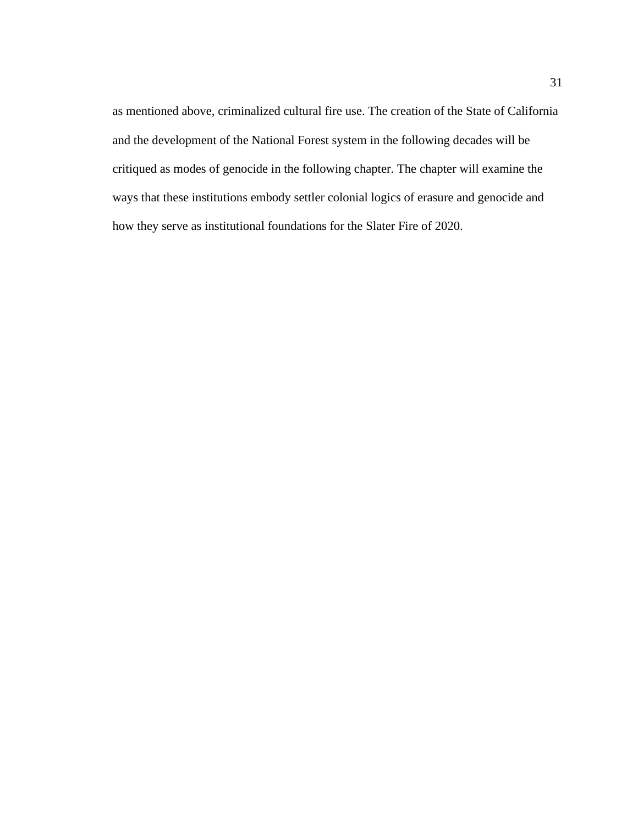as mentioned above, criminalized cultural fire use. The creation of the State of California and the development of the National Forest system in the following decades will be critiqued as modes of genocide in the following chapter. The chapter will examine the ways that these institutions embody settler colonial logics of erasure and genocide and how they serve as institutional foundations for the Slater Fire of 2020.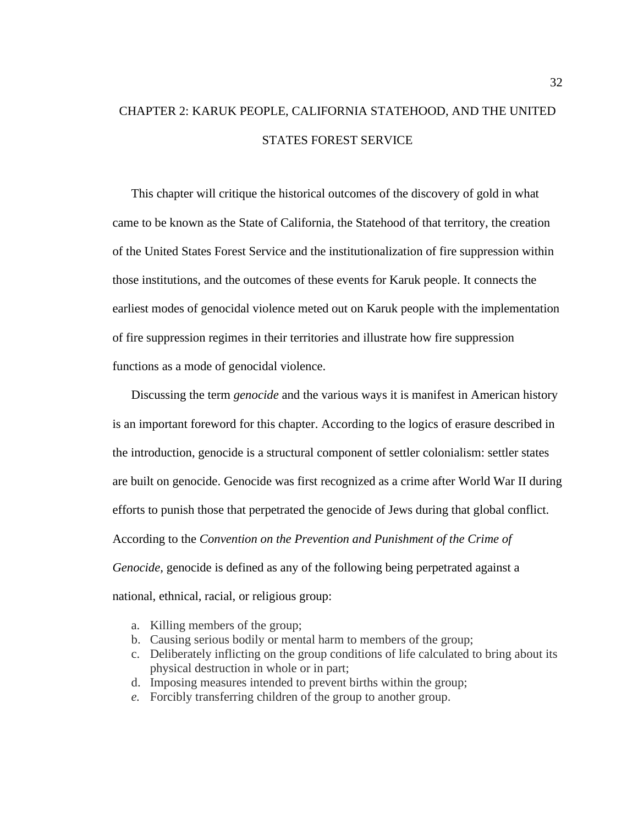# CHAPTER 2: KARUK PEOPLE, CALIFORNIA STATEHOOD, AND THE UNITED STATES FOREST SERVICE

This chapter will critique the historical outcomes of the discovery of gold in what came to be known as the State of California, the Statehood of that territory, the creation of the United States Forest Service and the institutionalization of fire suppression within those institutions, and the outcomes of these events for Karuk people. It connects the earliest modes of genocidal violence meted out on Karuk people with the implementation of fire suppression regimes in their territories and illustrate how fire suppression functions as a mode of genocidal violence.

Discussing the term *genocide* and the various ways it is manifest in American history is an important foreword for this chapter. According to the logics of erasure described in the introduction, genocide is a structural component of settler colonialism: settler states are built on genocide. Genocide was first recognized as a crime after World War II during efforts to punish those that perpetrated the genocide of Jews during that global conflict. According to the *Convention on the Prevention and Punishment of the Crime of Genocide,* genocide is defined as any of the following being perpetrated against a national, ethnical, racial, or religious group:

- a. Killing members of the group;
- b. Causing serious bodily or mental harm to members of the group;
- c. Deliberately inflicting on the group conditions of life calculated to bring about its physical destruction in whole or in part;
- d. Imposing measures intended to prevent births within the group;
- *e.* Forcibly transferring children of the group to another group.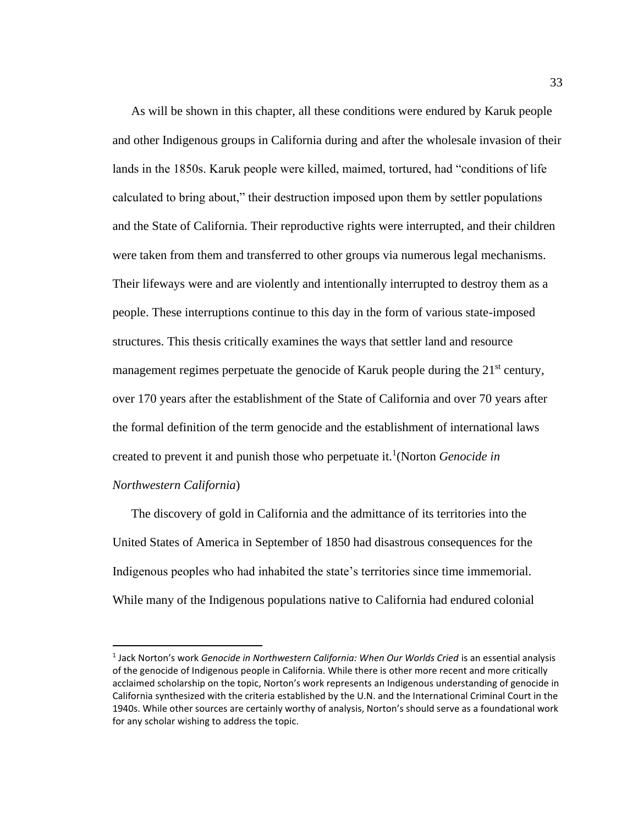As will be shown in this chapter, all these conditions were endured by Karuk people and other Indigenous groups in California during and after the wholesale invasion of their lands in the 1850s. Karuk people were killed, maimed, tortured, had "conditions of life calculated to bring about," their destruction imposed upon them by settler populations and the State of California. Their reproductive rights were interrupted, and their children were taken from them and transferred to other groups via numerous legal mechanisms. Their lifeways were and are violently and intentionally interrupted to destroy them as a people. These interruptions continue to this day in the form of various state-imposed structures. This thesis critically examines the ways that settler land and resource management regimes perpetuate the genocide of Karuk people during the  $21<sup>st</sup>$  century, over 170 years after the establishment of the State of California and over 70 years after the formal definition of the term genocide and the establishment of international laws created to prevent it and punish those who perpetuate it.<sup>1</sup> (Norton *Genocide in Northwestern California*)

The discovery of gold in California and the admittance of its territories into the United States of America in September of 1850 had disastrous consequences for the Indigenous peoples who had inhabited the state's territories since time immemorial. While many of the Indigenous populations native to California had endured colonial

<sup>1</sup> Jack Norton's work *Genocide in Northwestern California: When Our Worlds Cried* is an essential analysis of the genocide of Indigenous people in California. While there is other more recent and more critically acclaimed scholarship on the topic, Norton's work represents an Indigenous understanding of genocide in California synthesized with the criteria established by the U.N. and the International Criminal Court in the 1940s. While other sources are certainly worthy of analysis, Norton's should serve as a foundational work for any scholar wishing to address the topic.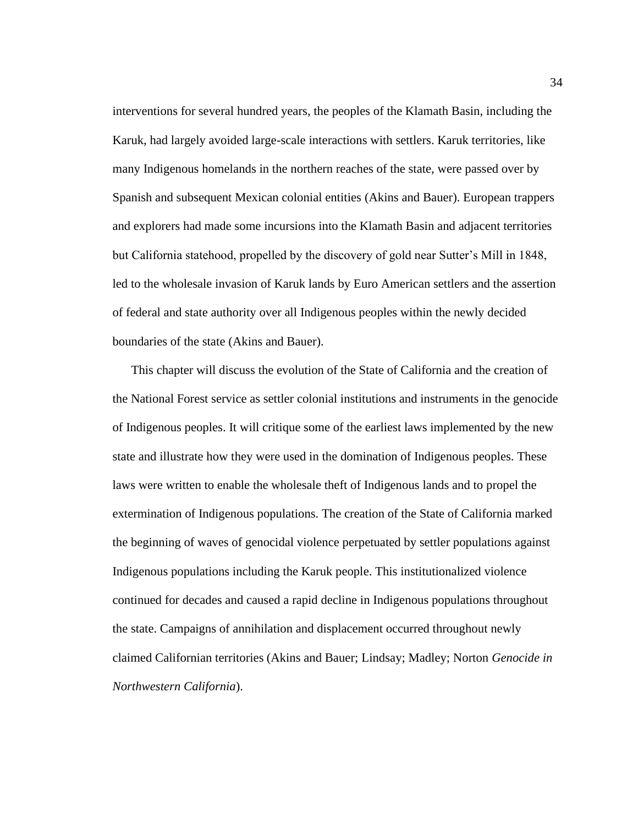interventions for several hundred years, the peoples of the Klamath Basin, including the Karuk, had largely avoided large-scale interactions with settlers. Karuk territories, like many Indigenous homelands in the northern reaches of the state, were passed over by Spanish and subsequent Mexican colonial entities (Akins and Bauer). European trappers and explorers had made some incursions into the Klamath Basin and adjacent territories but California statehood, propelled by the discovery of gold near Sutter's Mill in 1848, led to the wholesale invasion of Karuk lands by Euro American settlers and the assertion of federal and state authority over all Indigenous peoples within the newly decided boundaries of the state (Akins and Bauer).

This chapter will discuss the evolution of the State of California and the creation of the National Forest service as settler colonial institutions and instruments in the genocide of Indigenous peoples. It will critique some of the earliest laws implemented by the new state and illustrate how they were used in the domination of Indigenous peoples. These laws were written to enable the wholesale theft of Indigenous lands and to propel the extermination of Indigenous populations. The creation of the State of California marked the beginning of waves of genocidal violence perpetuated by settler populations against Indigenous populations including the Karuk people. This institutionalized violence continued for decades and caused a rapid decline in Indigenous populations throughout the state. Campaigns of annihilation and displacement occurred throughout newly claimed Californian territories (Akins and Bauer; Lindsay; Madley; Norton *Genocide in Northwestern California*).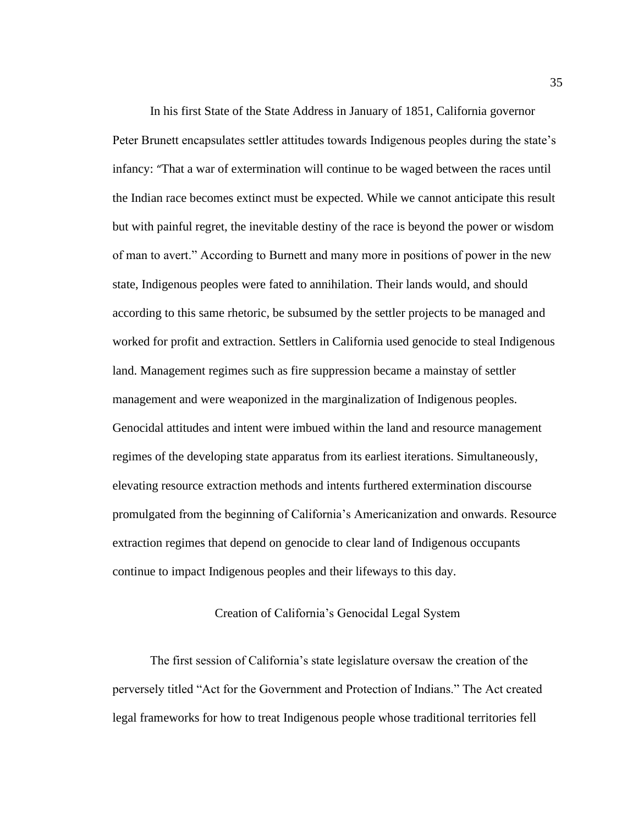In his first State of the State Address in January of 1851, California governor Peter Brunett encapsulates settler attitudes towards Indigenous peoples during the state's infancy: "That a war of extermination will continue to be waged between the races until the Indian race becomes extinct must be expected. While we cannot anticipate this result but with painful regret, the inevitable destiny of the race is beyond the power or wisdom of man to avert." According to Burnett and many more in positions of power in the new state, Indigenous peoples were fated to annihilation. Their lands would, and should according to this same rhetoric, be subsumed by the settler projects to be managed and worked for profit and extraction. Settlers in California used genocide to steal Indigenous land. Management regimes such as fire suppression became a mainstay of settler management and were weaponized in the marginalization of Indigenous peoples. Genocidal attitudes and intent were imbued within the land and resource management regimes of the developing state apparatus from its earliest iterations. Simultaneously, elevating resource extraction methods and intents furthered extermination discourse promulgated from the beginning of California's Americanization and onwards. Resource extraction regimes that depend on genocide to clear land of Indigenous occupants continue to impact Indigenous peoples and their lifeways to this day.

### Creation of California's Genocidal Legal System

The first session of California's state legislature oversaw the creation of the perversely titled "Act for the Government and Protection of Indians." The Act created legal frameworks for how to treat Indigenous people whose traditional territories fell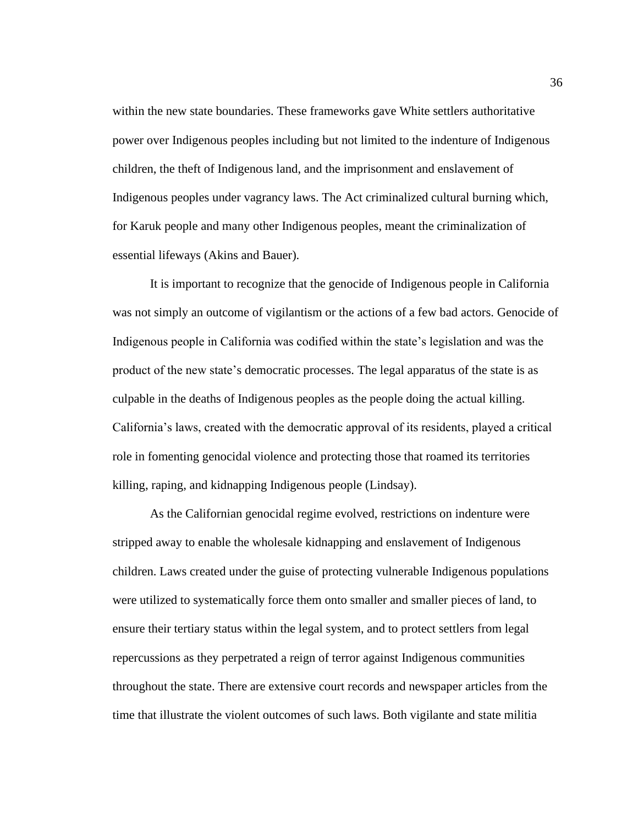within the new state boundaries. These frameworks gave White settlers authoritative power over Indigenous peoples including but not limited to the indenture of Indigenous children, the theft of Indigenous land, and the imprisonment and enslavement of Indigenous peoples under vagrancy laws. The Act criminalized cultural burning which, for Karuk people and many other Indigenous peoples, meant the criminalization of essential lifeways (Akins and Bauer).

It is important to recognize that the genocide of Indigenous people in California was not simply an outcome of vigilantism or the actions of a few bad actors. Genocide of Indigenous people in California was codified within the state's legislation and was the product of the new state's democratic processes. The legal apparatus of the state is as culpable in the deaths of Indigenous peoples as the people doing the actual killing. California's laws, created with the democratic approval of its residents, played a critical role in fomenting genocidal violence and protecting those that roamed its territories killing, raping, and kidnapping Indigenous people (Lindsay).

As the Californian genocidal regime evolved, restrictions on indenture were stripped away to enable the wholesale kidnapping and enslavement of Indigenous children. Laws created under the guise of protecting vulnerable Indigenous populations were utilized to systematically force them onto smaller and smaller pieces of land, to ensure their tertiary status within the legal system, and to protect settlers from legal repercussions as they perpetrated a reign of terror against Indigenous communities throughout the state. There are extensive court records and newspaper articles from the time that illustrate the violent outcomes of such laws. Both vigilante and state militia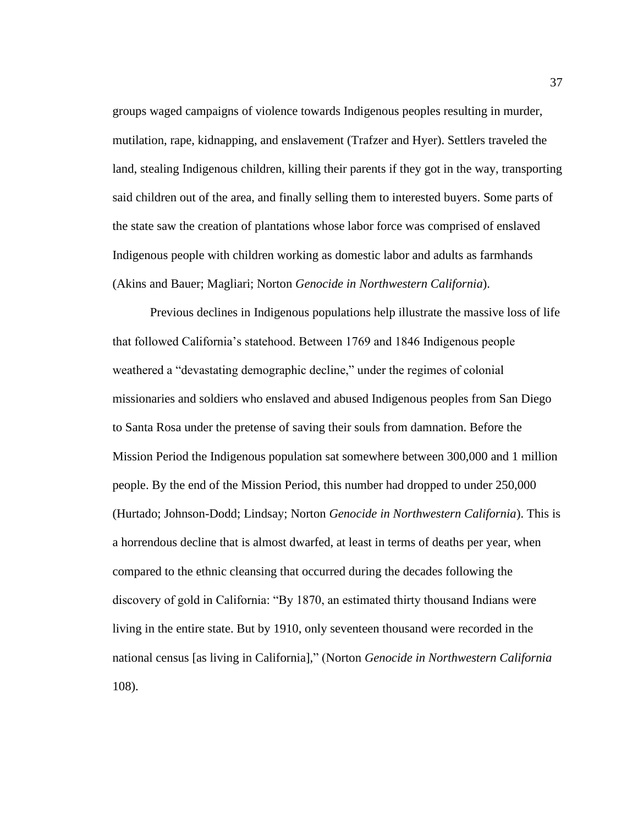groups waged campaigns of violence towards Indigenous peoples resulting in murder, mutilation, rape, kidnapping, and enslavement (Trafzer and Hyer). Settlers traveled the land, stealing Indigenous children, killing their parents if they got in the way, transporting said children out of the area, and finally selling them to interested buyers. Some parts of the state saw the creation of plantations whose labor force was comprised of enslaved Indigenous people with children working as domestic labor and adults as farmhands (Akins and Bauer; Magliari; Norton *Genocide in Northwestern California*).

Previous declines in Indigenous populations help illustrate the massive loss of life that followed California's statehood. Between 1769 and 1846 Indigenous people weathered a "devastating demographic decline," under the regimes of colonial missionaries and soldiers who enslaved and abused Indigenous peoples from San Diego to Santa Rosa under the pretense of saving their souls from damnation. Before the Mission Period the Indigenous population sat somewhere between 300,000 and 1 million people. By the end of the Mission Period, this number had dropped to under 250,000 (Hurtado; Johnson-Dodd; Lindsay; Norton *Genocide in Northwestern California*). This is a horrendous decline that is almost dwarfed, at least in terms of deaths per year, when compared to the ethnic cleansing that occurred during the decades following the discovery of gold in California: "By 1870, an estimated thirty thousand Indians were living in the entire state. But by 1910, only seventeen thousand were recorded in the national census [as living in California]," (Norton *Genocide in Northwestern California*  108).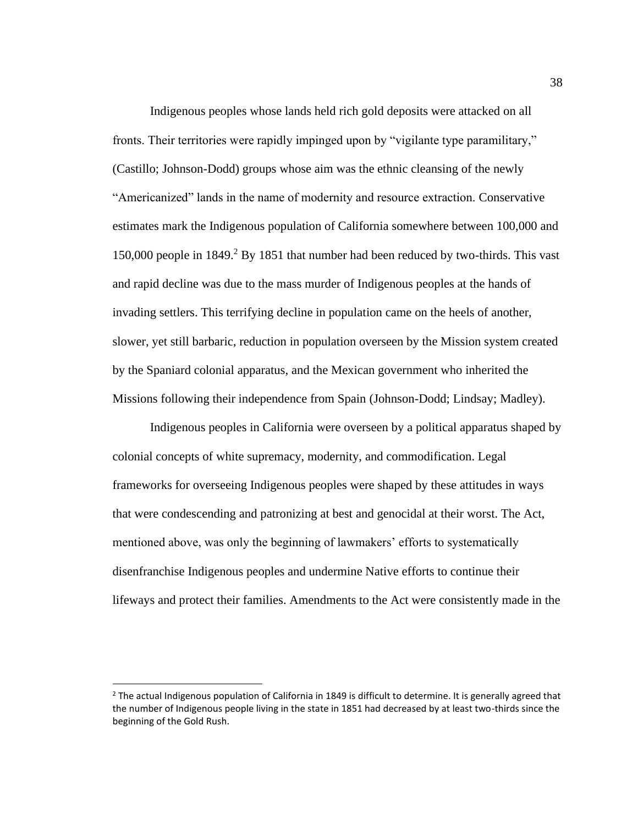Indigenous peoples whose lands held rich gold deposits were attacked on all fronts. Their territories were rapidly impinged upon by "vigilante type paramilitary," (Castillo; Johnson-Dodd) groups whose aim was the ethnic cleansing of the newly "Americanized" lands in the name of modernity and resource extraction. Conservative estimates mark the Indigenous population of California somewhere between 100,000 and 150,000 people in 1849.<sup>2</sup> By 1851 that number had been reduced by two-thirds. This vast and rapid decline was due to the mass murder of Indigenous peoples at the hands of invading settlers. This terrifying decline in population came on the heels of another, slower, yet still barbaric, reduction in population overseen by the Mission system created by the Spaniard colonial apparatus, and the Mexican government who inherited the Missions following their independence from Spain (Johnson-Dodd; Lindsay; Madley).

Indigenous peoples in California were overseen by a political apparatus shaped by colonial concepts of white supremacy, modernity, and commodification. Legal frameworks for overseeing Indigenous peoples were shaped by these attitudes in ways that were condescending and patronizing at best and genocidal at their worst. The Act, mentioned above, was only the beginning of lawmakers' efforts to systematically disenfranchise Indigenous peoples and undermine Native efforts to continue their lifeways and protect their families. Amendments to the Act were consistently made in the

 $<sup>2</sup>$  The actual Indigenous population of California in 1849 is difficult to determine. It is generally agreed that</sup> the number of Indigenous people living in the state in 1851 had decreased by at least two-thirds since the beginning of the Gold Rush.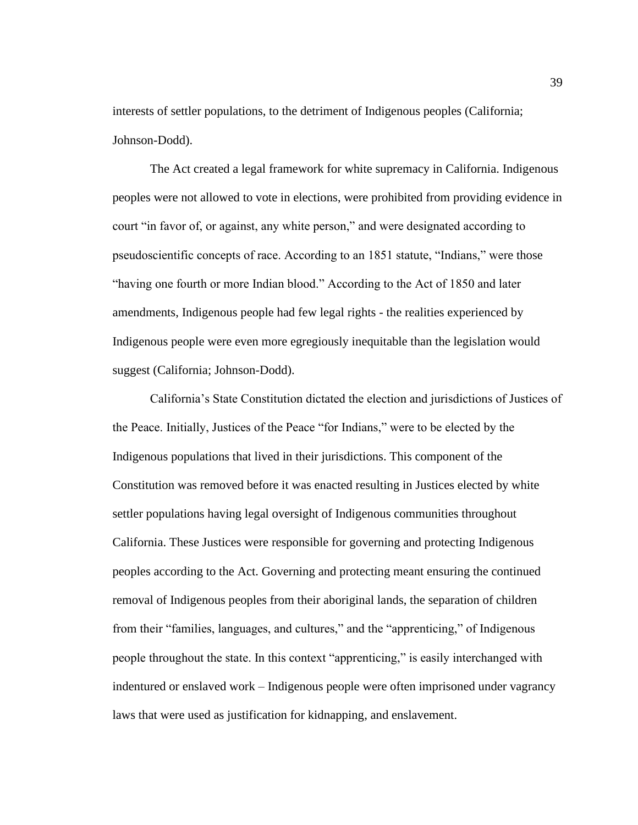interests of settler populations, to the detriment of Indigenous peoples (California; Johnson-Dodd).

The Act created a legal framework for white supremacy in California. Indigenous peoples were not allowed to vote in elections, were prohibited from providing evidence in court "in favor of, or against, any white person," and were designated according to pseudoscientific concepts of race. According to an 1851 statute, "Indians," were those "having one fourth or more Indian blood." According to the Act of 1850 and later amendments, Indigenous people had few legal rights - the realities experienced by Indigenous people were even more egregiously inequitable than the legislation would suggest (California; Johnson-Dodd).

California's State Constitution dictated the election and jurisdictions of Justices of the Peace. Initially, Justices of the Peace "for Indians," were to be elected by the Indigenous populations that lived in their jurisdictions. This component of the Constitution was removed before it was enacted resulting in Justices elected by white settler populations having legal oversight of Indigenous communities throughout California. These Justices were responsible for governing and protecting Indigenous peoples according to the Act. Governing and protecting meant ensuring the continued removal of Indigenous peoples from their aboriginal lands, the separation of children from their "families, languages, and cultures," and the "apprenticing," of Indigenous people throughout the state. In this context "apprenticing," is easily interchanged with indentured or enslaved work – Indigenous people were often imprisoned under vagrancy laws that were used as justification for kidnapping, and enslavement.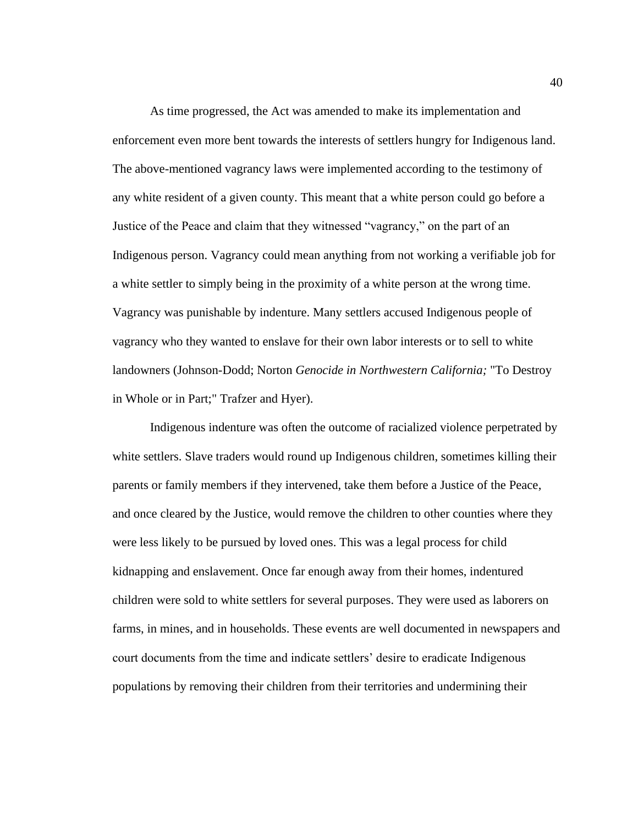As time progressed, the Act was amended to make its implementation and enforcement even more bent towards the interests of settlers hungry for Indigenous land. The above-mentioned vagrancy laws were implemented according to the testimony of any white resident of a given county. This meant that a white person could go before a Justice of the Peace and claim that they witnessed "vagrancy," on the part of an Indigenous person. Vagrancy could mean anything from not working a verifiable job for a white settler to simply being in the proximity of a white person at the wrong time. Vagrancy was punishable by indenture. Many settlers accused Indigenous people of vagrancy who they wanted to enslave for their own labor interests or to sell to white landowners (Johnson-Dodd; Norton *Genocide in Northwestern California;* "To Destroy in Whole or in Part;" Trafzer and Hyer).

Indigenous indenture was often the outcome of racialized violence perpetrated by white settlers. Slave traders would round up Indigenous children, sometimes killing their parents or family members if they intervened, take them before a Justice of the Peace, and once cleared by the Justice, would remove the children to other counties where they were less likely to be pursued by loved ones. This was a legal process for child kidnapping and enslavement. Once far enough away from their homes, indentured children were sold to white settlers for several purposes. They were used as laborers on farms, in mines, and in households. These events are well documented in newspapers and court documents from the time and indicate settlers' desire to eradicate Indigenous populations by removing their children from their territories and undermining their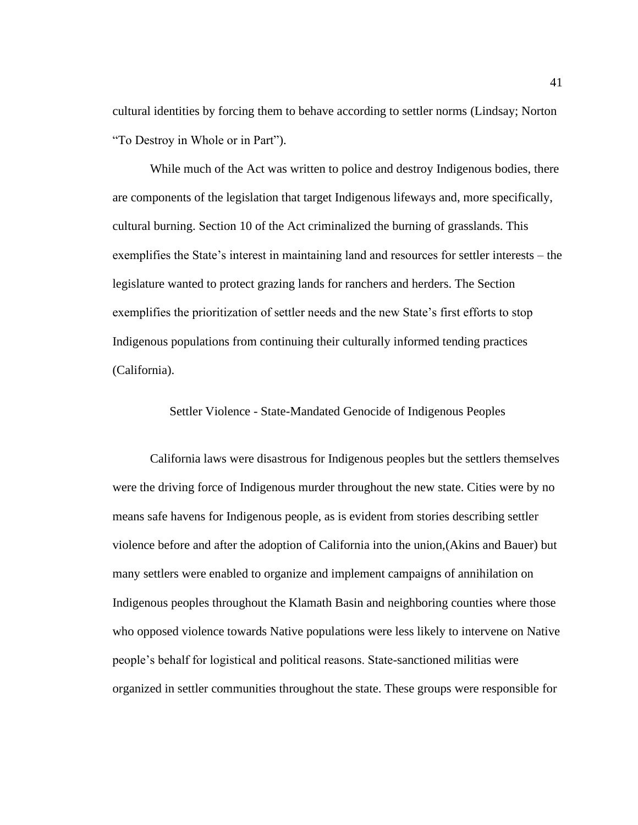cultural identities by forcing them to behave according to settler norms (Lindsay; Norton "To Destroy in Whole or in Part").

While much of the Act was written to police and destroy Indigenous bodies, there are components of the legislation that target Indigenous lifeways and, more specifically, cultural burning. Section 10 of the Act criminalized the burning of grasslands. This exemplifies the State's interest in maintaining land and resources for settler interests – the legislature wanted to protect grazing lands for ranchers and herders. The Section exemplifies the prioritization of settler needs and the new State's first efforts to stop Indigenous populations from continuing their culturally informed tending practices (California).

Settler Violence - State-Mandated Genocide of Indigenous Peoples

California laws were disastrous for Indigenous peoples but the settlers themselves were the driving force of Indigenous murder throughout the new state. Cities were by no means safe havens for Indigenous people, as is evident from stories describing settler violence before and after the adoption of California into the union,(Akins and Bauer) but many settlers were enabled to organize and implement campaigns of annihilation on Indigenous peoples throughout the Klamath Basin and neighboring counties where those who opposed violence towards Native populations were less likely to intervene on Native people's behalf for logistical and political reasons. State-sanctioned militias were organized in settler communities throughout the state. These groups were responsible for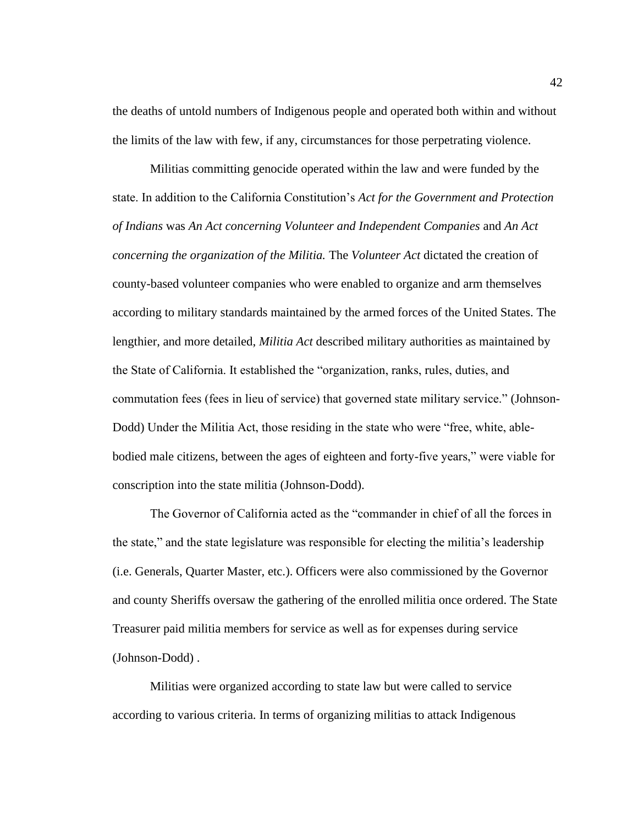the deaths of untold numbers of Indigenous people and operated both within and without the limits of the law with few, if any, circumstances for those perpetrating violence.

Militias committing genocide operated within the law and were funded by the state. In addition to the California Constitution's *Act for the Government and Protection of Indians* was *An Act concerning Volunteer and Independent Companies* and *An Act concerning the organization of the Militia.* The *Volunteer Act* dictated the creation of county-based volunteer companies who were enabled to organize and arm themselves according to military standards maintained by the armed forces of the United States. The lengthier, and more detailed, *Militia Act* described military authorities as maintained by the State of California. It established the "organization, ranks, rules, duties, and commutation fees (fees in lieu of service) that governed state military service." (Johnson-Dodd) Under the Militia Act, those residing in the state who were "free, white, ablebodied male citizens, between the ages of eighteen and forty-five years," were viable for conscription into the state militia (Johnson-Dodd).

The Governor of California acted as the "commander in chief of all the forces in the state," and the state legislature was responsible for electing the militia's leadership (i.e. Generals, Quarter Master, etc.). Officers were also commissioned by the Governor and county Sheriffs oversaw the gathering of the enrolled militia once ordered. The State Treasurer paid militia members for service as well as for expenses during service (Johnson-Dodd) .

Militias were organized according to state law but were called to service according to various criteria. In terms of organizing militias to attack Indigenous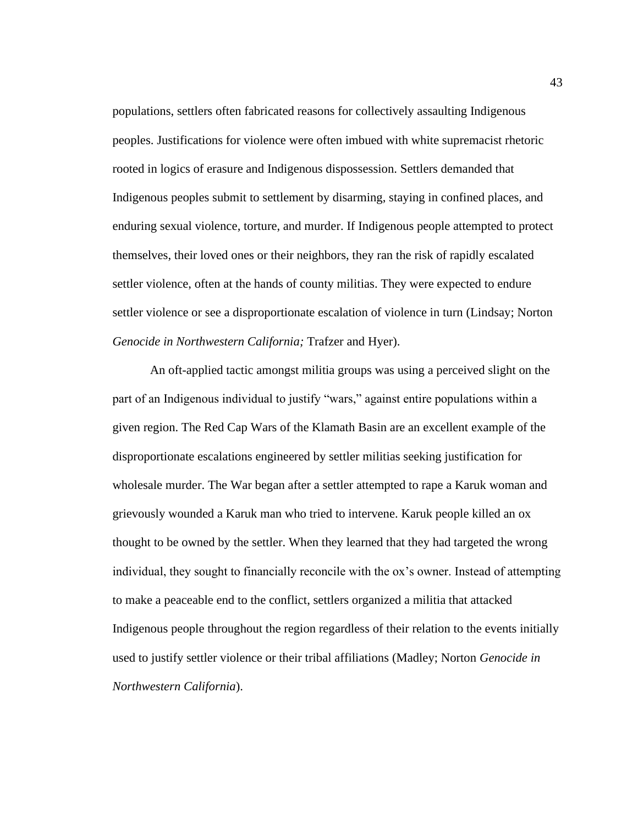populations, settlers often fabricated reasons for collectively assaulting Indigenous peoples. Justifications for violence were often imbued with white supremacist rhetoric rooted in logics of erasure and Indigenous dispossession. Settlers demanded that Indigenous peoples submit to settlement by disarming, staying in confined places, and enduring sexual violence, torture, and murder. If Indigenous people attempted to protect themselves, their loved ones or their neighbors, they ran the risk of rapidly escalated settler violence, often at the hands of county militias. They were expected to endure settler violence or see a disproportionate escalation of violence in turn (Lindsay; Norton *Genocide in Northwestern California;* Trafzer and Hyer).

An oft-applied tactic amongst militia groups was using a perceived slight on the part of an Indigenous individual to justify "wars," against entire populations within a given region. The Red Cap Wars of the Klamath Basin are an excellent example of the disproportionate escalations engineered by settler militias seeking justification for wholesale murder. The War began after a settler attempted to rape a Karuk woman and grievously wounded a Karuk man who tried to intervene. Karuk people killed an ox thought to be owned by the settler. When they learned that they had targeted the wrong individual, they sought to financially reconcile with the ox's owner. Instead of attempting to make a peaceable end to the conflict, settlers organized a militia that attacked Indigenous people throughout the region regardless of their relation to the events initially used to justify settler violence or their tribal affiliations (Madley; Norton *Genocide in Northwestern California*).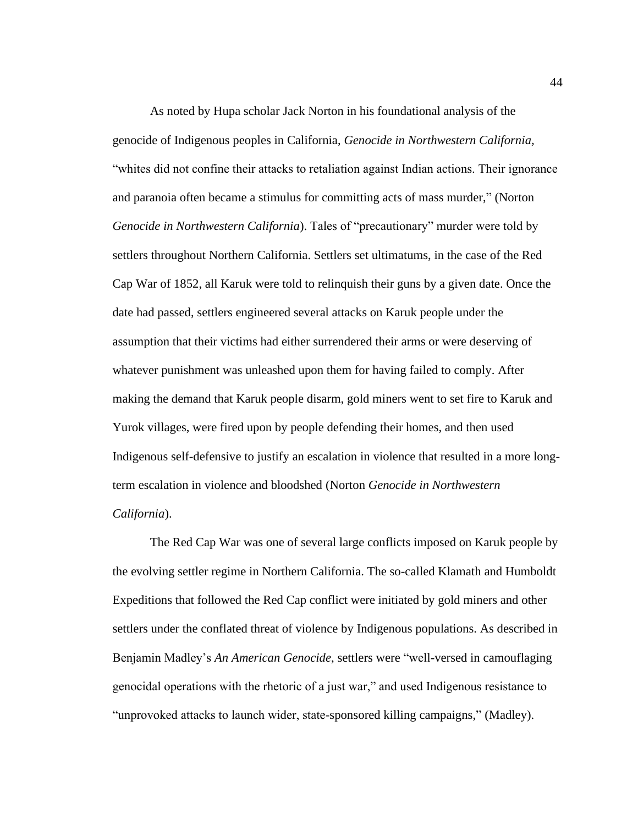As noted by Hupa scholar Jack Norton in his foundational analysis of the genocide of Indigenous peoples in California, *Genocide in Northwestern California,*  "whites did not confine their attacks to retaliation against Indian actions. Their ignorance and paranoia often became a stimulus for committing acts of mass murder," (Norton *Genocide in Northwestern California*). Tales of "precautionary" murder were told by settlers throughout Northern California. Settlers set ultimatums, in the case of the Red Cap War of 1852, all Karuk were told to relinquish their guns by a given date. Once the date had passed, settlers engineered several attacks on Karuk people under the assumption that their victims had either surrendered their arms or were deserving of whatever punishment was unleashed upon them for having failed to comply. After making the demand that Karuk people disarm, gold miners went to set fire to Karuk and Yurok villages, were fired upon by people defending their homes, and then used Indigenous self-defensive to justify an escalation in violence that resulted in a more longterm escalation in violence and bloodshed (Norton *Genocide in Northwestern California*).

The Red Cap War was one of several large conflicts imposed on Karuk people by the evolving settler regime in Northern California. The so-called Klamath and Humboldt Expeditions that followed the Red Cap conflict were initiated by gold miners and other settlers under the conflated threat of violence by Indigenous populations. As described in Benjamin Madley's *An American Genocide*, settlers were "well-versed in camouflaging genocidal operations with the rhetoric of a just war," and used Indigenous resistance to "unprovoked attacks to launch wider, state-sponsored killing campaigns," (Madley).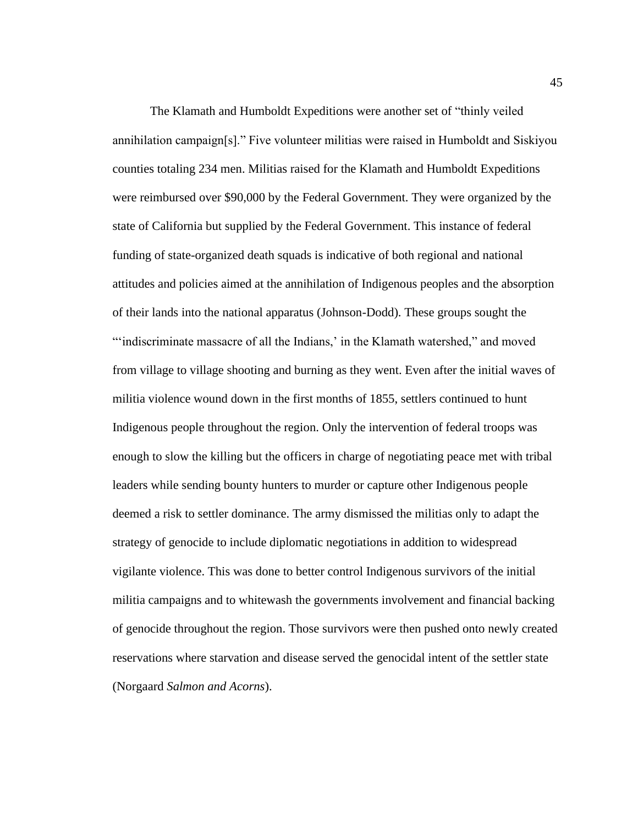The Klamath and Humboldt Expeditions were another set of "thinly veiled annihilation campaign[s]." Five volunteer militias were raised in Humboldt and Siskiyou counties totaling 234 men. Militias raised for the Klamath and Humboldt Expeditions were reimbursed over \$90,000 by the Federal Government. They were organized by the state of California but supplied by the Federal Government. This instance of federal funding of state-organized death squads is indicative of both regional and national attitudes and policies aimed at the annihilation of Indigenous peoples and the absorption of their lands into the national apparatus (Johnson-Dodd). These groups sought the "indiscriminate massacre of all the Indians,' in the Klamath watershed," and moved from village to village shooting and burning as they went. Even after the initial waves of militia violence wound down in the first months of 1855, settlers continued to hunt Indigenous people throughout the region. Only the intervention of federal troops was enough to slow the killing but the officers in charge of negotiating peace met with tribal leaders while sending bounty hunters to murder or capture other Indigenous people deemed a risk to settler dominance. The army dismissed the militias only to adapt the strategy of genocide to include diplomatic negotiations in addition to widespread vigilante violence. This was done to better control Indigenous survivors of the initial militia campaigns and to whitewash the governments involvement and financial backing of genocide throughout the region. Those survivors were then pushed onto newly created reservations where starvation and disease served the genocidal intent of the settler state (Norgaard *Salmon and Acorns*).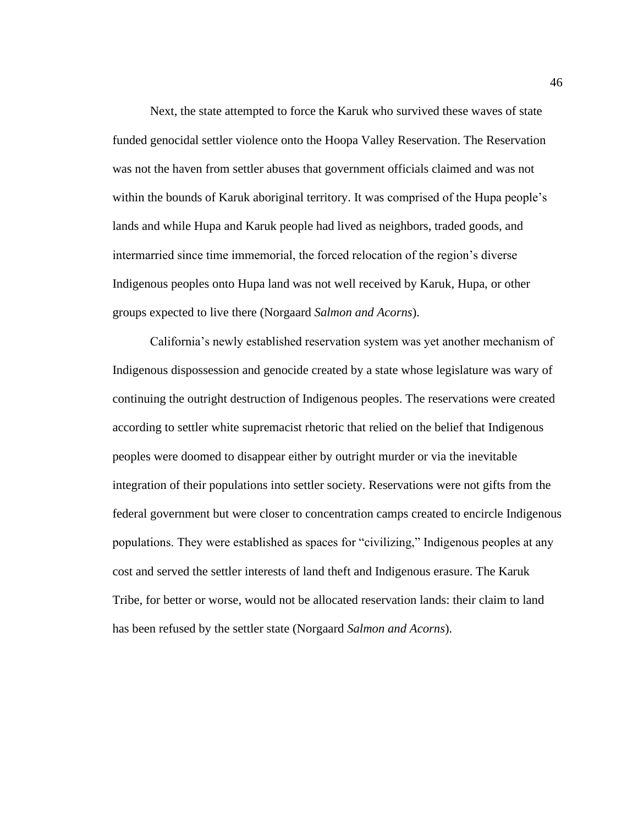Next, the state attempted to force the Karuk who survived these waves of state funded genocidal settler violence onto the Hoopa Valley Reservation. The Reservation was not the haven from settler abuses that government officials claimed and was not within the bounds of Karuk aboriginal territory. It was comprised of the Hupa people's lands and while Hupa and Karuk people had lived as neighbors, traded goods, and intermarried since time immemorial, the forced relocation of the region's diverse Indigenous peoples onto Hupa land was not well received by Karuk, Hupa, or other groups expected to live there (Norgaard *Salmon and Acorns*).

California's newly established reservation system was yet another mechanism of Indigenous dispossession and genocide created by a state whose legislature was wary of continuing the outright destruction of Indigenous peoples. The reservations were created according to settler white supremacist rhetoric that relied on the belief that Indigenous peoples were doomed to disappear either by outright murder or via the inevitable integration of their populations into settler society. Reservations were not gifts from the federal government but were closer to concentration camps created to encircle Indigenous populations. They were established as spaces for "civilizing," Indigenous peoples at any cost and served the settler interests of land theft and Indigenous erasure. The Karuk Tribe, for better or worse, would not be allocated reservation lands: their claim to land has been refused by the settler state (Norgaard *Salmon and Acorns*).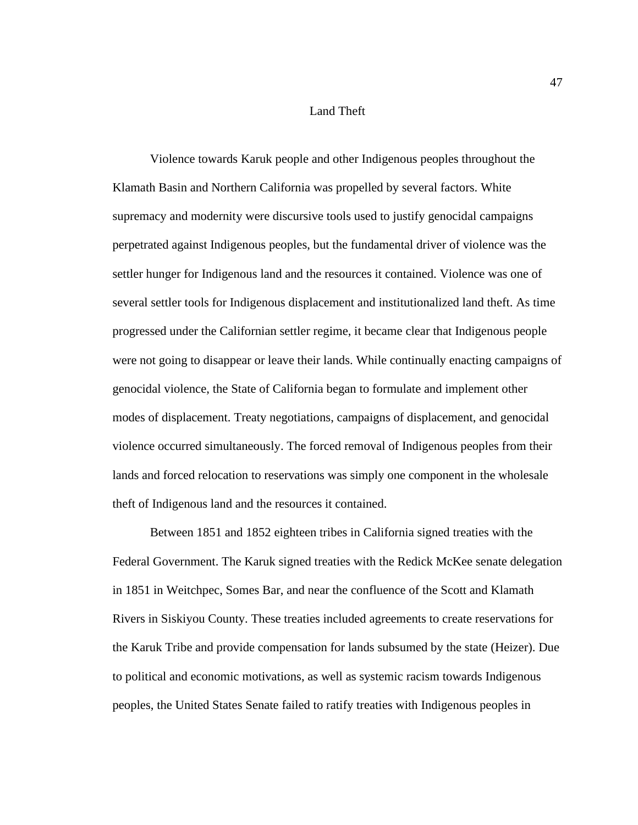# Land Theft

Violence towards Karuk people and other Indigenous peoples throughout the Klamath Basin and Northern California was propelled by several factors. White supremacy and modernity were discursive tools used to justify genocidal campaigns perpetrated against Indigenous peoples, but the fundamental driver of violence was the settler hunger for Indigenous land and the resources it contained. Violence was one of several settler tools for Indigenous displacement and institutionalized land theft. As time progressed under the Californian settler regime, it became clear that Indigenous people were not going to disappear or leave their lands. While continually enacting campaigns of genocidal violence, the State of California began to formulate and implement other modes of displacement. Treaty negotiations, campaigns of displacement, and genocidal violence occurred simultaneously. The forced removal of Indigenous peoples from their lands and forced relocation to reservations was simply one component in the wholesale theft of Indigenous land and the resources it contained.

Between 1851 and 1852 eighteen tribes in California signed treaties with the Federal Government. The Karuk signed treaties with the Redick McKee senate delegation in 1851 in Weitchpec, Somes Bar, and near the confluence of the Scott and Klamath Rivers in Siskiyou County. These treaties included agreements to create reservations for the Karuk Tribe and provide compensation for lands subsumed by the state (Heizer). Due to political and economic motivations, as well as systemic racism towards Indigenous peoples, the United States Senate failed to ratify treaties with Indigenous peoples in

47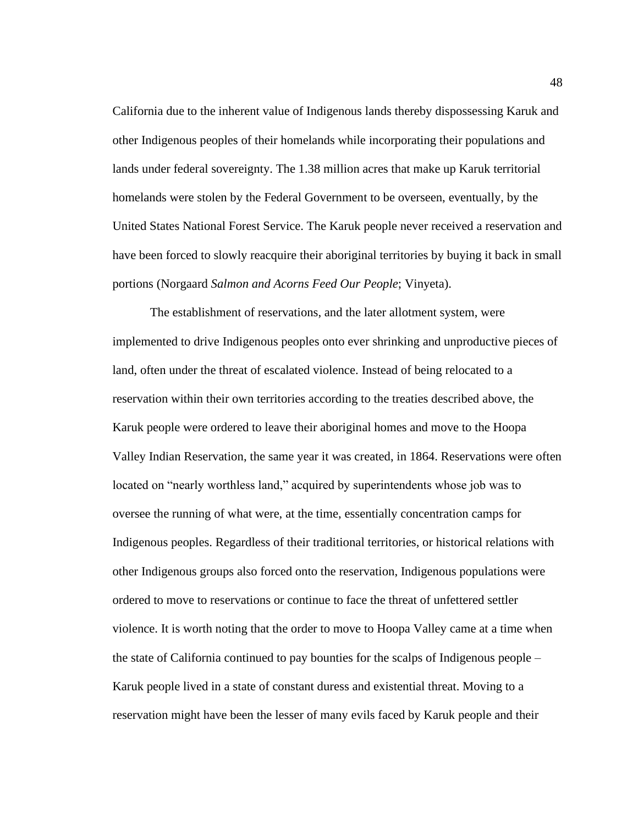California due to the inherent value of Indigenous lands thereby dispossessing Karuk and other Indigenous peoples of their homelands while incorporating their populations and lands under federal sovereignty. The 1.38 million acres that make up Karuk territorial homelands were stolen by the Federal Government to be overseen, eventually, by the United States National Forest Service. The Karuk people never received a reservation and have been forced to slowly reacquire their aboriginal territories by buying it back in small portions (Norgaard *Salmon and Acorns Feed Our People*; Vinyeta).

The establishment of reservations, and the later allotment system, were implemented to drive Indigenous peoples onto ever shrinking and unproductive pieces of land, often under the threat of escalated violence. Instead of being relocated to a reservation within their own territories according to the treaties described above, the Karuk people were ordered to leave their aboriginal homes and move to the Hoopa Valley Indian Reservation, the same year it was created, in 1864. Reservations were often located on "nearly worthless land," acquired by superintendents whose job was to oversee the running of what were, at the time, essentially concentration camps for Indigenous peoples. Regardless of their traditional territories, or historical relations with other Indigenous groups also forced onto the reservation, Indigenous populations were ordered to move to reservations or continue to face the threat of unfettered settler violence. It is worth noting that the order to move to Hoopa Valley came at a time when the state of California continued to pay bounties for the scalps of Indigenous people – Karuk people lived in a state of constant duress and existential threat. Moving to a reservation might have been the lesser of many evils faced by Karuk people and their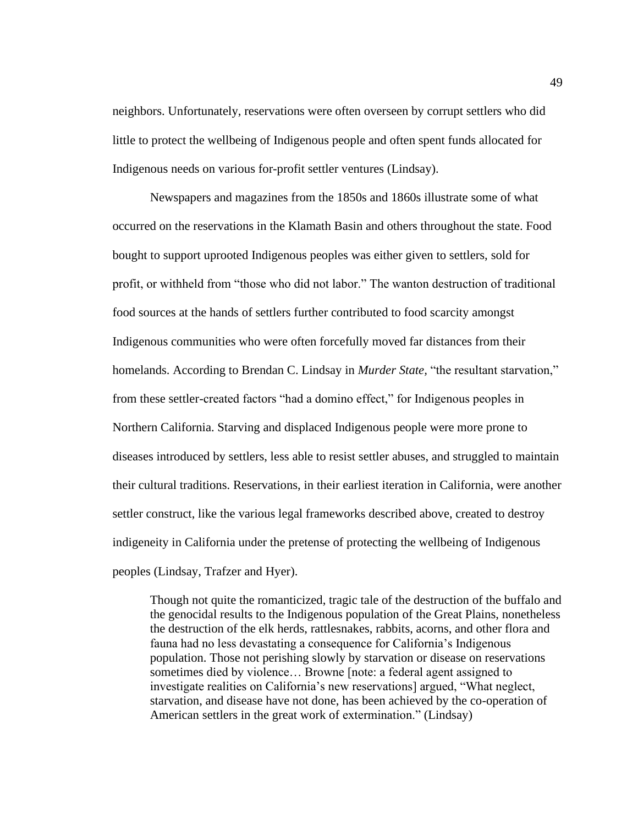neighbors. Unfortunately, reservations were often overseen by corrupt settlers who did little to protect the wellbeing of Indigenous people and often spent funds allocated for Indigenous needs on various for-profit settler ventures (Lindsay).

Newspapers and magazines from the 1850s and 1860s illustrate some of what occurred on the reservations in the Klamath Basin and others throughout the state. Food bought to support uprooted Indigenous peoples was either given to settlers, sold for profit, or withheld from "those who did not labor." The wanton destruction of traditional food sources at the hands of settlers further contributed to food scarcity amongst Indigenous communities who were often forcefully moved far distances from their homelands. According to Brendan C. Lindsay in *Murder State,* "the resultant starvation," from these settler-created factors "had a domino effect," for Indigenous peoples in Northern California. Starving and displaced Indigenous people were more prone to diseases introduced by settlers, less able to resist settler abuses, and struggled to maintain their cultural traditions. Reservations, in their earliest iteration in California, were another settler construct, like the various legal frameworks described above, created to destroy indigeneity in California under the pretense of protecting the wellbeing of Indigenous peoples (Lindsay, Trafzer and Hyer).

Though not quite the romanticized, tragic tale of the destruction of the buffalo and the genocidal results to the Indigenous population of the Great Plains, nonetheless the destruction of the elk herds, rattlesnakes, rabbits, acorns, and other flora and fauna had no less devastating a consequence for California's Indigenous population. Those not perishing slowly by starvation or disease on reservations sometimes died by violence… Browne [note: a federal agent assigned to investigate realities on California's new reservations] argued, "What neglect, starvation, and disease have not done, has been achieved by the co-operation of American settlers in the great work of extermination." (Lindsay)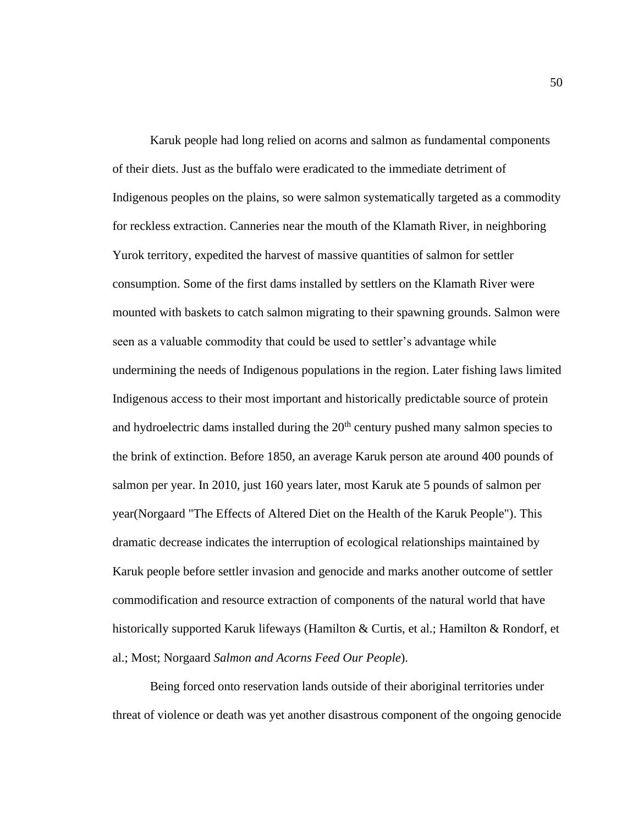Karuk people had long relied on acorns and salmon as fundamental components of their diets. Just as the buffalo were eradicated to the immediate detriment of Indigenous peoples on the plains, so were salmon systematically targeted as a commodity for reckless extraction. Canneries near the mouth of the Klamath River, in neighboring Yurok territory, expedited the harvest of massive quantities of salmon for settler consumption. Some of the first dams installed by settlers on the Klamath River were mounted with baskets to catch salmon migrating to their spawning grounds. Salmon were seen as a valuable commodity that could be used to settler's advantage while undermining the needs of Indigenous populations in the region. Later fishing laws limited Indigenous access to their most important and historically predictable source of protein and hydroelectric dams installed during the  $20<sup>th</sup>$  century pushed many salmon species to the brink of extinction. Before 1850, an average Karuk person ate around 400 pounds of salmon per year. In 2010, just 160 years later, most Karuk ate 5 pounds of salmon per year(Norgaard "The Effects of Altered Diet on the Health of the Karuk People"). This dramatic decrease indicates the interruption of ecological relationships maintained by Karuk people before settler invasion and genocide and marks another outcome of settler commodification and resource extraction of components of the natural world that have historically supported Karuk lifeways (Hamilton & Curtis, et al.; Hamilton & Rondorf, et al.; Most; Norgaard *Salmon and Acorns Feed Our People*).

Being forced onto reservation lands outside of their aboriginal territories under threat of violence or death was yet another disastrous component of the ongoing genocide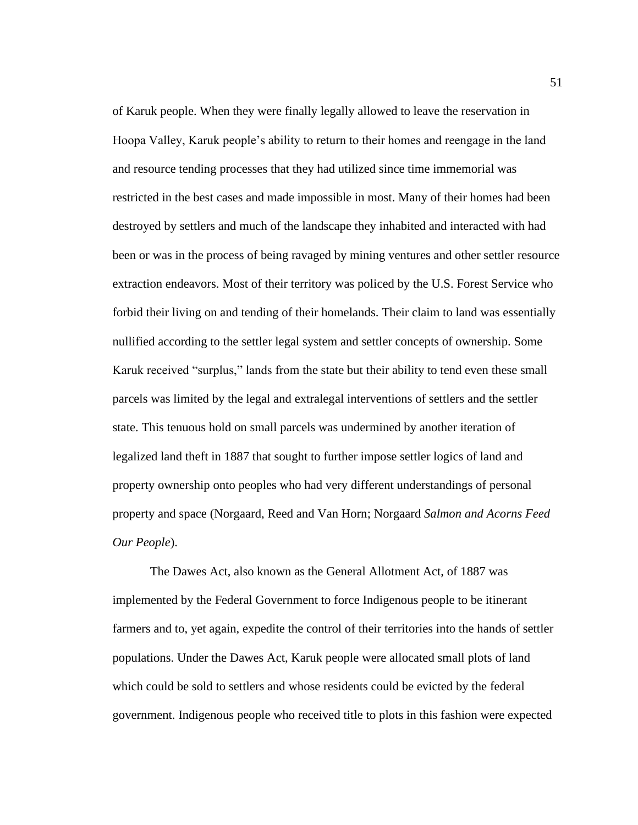of Karuk people. When they were finally legally allowed to leave the reservation in Hoopa Valley, Karuk people's ability to return to their homes and reengage in the land and resource tending processes that they had utilized since time immemorial was restricted in the best cases and made impossible in most. Many of their homes had been destroyed by settlers and much of the landscape they inhabited and interacted with had been or was in the process of being ravaged by mining ventures and other settler resource extraction endeavors. Most of their territory was policed by the U.S. Forest Service who forbid their living on and tending of their homelands. Their claim to land was essentially nullified according to the settler legal system and settler concepts of ownership. Some Karuk received "surplus," lands from the state but their ability to tend even these small parcels was limited by the legal and extralegal interventions of settlers and the settler state. This tenuous hold on small parcels was undermined by another iteration of legalized land theft in 1887 that sought to further impose settler logics of land and property ownership onto peoples who had very different understandings of personal property and space (Norgaard, Reed and Van Horn; Norgaard *Salmon and Acorns Feed Our People*).

The Dawes Act, also known as the General Allotment Act, of 1887 was implemented by the Federal Government to force Indigenous people to be itinerant farmers and to, yet again, expedite the control of their territories into the hands of settler populations. Under the Dawes Act, Karuk people were allocated small plots of land which could be sold to settlers and whose residents could be evicted by the federal government. Indigenous people who received title to plots in this fashion were expected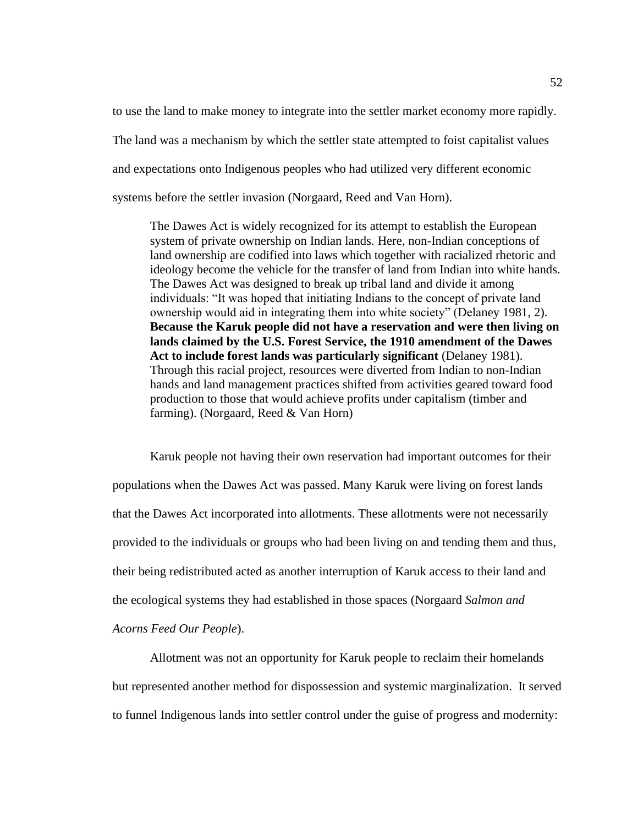to use the land to make money to integrate into the settler market economy more rapidly. The land was a mechanism by which the settler state attempted to foist capitalist values and expectations onto Indigenous peoples who had utilized very different economic systems before the settler invasion (Norgaard, Reed and Van Horn).

The Dawes Act is widely recognized for its attempt to establish the European system of private ownership on Indian lands. Here, non-Indian conceptions of land ownership are codified into laws which together with racialized rhetoric and ideology become the vehicle for the transfer of land from Indian into white hands. The Dawes Act was designed to break up tribal land and divide it among individuals: "It was hoped that initiating Indians to the concept of private land ownership would aid in integrating them into white society" (Delaney 1981, 2). **Because the Karuk people did not have a reservation and were then living on lands claimed by the U.S. Forest Service, the 1910 amendment of the Dawes Act to include forest lands was particularly significant** (Delaney 1981). Through this racial project, resources were diverted from Indian to non-Indian hands and land management practices shifted from activities geared toward food production to those that would achieve profits under capitalism (timber and farming). (Norgaard, Reed & Van Horn)

Karuk people not having their own reservation had important outcomes for their populations when the Dawes Act was passed. Many Karuk were living on forest lands that the Dawes Act incorporated into allotments. These allotments were not necessarily provided to the individuals or groups who had been living on and tending them and thus, their being redistributed acted as another interruption of Karuk access to their land and the ecological systems they had established in those spaces (Norgaard *Salmon and Acorns Feed Our People*).

Allotment was not an opportunity for Karuk people to reclaim their homelands but represented another method for dispossession and systemic marginalization. It served to funnel Indigenous lands into settler control under the guise of progress and modernity: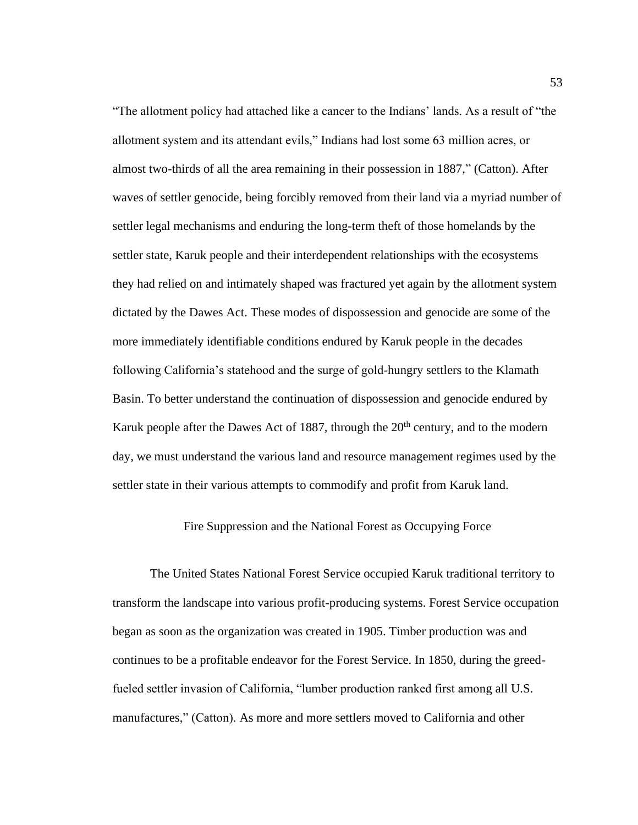"The allotment policy had attached like a cancer to the Indians' lands. As a result of "the allotment system and its attendant evils," Indians had lost some 63 million acres, or almost two-thirds of all the area remaining in their possession in 1887," (Catton). After waves of settler genocide, being forcibly removed from their land via a myriad number of settler legal mechanisms and enduring the long-term theft of those homelands by the settler state, Karuk people and their interdependent relationships with the ecosystems they had relied on and intimately shaped was fractured yet again by the allotment system dictated by the Dawes Act. These modes of dispossession and genocide are some of the more immediately identifiable conditions endured by Karuk people in the decades following California's statehood and the surge of gold-hungry settlers to the Klamath Basin. To better understand the continuation of dispossession and genocide endured by Karuk people after the Dawes Act of 1887, through the  $20<sup>th</sup>$  century, and to the modern day, we must understand the various land and resource management regimes used by the settler state in their various attempts to commodify and profit from Karuk land.

## Fire Suppression and the National Forest as Occupying Force

The United States National Forest Service occupied Karuk traditional territory to transform the landscape into various profit-producing systems. Forest Service occupation began as soon as the organization was created in 1905. Timber production was and continues to be a profitable endeavor for the Forest Service. In 1850, during the greedfueled settler invasion of California, "lumber production ranked first among all U.S. manufactures," (Catton). As more and more settlers moved to California and other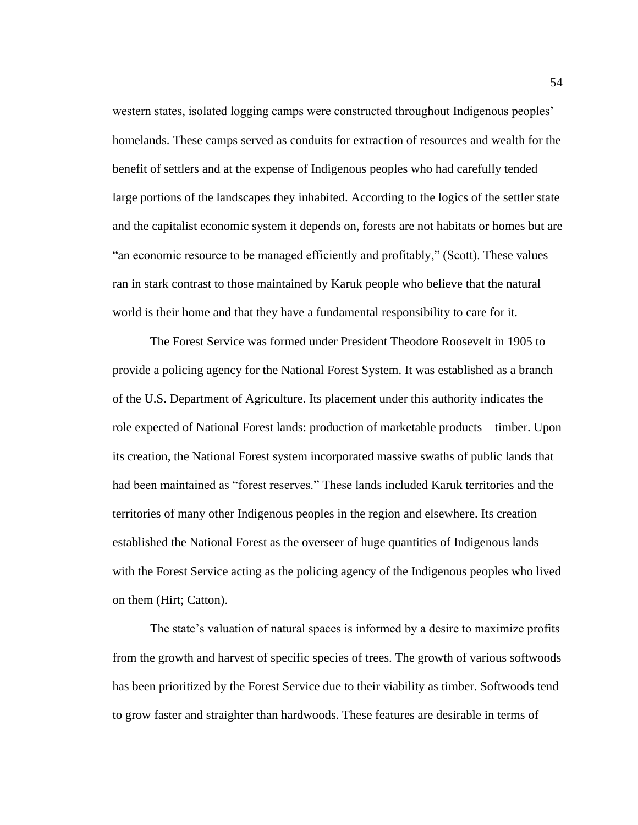western states, isolated logging camps were constructed throughout Indigenous peoples' homelands. These camps served as conduits for extraction of resources and wealth for the benefit of settlers and at the expense of Indigenous peoples who had carefully tended large portions of the landscapes they inhabited. According to the logics of the settler state and the capitalist economic system it depends on, forests are not habitats or homes but are "an economic resource to be managed efficiently and profitably," (Scott). These values ran in stark contrast to those maintained by Karuk people who believe that the natural world is their home and that they have a fundamental responsibility to care for it.

The Forest Service was formed under President Theodore Roosevelt in 1905 to provide a policing agency for the National Forest System. It was established as a branch of the U.S. Department of Agriculture. Its placement under this authority indicates the role expected of National Forest lands: production of marketable products – timber. Upon its creation, the National Forest system incorporated massive swaths of public lands that had been maintained as "forest reserves." These lands included Karuk territories and the territories of many other Indigenous peoples in the region and elsewhere. Its creation established the National Forest as the overseer of huge quantities of Indigenous lands with the Forest Service acting as the policing agency of the Indigenous peoples who lived on them (Hirt; Catton).

The state's valuation of natural spaces is informed by a desire to maximize profits from the growth and harvest of specific species of trees. The growth of various softwoods has been prioritized by the Forest Service due to their viability as timber. Softwoods tend to grow faster and straighter than hardwoods. These features are desirable in terms of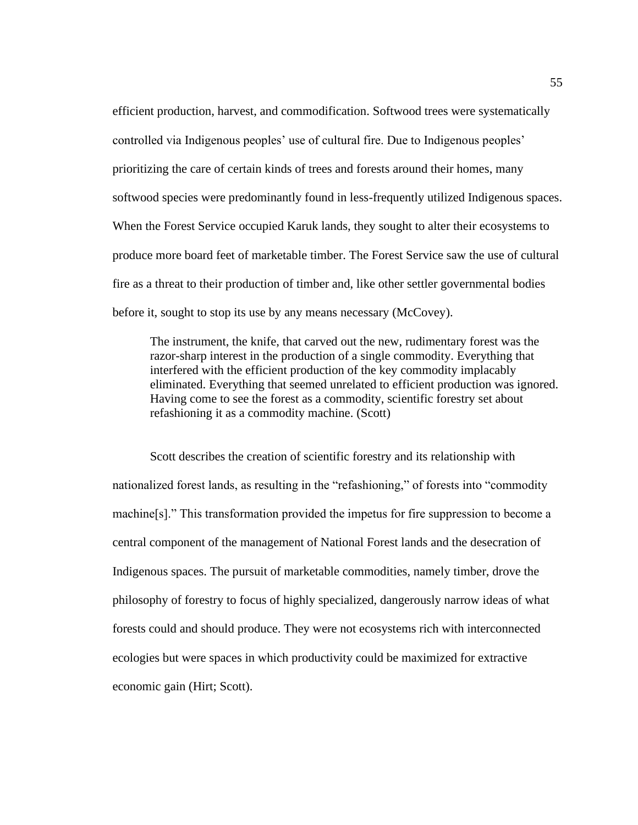efficient production, harvest, and commodification. Softwood trees were systematically controlled via Indigenous peoples' use of cultural fire. Due to Indigenous peoples' prioritizing the care of certain kinds of trees and forests around their homes, many softwood species were predominantly found in less-frequently utilized Indigenous spaces. When the Forest Service occupied Karuk lands, they sought to alter their ecosystems to produce more board feet of marketable timber. The Forest Service saw the use of cultural fire as a threat to their production of timber and, like other settler governmental bodies before it, sought to stop its use by any means necessary (McCovey).

The instrument, the knife, that carved out the new, rudimentary forest was the razor-sharp interest in the production of a single commodity. Everything that interfered with the efficient production of the key commodity implacably eliminated. Everything that seemed unrelated to efficient production was ignored. Having come to see the forest as a commodity, scientific forestry set about refashioning it as a commodity machine. (Scott)

Scott describes the creation of scientific forestry and its relationship with nationalized forest lands, as resulting in the "refashioning," of forests into "commodity machine[s]." This transformation provided the impetus for fire suppression to become a central component of the management of National Forest lands and the desecration of Indigenous spaces. The pursuit of marketable commodities, namely timber, drove the philosophy of forestry to focus of highly specialized, dangerously narrow ideas of what forests could and should produce. They were not ecosystems rich with interconnected ecologies but were spaces in which productivity could be maximized for extractive economic gain (Hirt; Scott).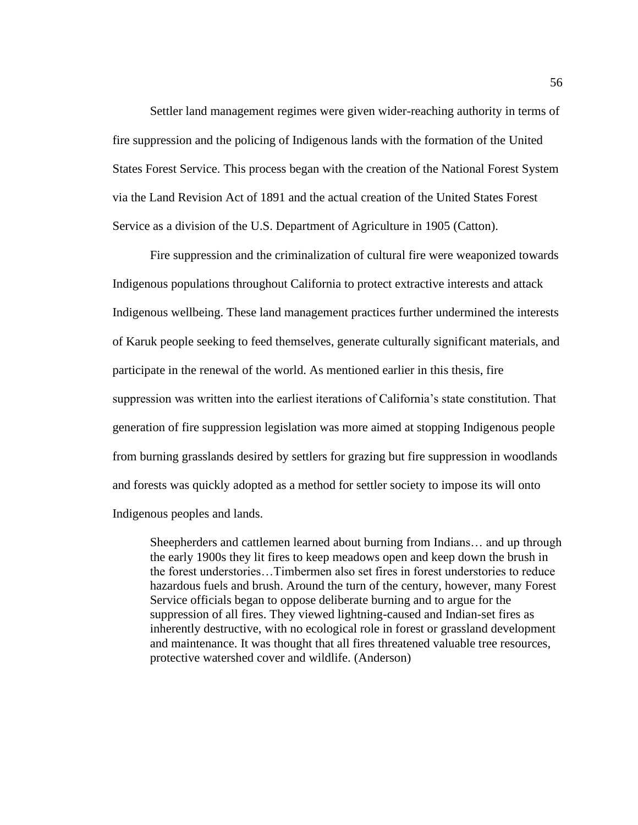Settler land management regimes were given wider-reaching authority in terms of fire suppression and the policing of Indigenous lands with the formation of the United States Forest Service. This process began with the creation of the National Forest System via the Land Revision Act of 1891 and the actual creation of the United States Forest Service as a division of the U.S. Department of Agriculture in 1905 (Catton).

Fire suppression and the criminalization of cultural fire were weaponized towards Indigenous populations throughout California to protect extractive interests and attack Indigenous wellbeing. These land management practices further undermined the interests of Karuk people seeking to feed themselves, generate culturally significant materials, and participate in the renewal of the world. As mentioned earlier in this thesis, fire suppression was written into the earliest iterations of California's state constitution. That generation of fire suppression legislation was more aimed at stopping Indigenous people from burning grasslands desired by settlers for grazing but fire suppression in woodlands and forests was quickly adopted as a method for settler society to impose its will onto Indigenous peoples and lands.

Sheepherders and cattlemen learned about burning from Indians… and up through the early 1900s they lit fires to keep meadows open and keep down the brush in the forest understories…Timbermen also set fires in forest understories to reduce hazardous fuels and brush. Around the turn of the century, however, many Forest Service officials began to oppose deliberate burning and to argue for the suppression of all fires. They viewed lightning-caused and Indian-set fires as inherently destructive, with no ecological role in forest or grassland development and maintenance. It was thought that all fires threatened valuable tree resources, protective watershed cover and wildlife. (Anderson)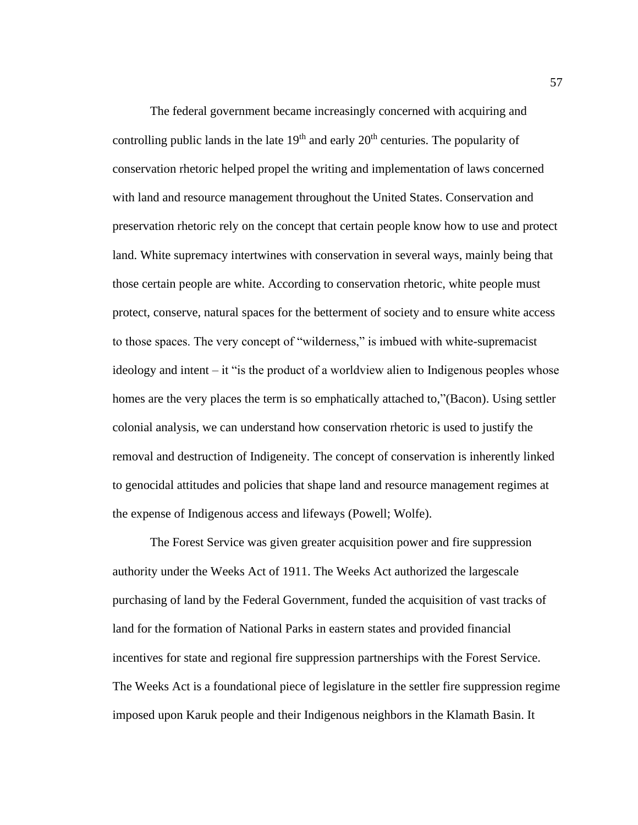The federal government became increasingly concerned with acquiring and controlling public lands in the late  $19<sup>th</sup>$  and early  $20<sup>th</sup>$  centuries. The popularity of conservation rhetoric helped propel the writing and implementation of laws concerned with land and resource management throughout the United States. Conservation and preservation rhetoric rely on the concept that certain people know how to use and protect land. White supremacy intertwines with conservation in several ways, mainly being that those certain people are white. According to conservation rhetoric, white people must protect, conserve, natural spaces for the betterment of society and to ensure white access to those spaces. The very concept of "wilderness," is imbued with white-supremacist ideology and intent – it "is the product of a worldview alien to Indigenous peoples whose homes are the very places the term is so emphatically attached to,"(Bacon). Using settler colonial analysis, we can understand how conservation rhetoric is used to justify the removal and destruction of Indigeneity. The concept of conservation is inherently linked to genocidal attitudes and policies that shape land and resource management regimes at the expense of Indigenous access and lifeways (Powell; Wolfe).

The Forest Service was given greater acquisition power and fire suppression authority under the Weeks Act of 1911. The Weeks Act authorized the largescale purchasing of land by the Federal Government, funded the acquisition of vast tracks of land for the formation of National Parks in eastern states and provided financial incentives for state and regional fire suppression partnerships with the Forest Service. The Weeks Act is a foundational piece of legislature in the settler fire suppression regime imposed upon Karuk people and their Indigenous neighbors in the Klamath Basin. It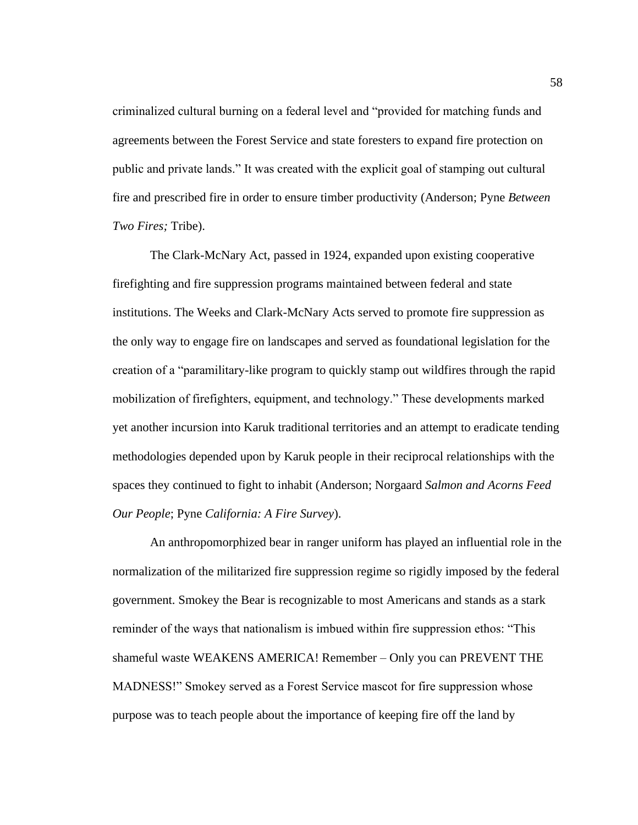criminalized cultural burning on a federal level and "provided for matching funds and agreements between the Forest Service and state foresters to expand fire protection on public and private lands." It was created with the explicit goal of stamping out cultural fire and prescribed fire in order to ensure timber productivity (Anderson; Pyne *Between Two Fires;* Tribe).

The Clark-McNary Act, passed in 1924, expanded upon existing cooperative firefighting and fire suppression programs maintained between federal and state institutions. The Weeks and Clark-McNary Acts served to promote fire suppression as the only way to engage fire on landscapes and served as foundational legislation for the creation of a "paramilitary-like program to quickly stamp out wildfires through the rapid mobilization of firefighters, equipment, and technology." These developments marked yet another incursion into Karuk traditional territories and an attempt to eradicate tending methodologies depended upon by Karuk people in their reciprocal relationships with the spaces they continued to fight to inhabit (Anderson; Norgaard *Salmon and Acorns Feed Our People*; Pyne *California: A Fire Survey*).

An anthropomorphized bear in ranger uniform has played an influential role in the normalization of the militarized fire suppression regime so rigidly imposed by the federal government. Smokey the Bear is recognizable to most Americans and stands as a stark reminder of the ways that nationalism is imbued within fire suppression ethos: "This shameful waste WEAKENS AMERICA! Remember – Only you can PREVENT THE MADNESS!" Smokey served as a Forest Service mascot for fire suppression whose purpose was to teach people about the importance of keeping fire off the land by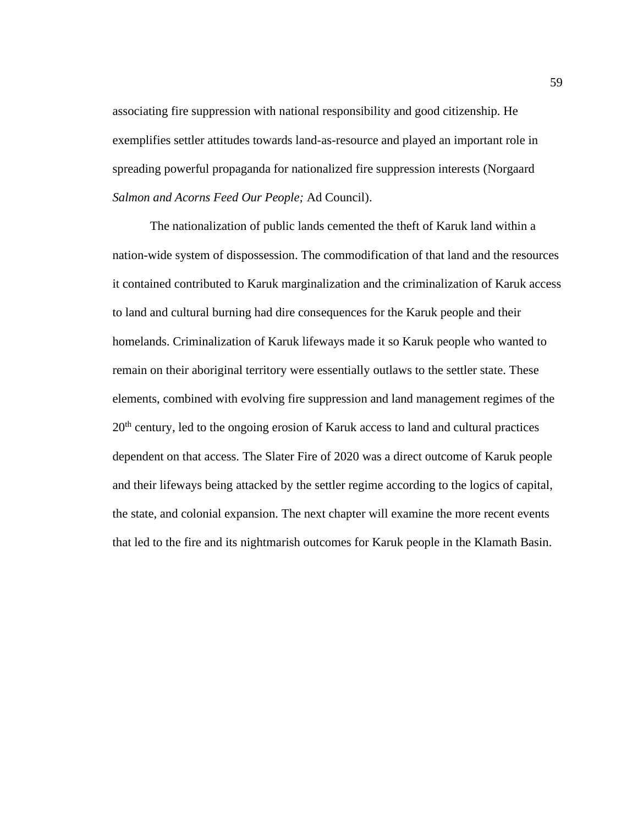associating fire suppression with national responsibility and good citizenship. He exemplifies settler attitudes towards land-as-resource and played an important role in spreading powerful propaganda for nationalized fire suppression interests (Norgaard *Salmon and Acorns Feed Our People;* Ad Council).

The nationalization of public lands cemented the theft of Karuk land within a nation-wide system of dispossession. The commodification of that land and the resources it contained contributed to Karuk marginalization and the criminalization of Karuk access to land and cultural burning had dire consequences for the Karuk people and their homelands. Criminalization of Karuk lifeways made it so Karuk people who wanted to remain on their aboriginal territory were essentially outlaws to the settler state. These elements, combined with evolving fire suppression and land management regimes of the 20<sup>th</sup> century, led to the ongoing erosion of Karuk access to land and cultural practices dependent on that access. The Slater Fire of 2020 was a direct outcome of Karuk people and their lifeways being attacked by the settler regime according to the logics of capital, the state, and colonial expansion. The next chapter will examine the more recent events that led to the fire and its nightmarish outcomes for Karuk people in the Klamath Basin.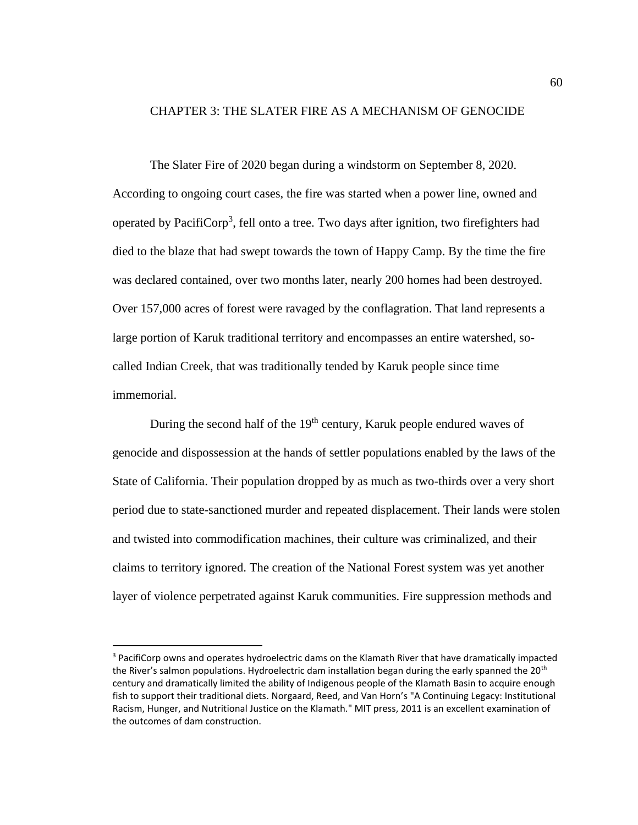# CHAPTER 3: THE SLATER FIRE AS A MECHANISM OF GENOCIDE

The Slater Fire of 2020 began during a windstorm on September 8, 2020. According to ongoing court cases, the fire was started when a power line, owned and operated by PacifiCorp<sup>3</sup>, fell onto a tree. Two days after ignition, two firefighters had died to the blaze that had swept towards the town of Happy Camp. By the time the fire was declared contained, over two months later, nearly 200 homes had been destroyed. Over 157,000 acres of forest were ravaged by the conflagration. That land represents a large portion of Karuk traditional territory and encompasses an entire watershed, socalled Indian Creek, that was traditionally tended by Karuk people since time immemorial.

During the second half of the 19<sup>th</sup> century, Karuk people endured waves of genocide and dispossession at the hands of settler populations enabled by the laws of the State of California. Their population dropped by as much as two-thirds over a very short period due to state-sanctioned murder and repeated displacement. Their lands were stolen and twisted into commodification machines, their culture was criminalized, and their claims to territory ignored. The creation of the National Forest system was yet another layer of violence perpetrated against Karuk communities. Fire suppression methods and

<sup>&</sup>lt;sup>3</sup> PacifiCorp owns and operates hydroelectric dams on the Klamath River that have dramatically impacted the River's salmon populations. Hydroelectric dam installation began during the early spanned the 20<sup>th</sup> century and dramatically limited the ability of Indigenous people of the Klamath Basin to acquire enough fish to support their traditional diets. Norgaard, Reed, and Van Horn's "A Continuing Legacy: Institutional Racism, Hunger, and Nutritional Justice on the Klamath." MIT press, 2011 is an excellent examination of the outcomes of dam construction.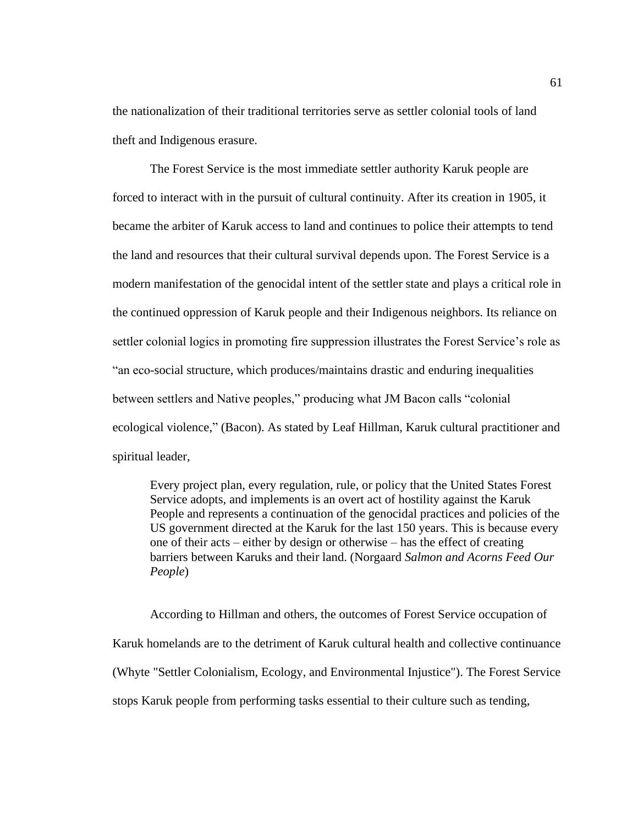the nationalization of their traditional territories serve as settler colonial tools of land theft and Indigenous erasure.

The Forest Service is the most immediate settler authority Karuk people are forced to interact with in the pursuit of cultural continuity. After its creation in 1905, it became the arbiter of Karuk access to land and continues to police their attempts to tend the land and resources that their cultural survival depends upon. The Forest Service is a modern manifestation of the genocidal intent of the settler state and plays a critical role in the continued oppression of Karuk people and their Indigenous neighbors. Its reliance on settler colonial logics in promoting fire suppression illustrates the Forest Service's role as "an eco-social structure, which produces/maintains drastic and enduring inequalities between settlers and Native peoples," producing what JM Bacon calls "colonial ecological violence," (Bacon). As stated by Leaf Hillman, Karuk cultural practitioner and spiritual leader,

Every project plan, every regulation, rule, or policy that the United States Forest Service adopts, and implements is an overt act of hostility against the Karuk People and represents a continuation of the genocidal practices and policies of the US government directed at the Karuk for the last 150 years. This is because every one of their acts – either by design or otherwise – has the effect of creating barriers between Karuks and their land. (Norgaard *Salmon and Acorns Feed Our People*)

According to Hillman and others, the outcomes of Forest Service occupation of Karuk homelands are to the detriment of Karuk cultural health and collective continuance (Whyte "Settler Colonialism, Ecology, and Environmental Injustice"). The Forest Service stops Karuk people from performing tasks essential to their culture such as tending,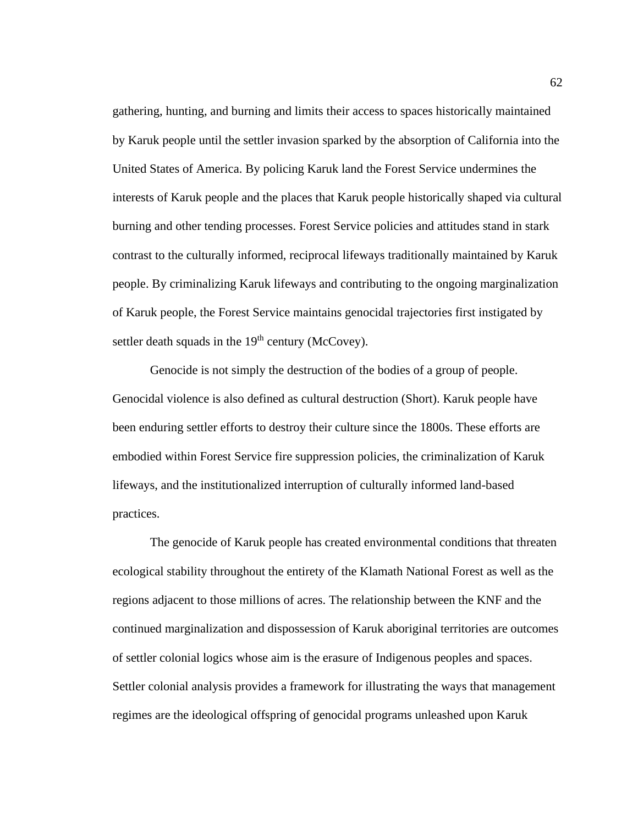gathering, hunting, and burning and limits their access to spaces historically maintained by Karuk people until the settler invasion sparked by the absorption of California into the United States of America. By policing Karuk land the Forest Service undermines the interests of Karuk people and the places that Karuk people historically shaped via cultural burning and other tending processes. Forest Service policies and attitudes stand in stark contrast to the culturally informed, reciprocal lifeways traditionally maintained by Karuk people. By criminalizing Karuk lifeways and contributing to the ongoing marginalization of Karuk people, the Forest Service maintains genocidal trajectories first instigated by settler death squads in the  $19<sup>th</sup>$  century (McCovey).

Genocide is not simply the destruction of the bodies of a group of people. Genocidal violence is also defined as cultural destruction (Short). Karuk people have been enduring settler efforts to destroy their culture since the 1800s. These efforts are embodied within Forest Service fire suppression policies, the criminalization of Karuk lifeways, and the institutionalized interruption of culturally informed land-based practices.

The genocide of Karuk people has created environmental conditions that threaten ecological stability throughout the entirety of the Klamath National Forest as well as the regions adjacent to those millions of acres. The relationship between the KNF and the continued marginalization and dispossession of Karuk aboriginal territories are outcomes of settler colonial logics whose aim is the erasure of Indigenous peoples and spaces. Settler colonial analysis provides a framework for illustrating the ways that management regimes are the ideological offspring of genocidal programs unleashed upon Karuk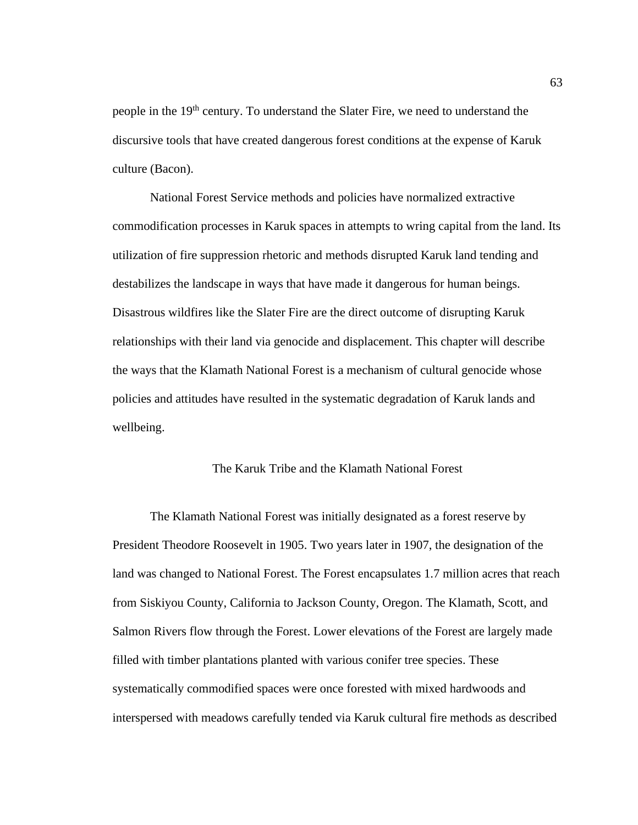people in the 19th century. To understand the Slater Fire, we need to understand the discursive tools that have created dangerous forest conditions at the expense of Karuk culture (Bacon).

National Forest Service methods and policies have normalized extractive commodification processes in Karuk spaces in attempts to wring capital from the land. Its utilization of fire suppression rhetoric and methods disrupted Karuk land tending and destabilizes the landscape in ways that have made it dangerous for human beings. Disastrous wildfires like the Slater Fire are the direct outcome of disrupting Karuk relationships with their land via genocide and displacement. This chapter will describe the ways that the Klamath National Forest is a mechanism of cultural genocide whose policies and attitudes have resulted in the systematic degradation of Karuk lands and wellbeing.

### The Karuk Tribe and the Klamath National Forest

The Klamath National Forest was initially designated as a forest reserve by President Theodore Roosevelt in 1905. Two years later in 1907, the designation of the land was changed to National Forest. The Forest encapsulates 1.7 million acres that reach from Siskiyou County, California to Jackson County, Oregon. The Klamath, Scott, and Salmon Rivers flow through the Forest. Lower elevations of the Forest are largely made filled with timber plantations planted with various conifer tree species. These systematically commodified spaces were once forested with mixed hardwoods and interspersed with meadows carefully tended via Karuk cultural fire methods as described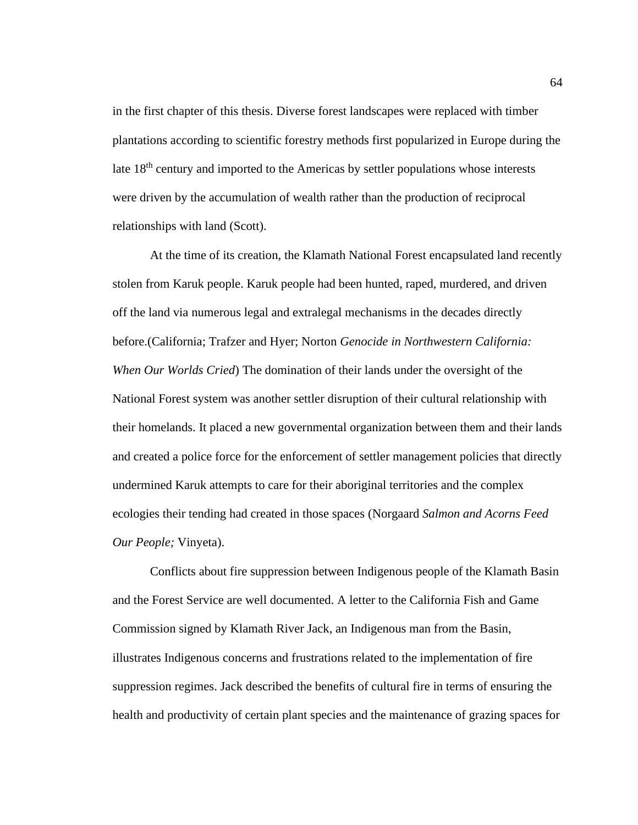in the first chapter of this thesis. Diverse forest landscapes were replaced with timber plantations according to scientific forestry methods first popularized in Europe during the late 18<sup>th</sup> century and imported to the Americas by settler populations whose interests were driven by the accumulation of wealth rather than the production of reciprocal relationships with land (Scott).

At the time of its creation, the Klamath National Forest encapsulated land recently stolen from Karuk people. Karuk people had been hunted, raped, murdered, and driven off the land via numerous legal and extralegal mechanisms in the decades directly before.(California; Trafzer and Hyer; Norton *Genocide in Northwestern California: When Our Worlds Cried*) The domination of their lands under the oversight of the National Forest system was another settler disruption of their cultural relationship with their homelands. It placed a new governmental organization between them and their lands and created a police force for the enforcement of settler management policies that directly undermined Karuk attempts to care for their aboriginal territories and the complex ecologies their tending had created in those spaces (Norgaard *Salmon and Acorns Feed Our People;* Vinyeta).

Conflicts about fire suppression between Indigenous people of the Klamath Basin and the Forest Service are well documented. A letter to the California Fish and Game Commission signed by Klamath River Jack, an Indigenous man from the Basin, illustrates Indigenous concerns and frustrations related to the implementation of fire suppression regimes. Jack described the benefits of cultural fire in terms of ensuring the health and productivity of certain plant species and the maintenance of grazing spaces for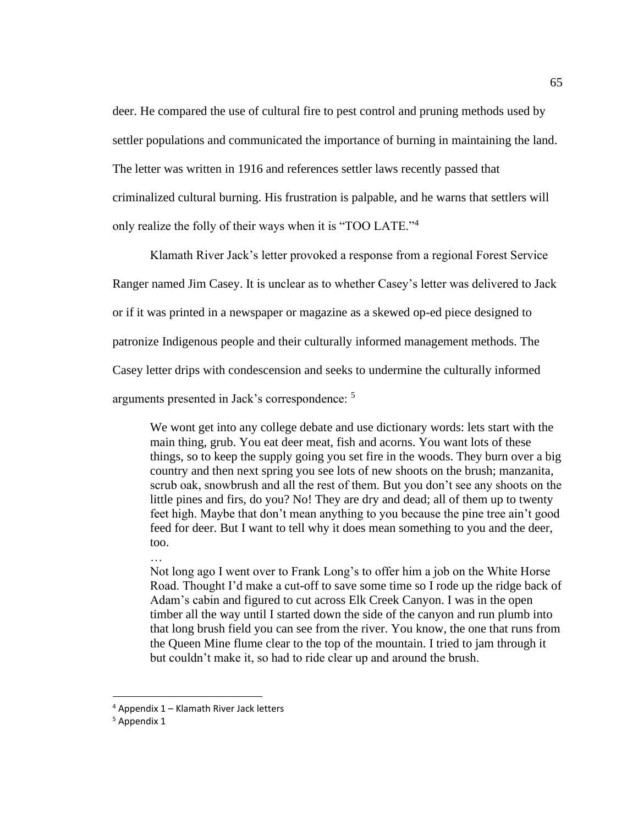deer. He compared the use of cultural fire to pest control and pruning methods used by settler populations and communicated the importance of burning in maintaining the land. The letter was written in 1916 and references settler laws recently passed that criminalized cultural burning. His frustration is palpable, and he warns that settlers will only realize the folly of their ways when it is "TOO LATE."<sup>4</sup>

Klamath River Jack's letter provoked a response from a regional Forest Service Ranger named Jim Casey. It is unclear as to whether Casey's letter was delivered to Jack or if it was printed in a newspaper or magazine as a skewed op-ed piece designed to patronize Indigenous people and their culturally informed management methods. The Casey letter drips with condescension and seeks to undermine the culturally informed arguments presented in Jack's correspondence: <sup>5</sup>

We wont get into any college debate and use dictionary words: lets start with the main thing, grub. You eat deer meat, fish and acorns. You want lots of these things, so to keep the supply going you set fire in the woods. They burn over a big country and then next spring you see lots of new shoots on the brush; manzanita, scrub oak, snowbrush and all the rest of them. But you don't see any shoots on the little pines and firs, do you? No! They are dry and dead; all of them up to twenty feet high. Maybe that don't mean anything to you because the pine tree ain't good feed for deer. But I want to tell why it does mean something to you and the deer, too.

…

Not long ago I went over to Frank Long's to offer him a job on the White Horse Road. Thought I'd make a cut-off to save some time so I rode up the ridge back of Adam's cabin and figured to cut across Elk Creek Canyon. I was in the open timber all the way until I started down the side of the canyon and run plumb into that long brush field you can see from the river. You know, the one that runs from the Queen Mine flume clear to the top of the mountain. I tried to jam through it but couldn't make it, so had to ride clear up and around the brush.

<sup>4</sup> Appendix 1 – Klamath River Jack letters

<sup>&</sup>lt;sup>5</sup> Appendix 1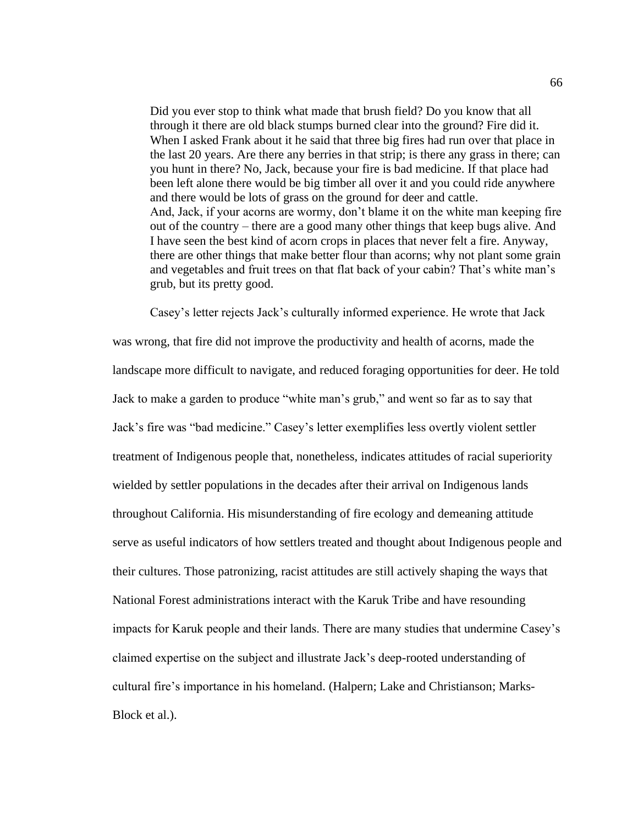Did you ever stop to think what made that brush field? Do you know that all through it there are old black stumps burned clear into the ground? Fire did it. When I asked Frank about it he said that three big fires had run over that place in the last 20 years. Are there any berries in that strip; is there any grass in there; can you hunt in there? No, Jack, because your fire is bad medicine. If that place had been left alone there would be big timber all over it and you could ride anywhere and there would be lots of grass on the ground for deer and cattle. And, Jack, if your acorns are wormy, don't blame it on the white man keeping fire out of the country – there are a good many other things that keep bugs alive. And I have seen the best kind of acorn crops in places that never felt a fire. Anyway, there are other things that make better flour than acorns; why not plant some grain and vegetables and fruit trees on that flat back of your cabin? That's white man's grub, but its pretty good.

Casey's letter rejects Jack's culturally informed experience. He wrote that Jack was wrong, that fire did not improve the productivity and health of acorns, made the landscape more difficult to navigate, and reduced foraging opportunities for deer. He told Jack to make a garden to produce "white man's grub," and went so far as to say that Jack's fire was "bad medicine." Casey's letter exemplifies less overtly violent settler treatment of Indigenous people that, nonetheless, indicates attitudes of racial superiority wielded by settler populations in the decades after their arrival on Indigenous lands throughout California. His misunderstanding of fire ecology and demeaning attitude serve as useful indicators of how settlers treated and thought about Indigenous people and their cultures. Those patronizing, racist attitudes are still actively shaping the ways that National Forest administrations interact with the Karuk Tribe and have resounding impacts for Karuk people and their lands. There are many studies that undermine Casey's claimed expertise on the subject and illustrate Jack's deep-rooted understanding of cultural fire's importance in his homeland. (Halpern; Lake and Christianson; Marks-Block et al.).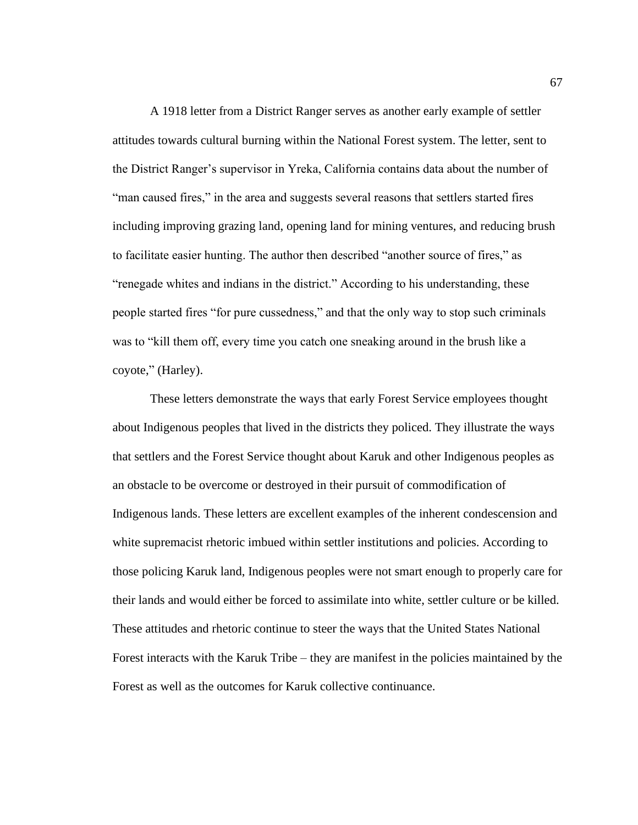A 1918 letter from a District Ranger serves as another early example of settler attitudes towards cultural burning within the National Forest system. The letter, sent to the District Ranger's supervisor in Yreka, California contains data about the number of "man caused fires," in the area and suggests several reasons that settlers started fires including improving grazing land, opening land for mining ventures, and reducing brush to facilitate easier hunting. The author then described "another source of fires," as "renegade whites and indians in the district." According to his understanding, these people started fires "for pure cussedness," and that the only way to stop such criminals was to "kill them off, every time you catch one sneaking around in the brush like a coyote," (Harley).

These letters demonstrate the ways that early Forest Service employees thought about Indigenous peoples that lived in the districts they policed. They illustrate the ways that settlers and the Forest Service thought about Karuk and other Indigenous peoples as an obstacle to be overcome or destroyed in their pursuit of commodification of Indigenous lands. These letters are excellent examples of the inherent condescension and white supremacist rhetoric imbued within settler institutions and policies. According to those policing Karuk land, Indigenous peoples were not smart enough to properly care for their lands and would either be forced to assimilate into white, settler culture or be killed. These attitudes and rhetoric continue to steer the ways that the United States National Forest interacts with the Karuk Tribe – they are manifest in the policies maintained by the Forest as well as the outcomes for Karuk collective continuance.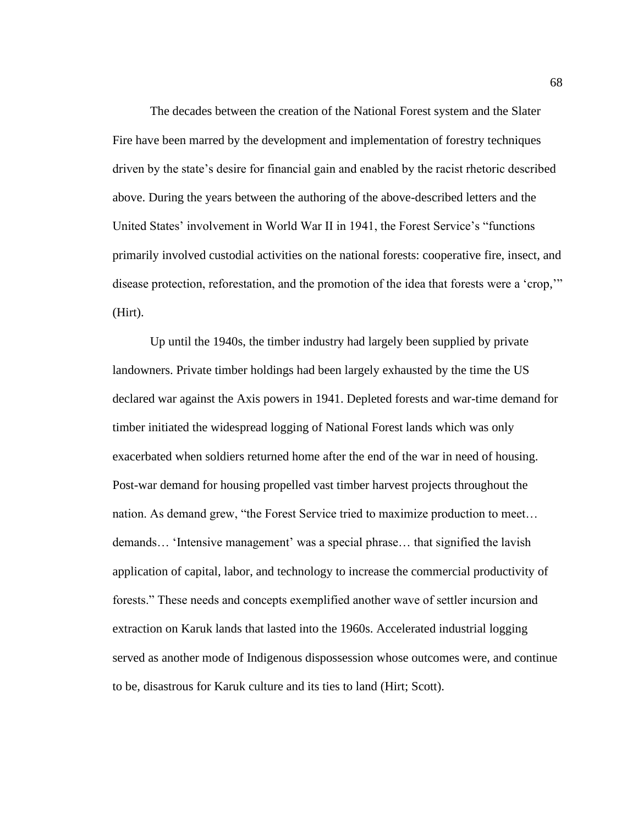The decades between the creation of the National Forest system and the Slater Fire have been marred by the development and implementation of forestry techniques driven by the state's desire for financial gain and enabled by the racist rhetoric described above. During the years between the authoring of the above-described letters and the United States' involvement in World War II in 1941, the Forest Service's "functions primarily involved custodial activities on the national forests: cooperative fire, insect, and disease protection, reforestation, and the promotion of the idea that forests were a 'crop,'" (Hirt).

Up until the 1940s, the timber industry had largely been supplied by private landowners. Private timber holdings had been largely exhausted by the time the US declared war against the Axis powers in 1941. Depleted forests and war-time demand for timber initiated the widespread logging of National Forest lands which was only exacerbated when soldiers returned home after the end of the war in need of housing. Post-war demand for housing propelled vast timber harvest projects throughout the nation. As demand grew, "the Forest Service tried to maximize production to meet… demands… 'Intensive management' was a special phrase… that signified the lavish application of capital, labor, and technology to increase the commercial productivity of forests." These needs and concepts exemplified another wave of settler incursion and extraction on Karuk lands that lasted into the 1960s. Accelerated industrial logging served as another mode of Indigenous dispossession whose outcomes were, and continue to be, disastrous for Karuk culture and its ties to land (Hirt; Scott).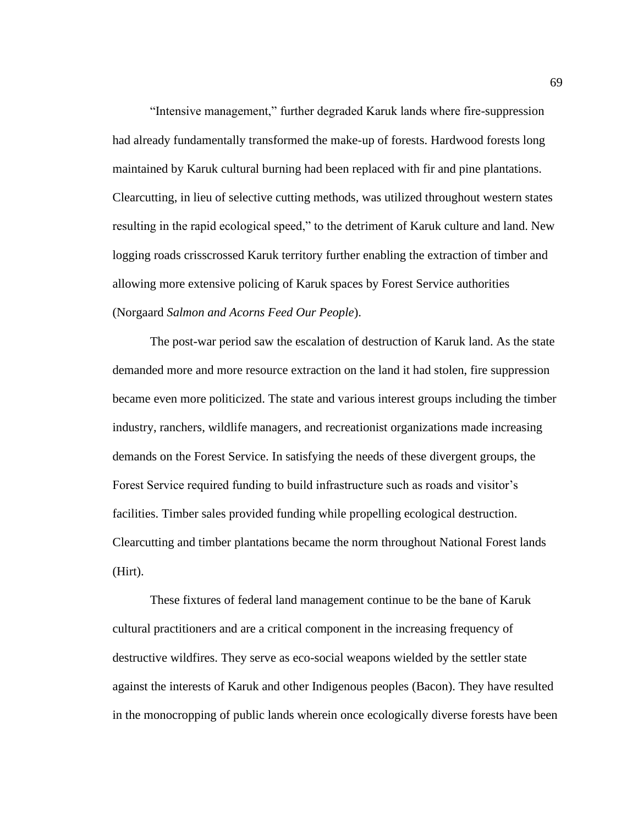"Intensive management," further degraded Karuk lands where fire-suppression had already fundamentally transformed the make-up of forests. Hardwood forests long maintained by Karuk cultural burning had been replaced with fir and pine plantations. Clearcutting, in lieu of selective cutting methods, was utilized throughout western states resulting in the rapid ecological speed," to the detriment of Karuk culture and land. New logging roads crisscrossed Karuk territory further enabling the extraction of timber and allowing more extensive policing of Karuk spaces by Forest Service authorities (Norgaard *Salmon and Acorns Feed Our People*).

The post-war period saw the escalation of destruction of Karuk land. As the state demanded more and more resource extraction on the land it had stolen, fire suppression became even more politicized. The state and various interest groups including the timber industry, ranchers, wildlife managers, and recreationist organizations made increasing demands on the Forest Service. In satisfying the needs of these divergent groups, the Forest Service required funding to build infrastructure such as roads and visitor's facilities. Timber sales provided funding while propelling ecological destruction. Clearcutting and timber plantations became the norm throughout National Forest lands (Hirt).

These fixtures of federal land management continue to be the bane of Karuk cultural practitioners and are a critical component in the increasing frequency of destructive wildfires. They serve as eco-social weapons wielded by the settler state against the interests of Karuk and other Indigenous peoples (Bacon). They have resulted in the monocropping of public lands wherein once ecologically diverse forests have been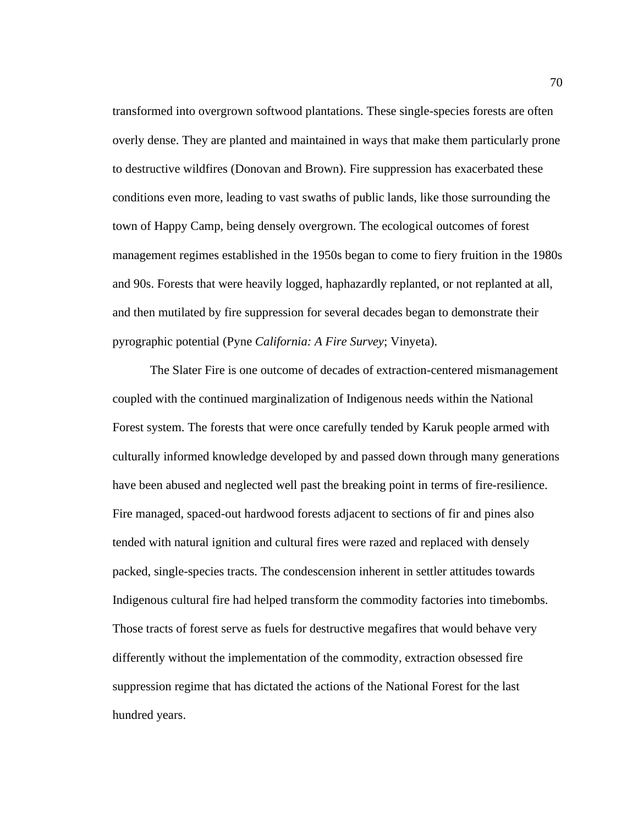transformed into overgrown softwood plantations. These single-species forests are often overly dense. They are planted and maintained in ways that make them particularly prone to destructive wildfires (Donovan and Brown). Fire suppression has exacerbated these conditions even more, leading to vast swaths of public lands, like those surrounding the town of Happy Camp, being densely overgrown. The ecological outcomes of forest management regimes established in the 1950s began to come to fiery fruition in the 1980s and 90s. Forests that were heavily logged, haphazardly replanted, or not replanted at all, and then mutilated by fire suppression for several decades began to demonstrate their pyrographic potential (Pyne *California: A Fire Survey*; Vinyeta).

The Slater Fire is one outcome of decades of extraction-centered mismanagement coupled with the continued marginalization of Indigenous needs within the National Forest system. The forests that were once carefully tended by Karuk people armed with culturally informed knowledge developed by and passed down through many generations have been abused and neglected well past the breaking point in terms of fire-resilience. Fire managed, spaced-out hardwood forests adjacent to sections of fir and pines also tended with natural ignition and cultural fires were razed and replaced with densely packed, single-species tracts. The condescension inherent in settler attitudes towards Indigenous cultural fire had helped transform the commodity factories into timebombs. Those tracts of forest serve as fuels for destructive megafires that would behave very differently without the implementation of the commodity, extraction obsessed fire suppression regime that has dictated the actions of the National Forest for the last hundred years.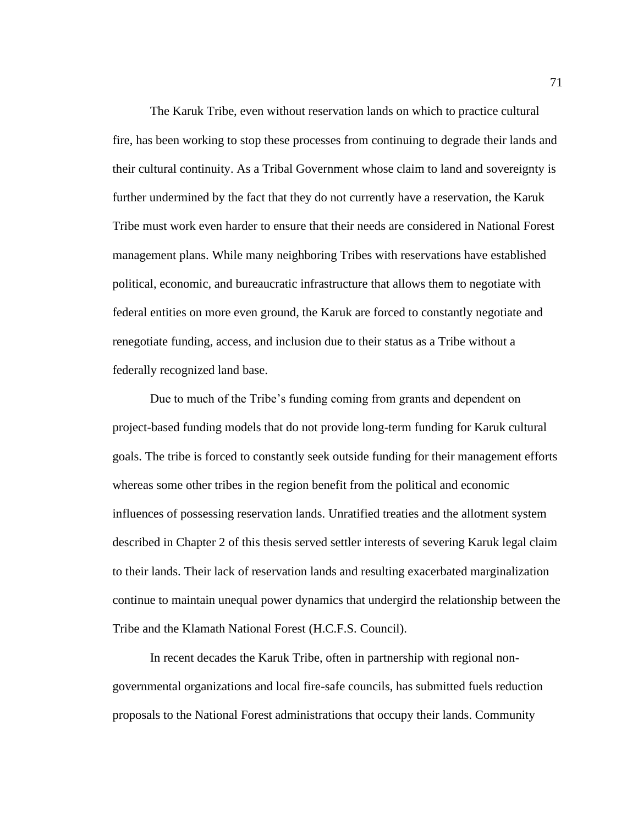The Karuk Tribe, even without reservation lands on which to practice cultural fire, has been working to stop these processes from continuing to degrade their lands and their cultural continuity. As a Tribal Government whose claim to land and sovereignty is further undermined by the fact that they do not currently have a reservation, the Karuk Tribe must work even harder to ensure that their needs are considered in National Forest management plans. While many neighboring Tribes with reservations have established political, economic, and bureaucratic infrastructure that allows them to negotiate with federal entities on more even ground, the Karuk are forced to constantly negotiate and renegotiate funding, access, and inclusion due to their status as a Tribe without a federally recognized land base.

Due to much of the Tribe's funding coming from grants and dependent on project-based funding models that do not provide long-term funding for Karuk cultural goals. The tribe is forced to constantly seek outside funding for their management efforts whereas some other tribes in the region benefit from the political and economic influences of possessing reservation lands. Unratified treaties and the allotment system described in Chapter 2 of this thesis served settler interests of severing Karuk legal claim to their lands. Their lack of reservation lands and resulting exacerbated marginalization continue to maintain unequal power dynamics that undergird the relationship between the Tribe and the Klamath National Forest (H.C.F.S. Council).

In recent decades the Karuk Tribe, often in partnership with regional nongovernmental organizations and local fire-safe councils, has submitted fuels reduction proposals to the National Forest administrations that occupy their lands. Community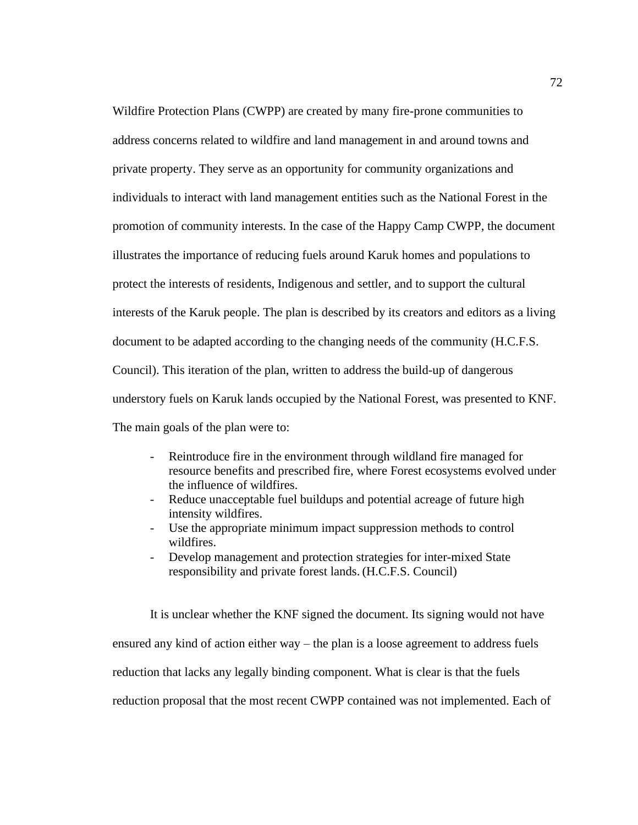Wildfire Protection Plans (CWPP) are created by many fire-prone communities to address concerns related to wildfire and land management in and around towns and private property. They serve as an opportunity for community organizations and individuals to interact with land management entities such as the National Forest in the promotion of community interests. In the case of the Happy Camp CWPP, the document illustrates the importance of reducing fuels around Karuk homes and populations to protect the interests of residents, Indigenous and settler, and to support the cultural interests of the Karuk people. The plan is described by its creators and editors as a living document to be adapted according to the changing needs of the community (H.C.F.S. Council). This iteration of the plan, written to address the build-up of dangerous understory fuels on Karuk lands occupied by the National Forest, was presented to KNF. The main goals of the plan were to:

- Reintroduce fire in the environment through wildland fire managed for resource benefits and prescribed fire, where Forest ecosystems evolved under the influence of wildfires.
- Reduce unacceptable fuel buildups and potential acreage of future high intensity wildfires.
- Use the appropriate minimum impact suppression methods to control wildfires.
- Develop management and protection strategies for inter-mixed State responsibility and private forest lands. (H.C.F.S. Council)

It is unclear whether the KNF signed the document. Its signing would not have ensured any kind of action either way – the plan is a loose agreement to address fuels reduction that lacks any legally binding component. What is clear is that the fuels reduction proposal that the most recent CWPP contained was not implemented. Each of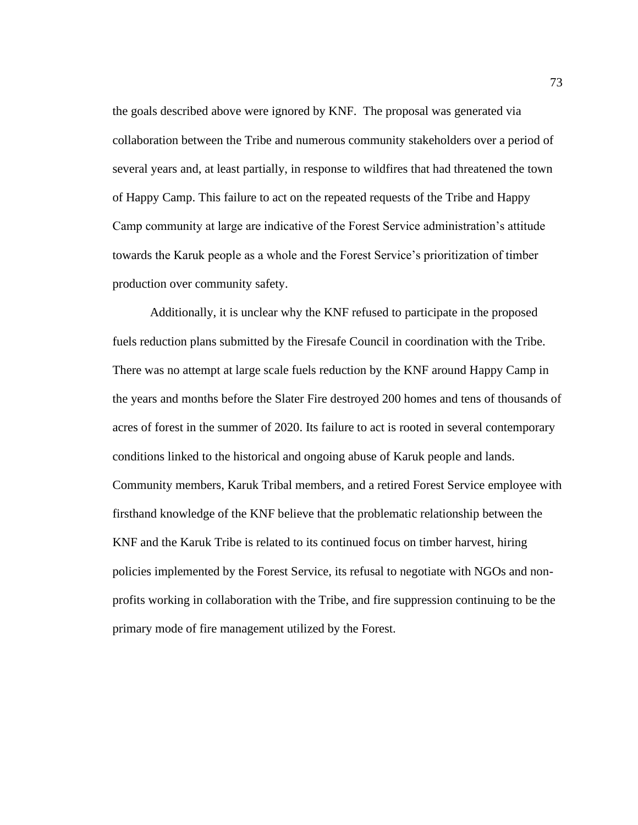the goals described above were ignored by KNF. The proposal was generated via collaboration between the Tribe and numerous community stakeholders over a period of several years and, at least partially, in response to wildfires that had threatened the town of Happy Camp. This failure to act on the repeated requests of the Tribe and Happy Camp community at large are indicative of the Forest Service administration's attitude towards the Karuk people as a whole and the Forest Service's prioritization of timber production over community safety.

Additionally, it is unclear why the KNF refused to participate in the proposed fuels reduction plans submitted by the Firesafe Council in coordination with the Tribe. There was no attempt at large scale fuels reduction by the KNF around Happy Camp in the years and months before the Slater Fire destroyed 200 homes and tens of thousands of acres of forest in the summer of 2020. Its failure to act is rooted in several contemporary conditions linked to the historical and ongoing abuse of Karuk people and lands. Community members, Karuk Tribal members, and a retired Forest Service employee with firsthand knowledge of the KNF believe that the problematic relationship between the KNF and the Karuk Tribe is related to its continued focus on timber harvest, hiring policies implemented by the Forest Service, its refusal to negotiate with NGOs and nonprofits working in collaboration with the Tribe, and fire suppression continuing to be the primary mode of fire management utilized by the Forest.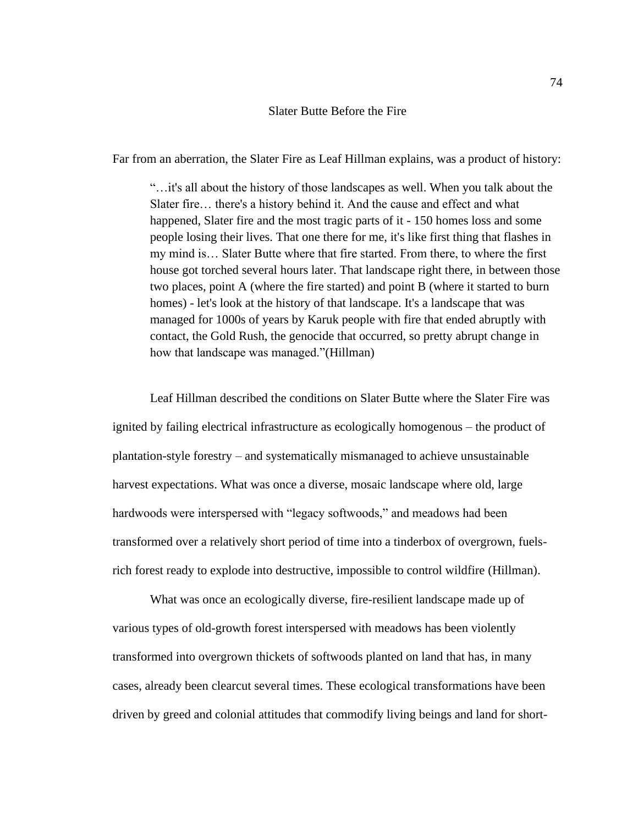### Slater Butte Before the Fire

Far from an aberration, the Slater Fire as Leaf Hillman explains, was a product of history:

"…it's all about the history of those landscapes as well. When you talk about the Slater fire… there's a history behind it. And the cause and effect and what happened, Slater fire and the most tragic parts of it - 150 homes loss and some people losing their lives. That one there for me, it's like first thing that flashes in my mind is… Slater Butte where that fire started. From there, to where the first house got torched several hours later. That landscape right there, in between those two places, point A (where the fire started) and point B (where it started to burn homes) - let's look at the history of that landscape. It's a landscape that was managed for 1000s of years by Karuk people with fire that ended abruptly with contact, the Gold Rush, the genocide that occurred, so pretty abrupt change in how that landscape was managed."(Hillman)

Leaf Hillman described the conditions on Slater Butte where the Slater Fire was ignited by failing electrical infrastructure as ecologically homogenous – the product of plantation-style forestry – and systematically mismanaged to achieve unsustainable harvest expectations. What was once a diverse, mosaic landscape where old, large hardwoods were interspersed with "legacy softwoods," and meadows had been transformed over a relatively short period of time into a tinderbox of overgrown, fuelsrich forest ready to explode into destructive, impossible to control wildfire (Hillman).

What was once an ecologically diverse, fire-resilient landscape made up of various types of old-growth forest interspersed with meadows has been violently transformed into overgrown thickets of softwoods planted on land that has, in many cases, already been clearcut several times. These ecological transformations have been driven by greed and colonial attitudes that commodify living beings and land for short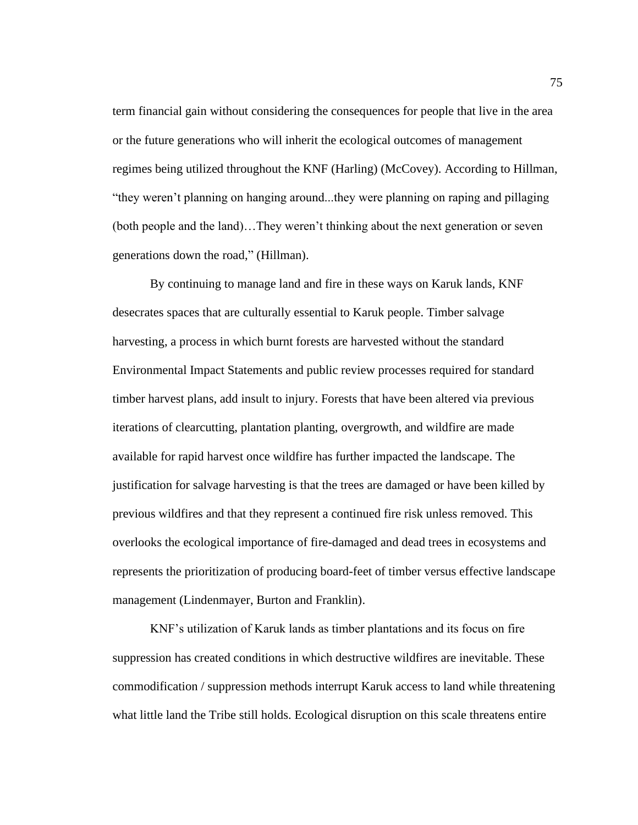term financial gain without considering the consequences for people that live in the area or the future generations who will inherit the ecological outcomes of management regimes being utilized throughout the KNF (Harling) (McCovey). According to Hillman, "they weren't planning on hanging around...they were planning on raping and pillaging (both people and the land)…They weren't thinking about the next generation or seven generations down the road," (Hillman).

By continuing to manage land and fire in these ways on Karuk lands, KNF desecrates spaces that are culturally essential to Karuk people. Timber salvage harvesting, a process in which burnt forests are harvested without the standard Environmental Impact Statements and public review processes required for standard timber harvest plans, add insult to injury. Forests that have been altered via previous iterations of clearcutting, plantation planting, overgrowth, and wildfire are made available for rapid harvest once wildfire has further impacted the landscape. The justification for salvage harvesting is that the trees are damaged or have been killed by previous wildfires and that they represent a continued fire risk unless removed. This overlooks the ecological importance of fire-damaged and dead trees in ecosystems and represents the prioritization of producing board-feet of timber versus effective landscape management (Lindenmayer, Burton and Franklin).

KNF's utilization of Karuk lands as timber plantations and its focus on fire suppression has created conditions in which destructive wildfires are inevitable. These commodification / suppression methods interrupt Karuk access to land while threatening what little land the Tribe still holds. Ecological disruption on this scale threatens entire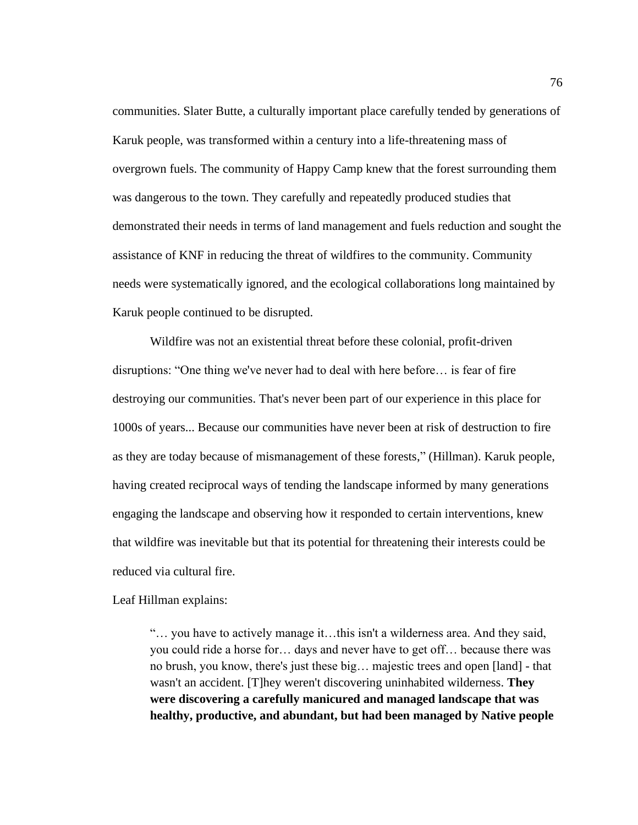communities. Slater Butte, a culturally important place carefully tended by generations of Karuk people, was transformed within a century into a life-threatening mass of overgrown fuels. The community of Happy Camp knew that the forest surrounding them was dangerous to the town. They carefully and repeatedly produced studies that demonstrated their needs in terms of land management and fuels reduction and sought the assistance of KNF in reducing the threat of wildfires to the community. Community needs were systematically ignored, and the ecological collaborations long maintained by Karuk people continued to be disrupted.

Wildfire was not an existential threat before these colonial, profit-driven disruptions: "One thing we've never had to deal with here before… is fear of fire destroying our communities. That's never been part of our experience in this place for 1000s of years... Because our communities have never been at risk of destruction to fire as they are today because of mismanagement of these forests," (Hillman). Karuk people, having created reciprocal ways of tending the landscape informed by many generations engaging the landscape and observing how it responded to certain interventions, knew that wildfire was inevitable but that its potential for threatening their interests could be reduced via cultural fire.

Leaf Hillman explains:

"… you have to actively manage it…this isn't a wilderness area. And they said, you could ride a horse for… days and never have to get off… because there was no brush, you know, there's just these big… majestic trees and open [land] - that wasn't an accident. [T]hey weren't discovering uninhabited wilderness. **They were discovering a carefully manicured and managed landscape that was healthy, productive, and abundant, but had been managed by Native people**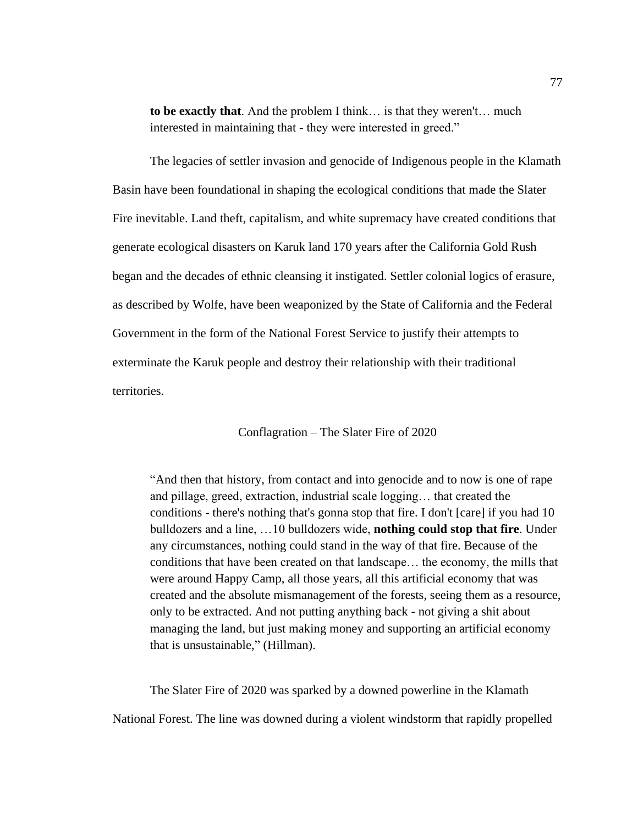**to be exactly that**. And the problem I think… is that they weren't… much interested in maintaining that - they were interested in greed."

The legacies of settler invasion and genocide of Indigenous people in the Klamath Basin have been foundational in shaping the ecological conditions that made the Slater Fire inevitable. Land theft, capitalism, and white supremacy have created conditions that generate ecological disasters on Karuk land 170 years after the California Gold Rush began and the decades of ethnic cleansing it instigated. Settler colonial logics of erasure, as described by Wolfe, have been weaponized by the State of California and the Federal Government in the form of the National Forest Service to justify their attempts to exterminate the Karuk people and destroy their relationship with their traditional territories.

Conflagration – The Slater Fire of 2020

"And then that history, from contact and into genocide and to now is one of rape and pillage, greed, extraction, industrial scale logging… that created the conditions - there's nothing that's gonna stop that fire. I don't [care] if you had 10 bulldozers and a line, …10 bulldozers wide, **nothing could stop that fire**. Under any circumstances, nothing could stand in the way of that fire. Because of the conditions that have been created on that landscape… the economy, the mills that were around Happy Camp, all those years, all this artificial economy that was created and the absolute mismanagement of the forests, seeing them as a resource, only to be extracted. And not putting anything back - not giving a shit about managing the land, but just making money and supporting an artificial economy that is unsustainable," (Hillman).

The Slater Fire of 2020 was sparked by a downed powerline in the Klamath National Forest. The line was downed during a violent windstorm that rapidly propelled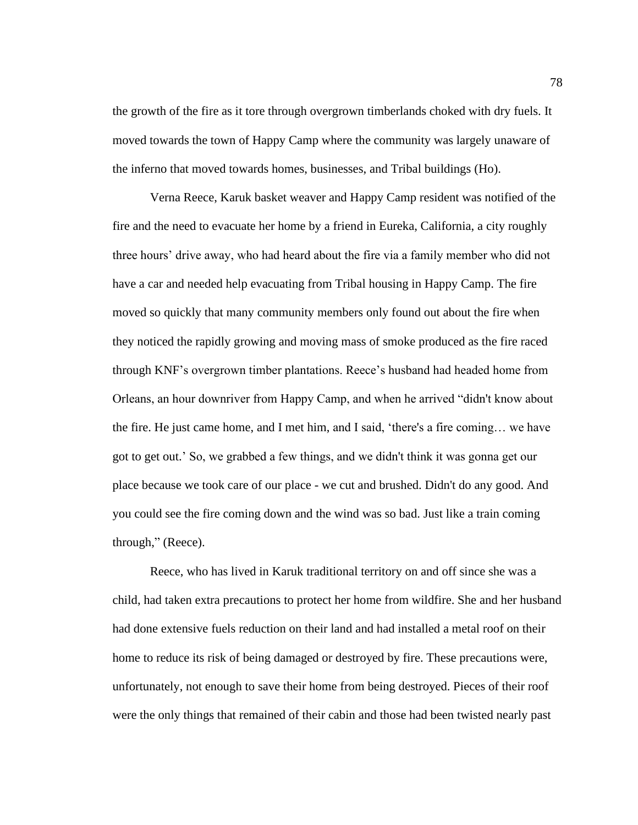the growth of the fire as it tore through overgrown timberlands choked with dry fuels. It moved towards the town of Happy Camp where the community was largely unaware of the inferno that moved towards homes, businesses, and Tribal buildings (Ho).

Verna Reece, Karuk basket weaver and Happy Camp resident was notified of the fire and the need to evacuate her home by a friend in Eureka, California, a city roughly three hours' drive away, who had heard about the fire via a family member who did not have a car and needed help evacuating from Tribal housing in Happy Camp. The fire moved so quickly that many community members only found out about the fire when they noticed the rapidly growing and moving mass of smoke produced as the fire raced through KNF's overgrown timber plantations. Reece's husband had headed home from Orleans, an hour downriver from Happy Camp, and when he arrived "didn't know about the fire. He just came home, and I met him, and I said, 'there's a fire coming… we have got to get out.' So, we grabbed a few things, and we didn't think it was gonna get our place because we took care of our place - we cut and brushed. Didn't do any good. And you could see the fire coming down and the wind was so bad. Just like a train coming through," (Reece).

Reece, who has lived in Karuk traditional territory on and off since she was a child, had taken extra precautions to protect her home from wildfire. She and her husband had done extensive fuels reduction on their land and had installed a metal roof on their home to reduce its risk of being damaged or destroyed by fire. These precautions were, unfortunately, not enough to save their home from being destroyed. Pieces of their roof were the only things that remained of their cabin and those had been twisted nearly past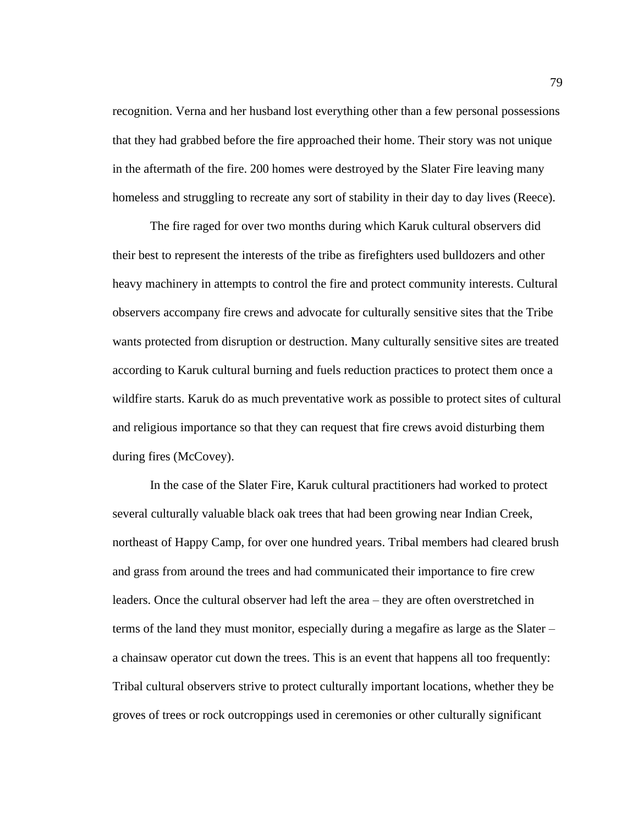recognition. Verna and her husband lost everything other than a few personal possessions that they had grabbed before the fire approached their home. Their story was not unique in the aftermath of the fire. 200 homes were destroyed by the Slater Fire leaving many homeless and struggling to recreate any sort of stability in their day to day lives (Reece).

The fire raged for over two months during which Karuk cultural observers did their best to represent the interests of the tribe as firefighters used bulldozers and other heavy machinery in attempts to control the fire and protect community interests. Cultural observers accompany fire crews and advocate for culturally sensitive sites that the Tribe wants protected from disruption or destruction. Many culturally sensitive sites are treated according to Karuk cultural burning and fuels reduction practices to protect them once a wildfire starts. Karuk do as much preventative work as possible to protect sites of cultural and religious importance so that they can request that fire crews avoid disturbing them during fires (McCovey).

In the case of the Slater Fire, Karuk cultural practitioners had worked to protect several culturally valuable black oak trees that had been growing near Indian Creek, northeast of Happy Camp, for over one hundred years. Tribal members had cleared brush and grass from around the trees and had communicated their importance to fire crew leaders. Once the cultural observer had left the area – they are often overstretched in terms of the land they must monitor, especially during a megafire as large as the Slater – a chainsaw operator cut down the trees. This is an event that happens all too frequently: Tribal cultural observers strive to protect culturally important locations, whether they be groves of trees or rock outcroppings used in ceremonies or other culturally significant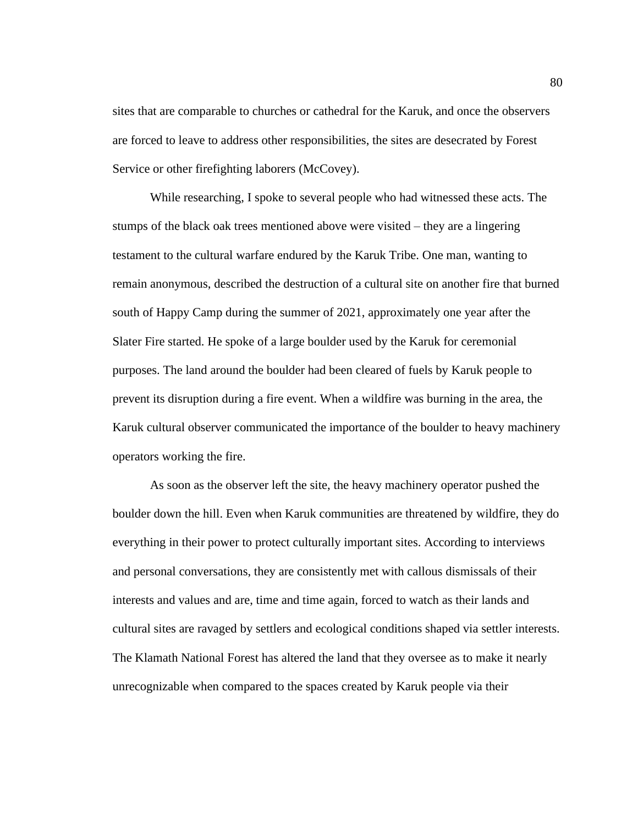sites that are comparable to churches or cathedral for the Karuk, and once the observers are forced to leave to address other responsibilities, the sites are desecrated by Forest Service or other firefighting laborers (McCovey).

While researching, I spoke to several people who had witnessed these acts. The stumps of the black oak trees mentioned above were visited – they are a lingering testament to the cultural warfare endured by the Karuk Tribe. One man, wanting to remain anonymous, described the destruction of a cultural site on another fire that burned south of Happy Camp during the summer of 2021, approximately one year after the Slater Fire started. He spoke of a large boulder used by the Karuk for ceremonial purposes. The land around the boulder had been cleared of fuels by Karuk people to prevent its disruption during a fire event. When a wildfire was burning in the area, the Karuk cultural observer communicated the importance of the boulder to heavy machinery operators working the fire.

As soon as the observer left the site, the heavy machinery operator pushed the boulder down the hill. Even when Karuk communities are threatened by wildfire, they do everything in their power to protect culturally important sites. According to interviews and personal conversations, they are consistently met with callous dismissals of their interests and values and are, time and time again, forced to watch as their lands and cultural sites are ravaged by settlers and ecological conditions shaped via settler interests. The Klamath National Forest has altered the land that they oversee as to make it nearly unrecognizable when compared to the spaces created by Karuk people via their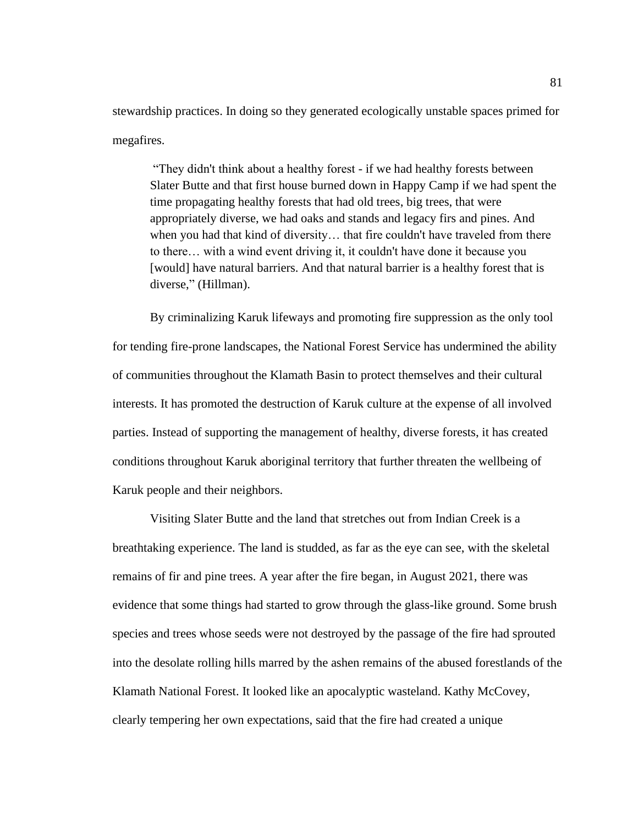stewardship practices. In doing so they generated ecologically unstable spaces primed for megafires.

"They didn't think about a healthy forest - if we had healthy forests between Slater Butte and that first house burned down in Happy Camp if we had spent the time propagating healthy forests that had old trees, big trees, that were appropriately diverse, we had oaks and stands and legacy firs and pines. And when you had that kind of diversity… that fire couldn't have traveled from there to there… with a wind event driving it, it couldn't have done it because you [would] have natural barriers. And that natural barrier is a healthy forest that is diverse," (Hillman).

By criminalizing Karuk lifeways and promoting fire suppression as the only tool for tending fire-prone landscapes, the National Forest Service has undermined the ability of communities throughout the Klamath Basin to protect themselves and their cultural interests. It has promoted the destruction of Karuk culture at the expense of all involved parties. Instead of supporting the management of healthy, diverse forests, it has created conditions throughout Karuk aboriginal territory that further threaten the wellbeing of Karuk people and their neighbors.

Visiting Slater Butte and the land that stretches out from Indian Creek is a breathtaking experience. The land is studded, as far as the eye can see, with the skeletal remains of fir and pine trees. A year after the fire began, in August 2021, there was evidence that some things had started to grow through the glass-like ground. Some brush species and trees whose seeds were not destroyed by the passage of the fire had sprouted into the desolate rolling hills marred by the ashen remains of the abused forestlands of the Klamath National Forest. It looked like an apocalyptic wasteland. Kathy McCovey, clearly tempering her own expectations, said that the fire had created a unique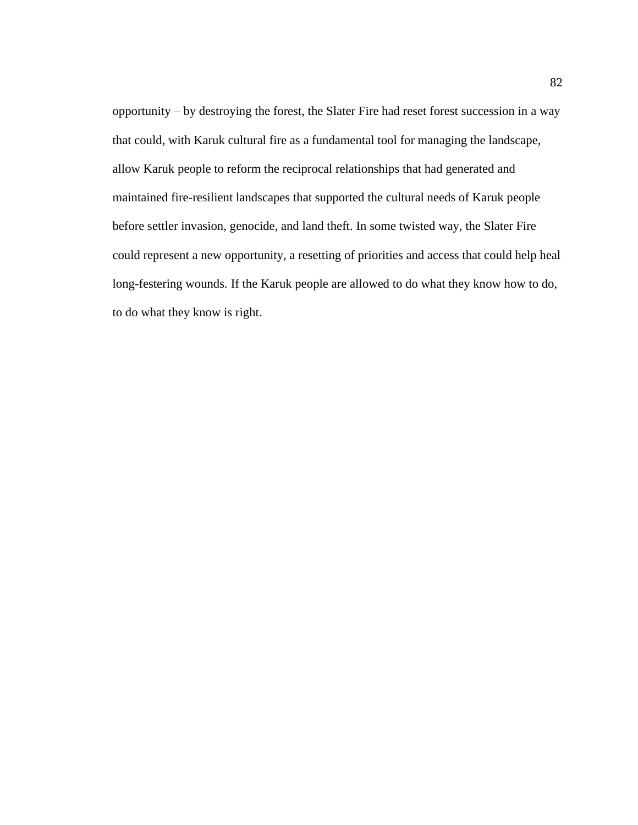opportunity – by destroying the forest, the Slater Fire had reset forest succession in a way that could, with Karuk cultural fire as a fundamental tool for managing the landscape, allow Karuk people to reform the reciprocal relationships that had generated and maintained fire-resilient landscapes that supported the cultural needs of Karuk people before settler invasion, genocide, and land theft. In some twisted way, the Slater Fire could represent a new opportunity, a resetting of priorities and access that could help heal long-festering wounds. If the Karuk people are allowed to do what they know how to do, to do what they know is right.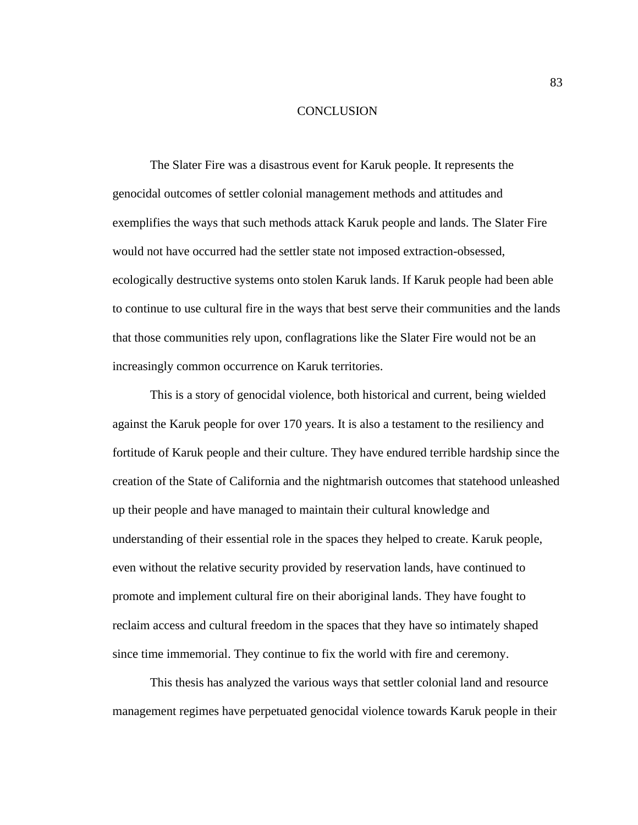#### **CONCLUSION**

The Slater Fire was a disastrous event for Karuk people. It represents the genocidal outcomes of settler colonial management methods and attitudes and exemplifies the ways that such methods attack Karuk people and lands. The Slater Fire would not have occurred had the settler state not imposed extraction-obsessed, ecologically destructive systems onto stolen Karuk lands. If Karuk people had been able to continue to use cultural fire in the ways that best serve their communities and the lands that those communities rely upon, conflagrations like the Slater Fire would not be an increasingly common occurrence on Karuk territories.

This is a story of genocidal violence, both historical and current, being wielded against the Karuk people for over 170 years. It is also a testament to the resiliency and fortitude of Karuk people and their culture. They have endured terrible hardship since the creation of the State of California and the nightmarish outcomes that statehood unleashed up their people and have managed to maintain their cultural knowledge and understanding of their essential role in the spaces they helped to create. Karuk people, even without the relative security provided by reservation lands, have continued to promote and implement cultural fire on their aboriginal lands. They have fought to reclaim access and cultural freedom in the spaces that they have so intimately shaped since time immemorial. They continue to fix the world with fire and ceremony.

This thesis has analyzed the various ways that settler colonial land and resource management regimes have perpetuated genocidal violence towards Karuk people in their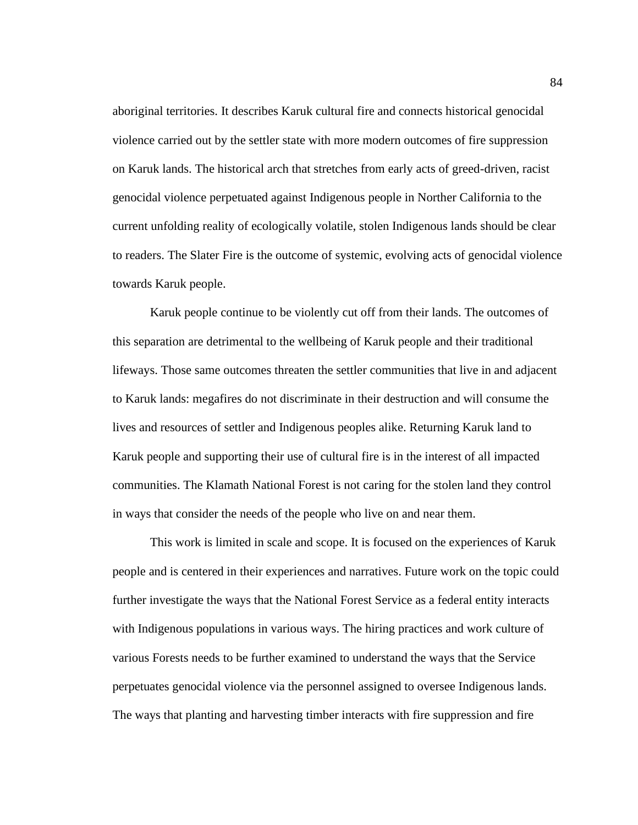aboriginal territories. It describes Karuk cultural fire and connects historical genocidal violence carried out by the settler state with more modern outcomes of fire suppression on Karuk lands. The historical arch that stretches from early acts of greed-driven, racist genocidal violence perpetuated against Indigenous people in Norther California to the current unfolding reality of ecologically volatile, stolen Indigenous lands should be clear to readers. The Slater Fire is the outcome of systemic, evolving acts of genocidal violence towards Karuk people.

Karuk people continue to be violently cut off from their lands. The outcomes of this separation are detrimental to the wellbeing of Karuk people and their traditional lifeways. Those same outcomes threaten the settler communities that live in and adjacent to Karuk lands: megafires do not discriminate in their destruction and will consume the lives and resources of settler and Indigenous peoples alike. Returning Karuk land to Karuk people and supporting their use of cultural fire is in the interest of all impacted communities. The Klamath National Forest is not caring for the stolen land they control in ways that consider the needs of the people who live on and near them.

This work is limited in scale and scope. It is focused on the experiences of Karuk people and is centered in their experiences and narratives. Future work on the topic could further investigate the ways that the National Forest Service as a federal entity interacts with Indigenous populations in various ways. The hiring practices and work culture of various Forests needs to be further examined to understand the ways that the Service perpetuates genocidal violence via the personnel assigned to oversee Indigenous lands. The ways that planting and harvesting timber interacts with fire suppression and fire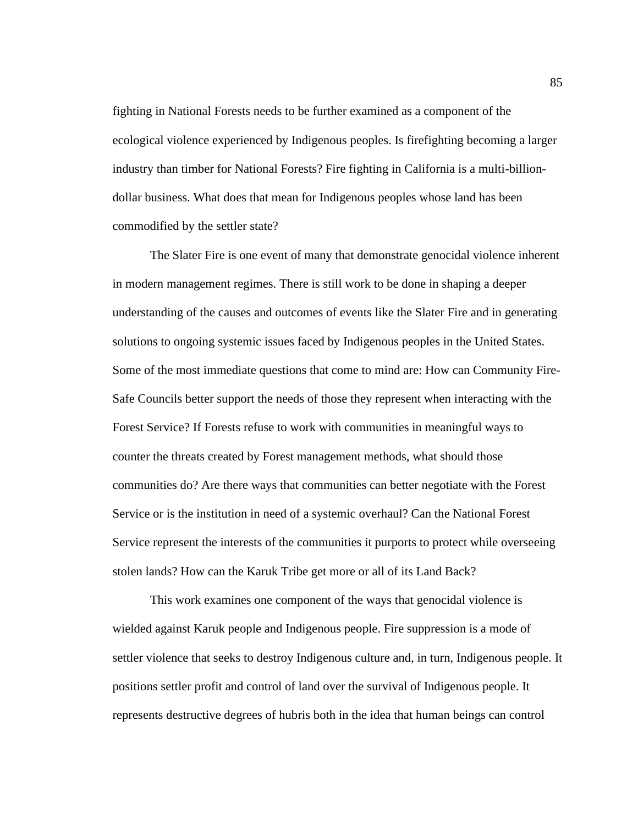fighting in National Forests needs to be further examined as a component of the ecological violence experienced by Indigenous peoples. Is firefighting becoming a larger industry than timber for National Forests? Fire fighting in California is a multi-billiondollar business. What does that mean for Indigenous peoples whose land has been commodified by the settler state?

The Slater Fire is one event of many that demonstrate genocidal violence inherent in modern management regimes. There is still work to be done in shaping a deeper understanding of the causes and outcomes of events like the Slater Fire and in generating solutions to ongoing systemic issues faced by Indigenous peoples in the United States. Some of the most immediate questions that come to mind are: How can Community Fire-Safe Councils better support the needs of those they represent when interacting with the Forest Service? If Forests refuse to work with communities in meaningful ways to counter the threats created by Forest management methods, what should those communities do? Are there ways that communities can better negotiate with the Forest Service or is the institution in need of a systemic overhaul? Can the National Forest Service represent the interests of the communities it purports to protect while overseeing stolen lands? How can the Karuk Tribe get more or all of its Land Back?

This work examines one component of the ways that genocidal violence is wielded against Karuk people and Indigenous people. Fire suppression is a mode of settler violence that seeks to destroy Indigenous culture and, in turn, Indigenous people. It positions settler profit and control of land over the survival of Indigenous people. It represents destructive degrees of hubris both in the idea that human beings can control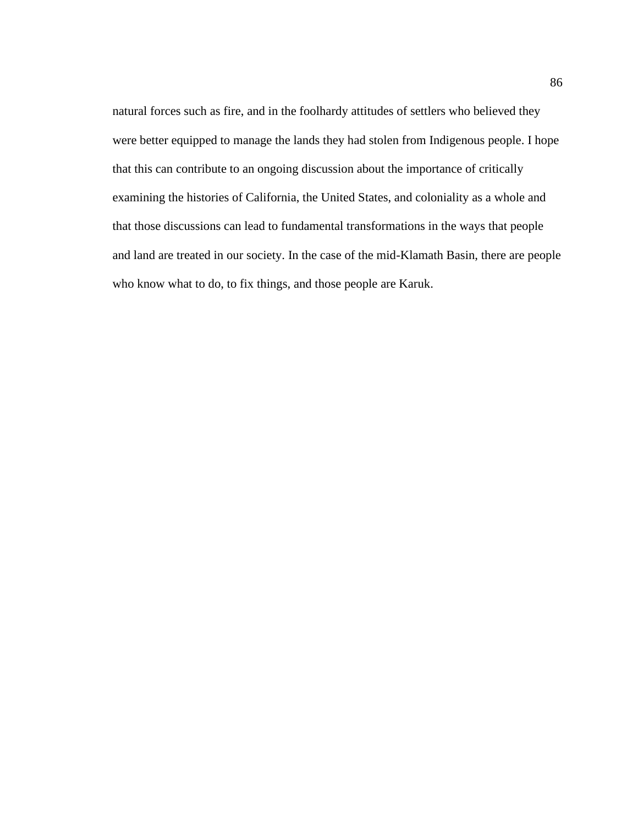natural forces such as fire, and in the foolhardy attitudes of settlers who believed they were better equipped to manage the lands they had stolen from Indigenous people. I hope that this can contribute to an ongoing discussion about the importance of critically examining the histories of California, the United States, and coloniality as a whole and that those discussions can lead to fundamental transformations in the ways that people and land are treated in our society. In the case of the mid-Klamath Basin, there are people who know what to do, to fix things, and those people are Karuk.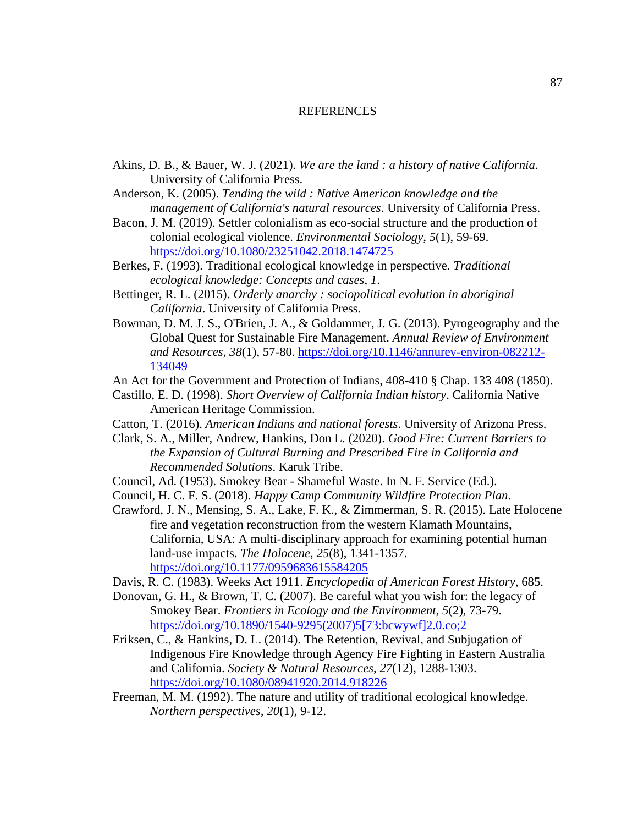## REFERENCES

- Akins, D. B., & Bauer, W. J. (2021). *We are the land : a history of native California*. University of California Press.
- Anderson, K. (2005). *Tending the wild : Native American knowledge and the management of California's natural resources*. University of California Press.
- Bacon, J. M. (2019). Settler colonialism as eco-social structure and the production of colonial ecological violence. *Environmental Sociology*, *5*(1), 59-69. <https://doi.org/10.1080/23251042.2018.1474725>
- Berkes, F. (1993). Traditional ecological knowledge in perspective. *Traditional ecological knowledge: Concepts and cases*, *1*.
- Bettinger, R. L. (2015). *Orderly anarchy : sociopolitical evolution in aboriginal California*. University of California Press.
- Bowman, D. M. J. S., O'Brien, J. A., & Goldammer, J. G. (2013). Pyrogeography and the Global Quest for Sustainable Fire Management. *Annual Review of Environment and Resources*, *38*(1), 57-80. [https://doi.org/10.1146/annurev-environ-082212-](https://doi.org/10.1146/annurev-environ-082212-134049) [134049](https://doi.org/10.1146/annurev-environ-082212-134049)
- An Act for the Government and Protection of Indians, 408-410 § Chap. 133 408 (1850).
- Castillo, E. D. (1998). *Short Overview of California Indian history*. California Native American Heritage Commission.
- Catton, T. (2016). *American Indians and national forests*. University of Arizona Press.
- Clark, S. A., Miller, Andrew, Hankins, Don L. (2020). *Good Fire: Current Barriers to the Expansion of Cultural Burning and Prescribed Fire in California and Recommended Solutions*. Karuk Tribe.
- Council, Ad. (1953). Smokey Bear Shameful Waste. In N. F. Service (Ed.).
- Council, H. C. F. S. (2018). *Happy Camp Community Wildfire Protection Plan*.
- Crawford, J. N., Mensing, S. A., Lake, F. K., & Zimmerman, S. R. (2015). Late Holocene fire and vegetation reconstruction from the western Klamath Mountains, California, USA: A multi-disciplinary approach for examining potential human land-use impacts. *The Holocene*, *25*(8), 1341-1357. <https://doi.org/10.1177/0959683615584205>
- Davis, R. C. (1983). Weeks Act 1911. *Encyclopedia of American Forest History*, 685.
- Donovan, G. H., & Brown, T. C. (2007). Be careful what you wish for: the legacy of Smokey Bear. *Frontiers in Ecology and the Environment*, *5*(2), 73-79. [https://doi.org/10.1890/1540-9295\(2007\)5\[73:bcwywf\]2.0.co;2](https://doi.org/10.1890/1540-9295(2007)5%5b73:bcwywf%5d2.0.co;2)
- Eriksen, C., & Hankins, D. L. (2014). The Retention, Revival, and Subjugation of Indigenous Fire Knowledge through Agency Fire Fighting in Eastern Australia and California. *Society & Natural Resources*, *27*(12), 1288-1303. <https://doi.org/10.1080/08941920.2014.918226>
- Freeman, M. M. (1992). The nature and utility of traditional ecological knowledge. *Northern perspectives*, *20*(1), 9-12.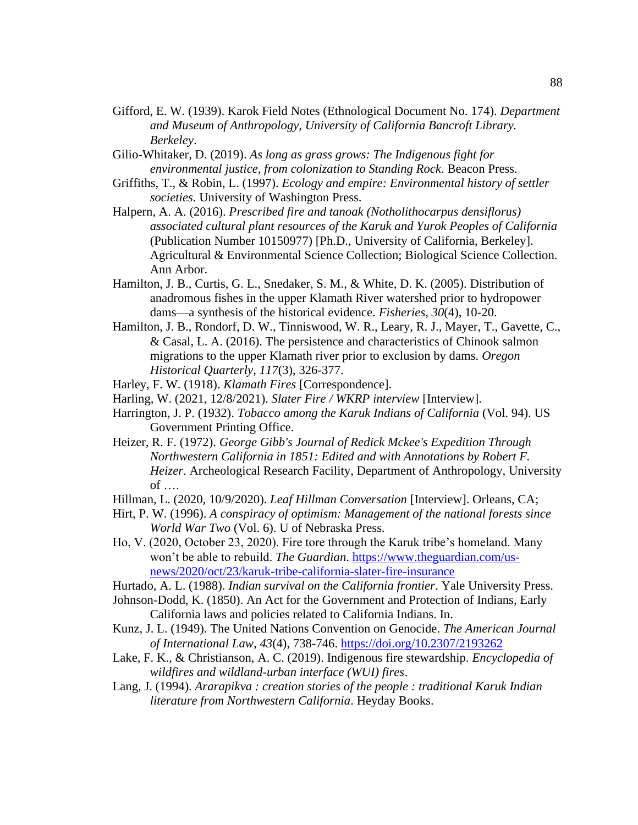- Gifford, E. W. (1939). Karok Field Notes (Ethnological Document No. 174). *Department and Museum of Anthropology, University of California Bancroft Library. Berkeley*.
- Gilio-Whitaker, D. (2019). *As long as grass grows: The Indigenous fight for environmental justice, from colonization to Standing Rock*. Beacon Press.
- Griffiths, T., & Robin, L. (1997). *Ecology and empire: Environmental history of settler societies*. University of Washington Press.
- Halpern, A. A. (2016). *Prescribed fire and tanoak (Notholithocarpus densiflorus) associated cultural plant resources of the Karuk and Yurok Peoples of California* (Publication Number 10150977) [Ph.D., University of California, Berkeley]. Agricultural & Environmental Science Collection; Biological Science Collection. Ann Arbor.
- Hamilton, J. B., Curtis, G. L., Snedaker, S. M., & White, D. K. (2005). Distribution of anadromous fishes in the upper Klamath River watershed prior to hydropower dams—a synthesis of the historical evidence. *Fisheries*, *30*(4), 10-20.
- Hamilton, J. B., Rondorf, D. W., Tinniswood, W. R., Leary, R. J., Mayer, T., Gavette, C., & Casal, L. A. (2016). The persistence and characteristics of Chinook salmon migrations to the upper Klamath river prior to exclusion by dams. *Oregon Historical Quarterly*, *117*(3), 326-377.
- Harley, F. W. (1918). *Klamath Fires* [Correspondence].
- Harling, W. (2021, 12/8/2021). *Slater Fire / WKRP interview* [Interview].
- Harrington, J. P. (1932). *Tobacco among the Karuk Indians of California* (Vol. 94). US Government Printing Office.
- Heizer, R. F. (1972). *George Gibb's Journal of Redick Mckee's Expedition Through Northwestern California in 1851: Edited and with Annotations by Robert F. Heizer*. Archeological Research Facility, Department of Anthropology, University of ….
- Hillman, L. (2020, 10/9/2020). *Leaf Hillman Conversation* [Interview]. Orleans, CA;
- Hirt, P. W. (1996). *A conspiracy of optimism: Management of the national forests since World War Two* (Vol. 6). U of Nebraska Press.
- Ho, V. (2020, October 23, 2020). Fire tore through the Karuk tribe's homeland. Many won't be able to rebuild. *The Guardian*. [https://www.theguardian.com/us](https://www.theguardian.com/us-news/2020/oct/23/karuk-tribe-california-slater-fire-insurance)[news/2020/oct/23/karuk-tribe-california-slater-fire-insurance](https://www.theguardian.com/us-news/2020/oct/23/karuk-tribe-california-slater-fire-insurance)
- Hurtado, A. L. (1988). *Indian survival on the California frontier*. Yale University Press.
- Johnson-Dodd, K. (1850). An Act for the Government and Protection of Indians, Early California laws and policies related to California Indians. In.
- Kunz, J. L. (1949). The United Nations Convention on Genocide. *The American Journal of International Law*, *43*(4), 738-746.<https://doi.org/10.2307/2193262>
- Lake, F. K., & Christianson, A. C. (2019). Indigenous fire stewardship. *Encyclopedia of wildfires and wildland-urban interface (WUI) fires*.
- Lang, J. (1994). *Ararapikva : creation stories of the people : traditional Karuk Indian literature from Northwestern California*. Heyday Books.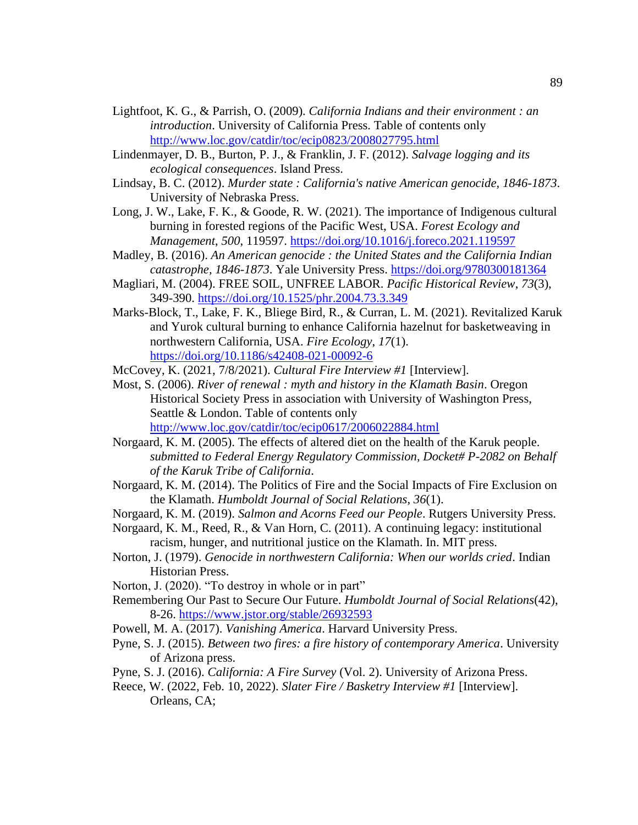- Lightfoot, K. G., & Parrish, O. (2009). *California Indians and their environment : an introduction*. University of California Press. Table of contents only <http://www.loc.gov/catdir/toc/ecip0823/2008027795.html>
- Lindenmayer, D. B., Burton, P. J., & Franklin, J. F. (2012). *Salvage logging and its ecological consequences*. Island Press.
- Lindsay, B. C. (2012). *Murder state : California's native American genocide, 1846-1873*. University of Nebraska Press.
- Long, J. W., Lake, F. K., & Goode, R. W. (2021). The importance of Indigenous cultural burning in forested regions of the Pacific West, USA. *Forest Ecology and Management*, *500*, 119597.<https://doi.org/10.1016/j.foreco.2021.119597>
- Madley, B. (2016). *An American genocide : the United States and the California Indian catastrophe, 1846-1873*. Yale University Press.<https://doi.org/9780300181364>
- Magliari, M. (2004). FREE SOIL, UNFREE LABOR. *Pacific Historical Review*, *73*(3), 349-390.<https://doi.org/10.1525/phr.2004.73.3.349>
- Marks-Block, T., Lake, F. K., Bliege Bird, R., & Curran, L. M. (2021). Revitalized Karuk and Yurok cultural burning to enhance California hazelnut for basketweaving in northwestern California, USA. *Fire Ecology*, *17*(1). <https://doi.org/10.1186/s42408-021-00092-6>

McCovey, K. (2021, 7/8/2021). *Cultural Fire Interview #1* [Interview].

- Most, S. (2006). *River of renewal : myth and history in the Klamath Basin*. Oregon Historical Society Press in association with University of Washington Press, Seattle & London. Table of contents only <http://www.loc.gov/catdir/toc/ecip0617/2006022884.html>
- Norgaard, K. M. (2005). The effects of altered diet on the health of the Karuk people. *submitted to Federal Energy Regulatory Commission, Docket# P-2082 on Behalf of the Karuk Tribe of California*.
- Norgaard, K. M. (2014). The Politics of Fire and the Social Impacts of Fire Exclusion on the Klamath. *Humboldt Journal of Social Relations*, *36*(1).
- Norgaard, K. M. (2019). *Salmon and Acorns Feed our People*. Rutgers University Press.

Norgaard, K. M., Reed, R., & Van Horn, C. (2011). A continuing legacy: institutional racism, hunger, and nutritional justice on the Klamath. In. MIT press.

- Norton, J. (1979). *Genocide in northwestern California: When our worlds cried*. Indian Historian Press.
- Norton, J. (2020). "To destroy in whole or in part"
- Remembering Our Past to Secure Our Future. *Humboldt Journal of Social Relations*(42), 8-26.<https://www.jstor.org/stable/26932593>
- Powell, M. A. (2017). *Vanishing America*. Harvard University Press.
- Pyne, S. J. (2015). *Between two fires: a fire history of contemporary America*. University of Arizona press.
- Pyne, S. J. (2016). *California: A Fire Survey* (Vol. 2). University of Arizona Press.
- Reece, W. (2022, Feb. 10, 2022). *Slater Fire / Basketry Interview #1* [Interview]. Orleans, CA;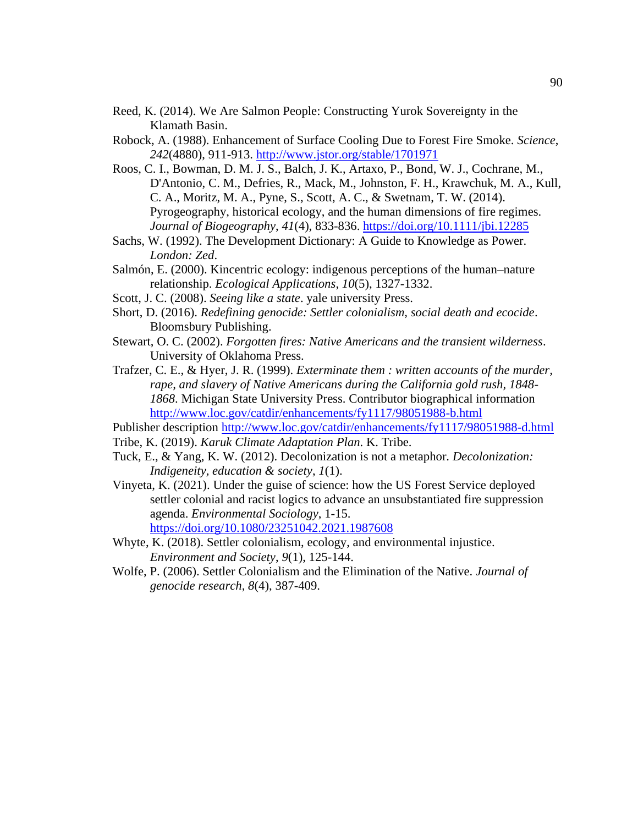- Reed, K. (2014). We Are Salmon People: Constructing Yurok Sovereignty in the Klamath Basin.
- Robock, A. (1988). Enhancement of Surface Cooling Due to Forest Fire Smoke. *Science*, *242*(4880), 911-913.<http://www.jstor.org/stable/1701971>
- Roos, C. I., Bowman, D. M. J. S., Balch, J. K., Artaxo, P., Bond, W. J., Cochrane, M., D'Antonio, C. M., Defries, R., Mack, M., Johnston, F. H., Krawchuk, M. A., Kull, C. A., Moritz, M. A., Pyne, S., Scott, A. C., & Swetnam, T. W. (2014). Pyrogeography, historical ecology, and the human dimensions of fire regimes. *Journal of Biogeography*, *41*(4), 833-836.<https://doi.org/10.1111/jbi.12285>
- Sachs, W. (1992). The Development Dictionary: A Guide to Knowledge as Power. *London: Zed*.
- Salmón, E. (2000). Kincentric ecology: indigenous perceptions of the human–nature relationship. *Ecological Applications*, *10*(5), 1327-1332.
- Scott, J. C. (2008). *Seeing like a state*. yale university Press.
- Short, D. (2016). *Redefining genocide: Settler colonialism, social death and ecocide*. Bloomsbury Publishing.
- Stewart, O. C. (2002). *Forgotten fires: Native Americans and the transient wilderness*. University of Oklahoma Press.
- Trafzer, C. E., & Hyer, J. R. (1999). *Exterminate them : written accounts of the murder, rape, and slavery of Native Americans during the California gold rush, 1848- 1868*. Michigan State University Press. Contributor biographical information <http://www.loc.gov/catdir/enhancements/fy1117/98051988-b.html>

Publisher description<http://www.loc.gov/catdir/enhancements/fy1117/98051988-d.html>

- Tribe, K. (2019). *Karuk Climate Adaptation Plan*. K. Tribe.
- Tuck, E., & Yang, K. W. (2012). Decolonization is not a metaphor. *Decolonization: Indigeneity, education & society*, *1*(1).
- Vinyeta, K. (2021). Under the guise of science: how the US Forest Service deployed settler colonial and racist logics to advance an unsubstantiated fire suppression agenda. *Environmental Sociology*, 1-15. <https://doi.org/10.1080/23251042.2021.1987608>
- Whyte, K. (2018). Settler colonialism, ecology, and environmental injustice. *Environment and Society*, *9*(1), 125-144.
- Wolfe, P. (2006). Settler Colonialism and the Elimination of the Native. *Journal of genocide research*, *8*(4), 387-409.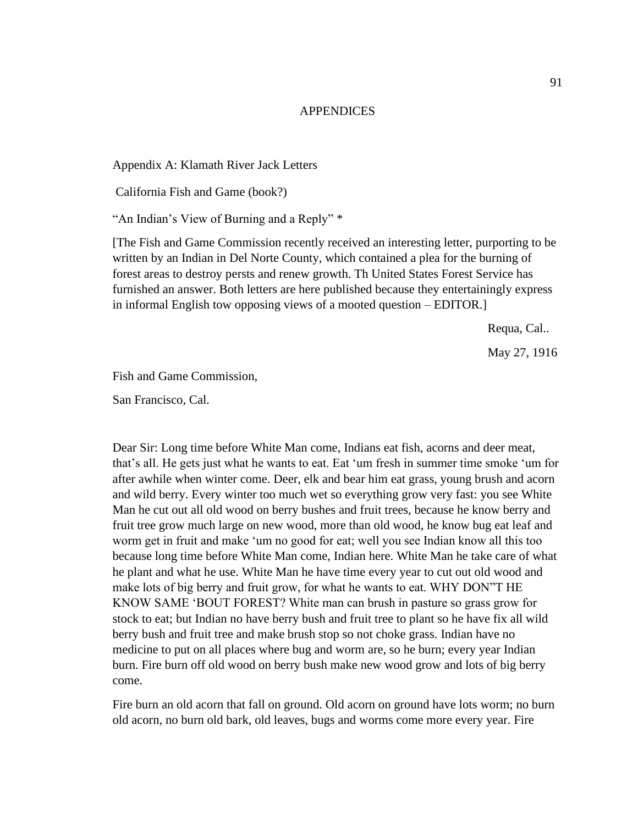### APPENDICES

Appendix A: Klamath River Jack Letters

California Fish and Game (book?)

"An Indian's View of Burning and a Reply" \*

[The Fish and Game Commission recently received an interesting letter, purporting to be written by an Indian in Del Norte County, which contained a plea for the burning of forest areas to destroy persts and renew growth. Th United States Forest Service has furnished an answer. Both letters are here published because they entertainingly express in informal English tow opposing views of a mooted question – EDITOR.]

Requa, Cal..

May 27, 1916

Fish and Game Commission,

San Francisco, Cal.

Dear Sir: Long time before White Man come, Indians eat fish, acorns and deer meat, that's all. He gets just what he wants to eat. Eat 'um fresh in summer time smoke 'um for after awhile when winter come. Deer, elk and bear him eat grass, young brush and acorn and wild berry. Every winter too much wet so everything grow very fast: you see White Man he cut out all old wood on berry bushes and fruit trees, because he know berry and fruit tree grow much large on new wood, more than old wood, he know bug eat leaf and worm get in fruit and make 'um no good for eat; well you see Indian know all this too because long time before White Man come, Indian here. White Man he take care of what he plant and what he use. White Man he have time every year to cut out old wood and make lots of big berry and fruit grow, for what he wants to eat. WHY DON"T HE KNOW SAME 'BOUT FOREST? White man can brush in pasture so grass grow for stock to eat; but Indian no have berry bush and fruit tree to plant so he have fix all wild berry bush and fruit tree and make brush stop so not choke grass. Indian have no medicine to put on all places where bug and worm are, so he burn; every year Indian burn. Fire burn off old wood on berry bush make new wood grow and lots of big berry come.

Fire burn an old acorn that fall on ground. Old acorn on ground have lots worm; no burn old acorn, no burn old bark, old leaves, bugs and worms come more every year. Fire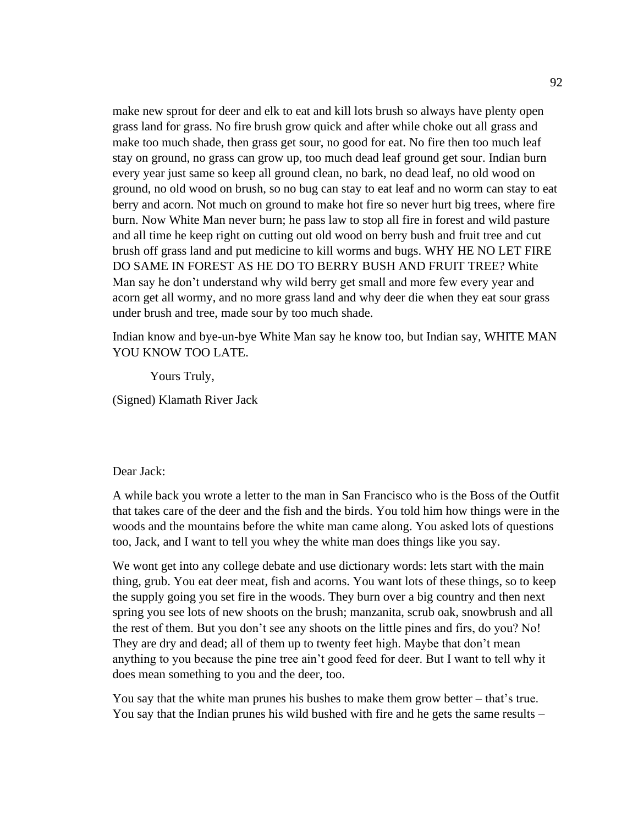make new sprout for deer and elk to eat and kill lots brush so always have plenty open grass land for grass. No fire brush grow quick and after while choke out all grass and make too much shade, then grass get sour, no good for eat. No fire then too much leaf stay on ground, no grass can grow up, too much dead leaf ground get sour. Indian burn every year just same so keep all ground clean, no bark, no dead leaf, no old wood on ground, no old wood on brush, so no bug can stay to eat leaf and no worm can stay to eat berry and acorn. Not much on ground to make hot fire so never hurt big trees, where fire burn. Now White Man never burn; he pass law to stop all fire in forest and wild pasture and all time he keep right on cutting out old wood on berry bush and fruit tree and cut brush off grass land and put medicine to kill worms and bugs. WHY HE NO LET FIRE DO SAME IN FOREST AS HE DO TO BERRY BUSH AND FRUIT TREE? White Man say he don't understand why wild berry get small and more few every year and acorn get all wormy, and no more grass land and why deer die when they eat sour grass under brush and tree, made sour by too much shade.

Indian know and bye-un-bye White Man say he know too, but Indian say, WHITE MAN YOU KNOW TOO LATE.

Yours Truly,

(Signed) Klamath River Jack

## Dear Jack:

A while back you wrote a letter to the man in San Francisco who is the Boss of the Outfit that takes care of the deer and the fish and the birds. You told him how things were in the woods and the mountains before the white man came along. You asked lots of questions too, Jack, and I want to tell you whey the white man does things like you say.

We wont get into any college debate and use dictionary words: lets start with the main thing, grub. You eat deer meat, fish and acorns. You want lots of these things, so to keep the supply going you set fire in the woods. They burn over a big country and then next spring you see lots of new shoots on the brush; manzanita, scrub oak, snowbrush and all the rest of them. But you don't see any shoots on the little pines and firs, do you? No! They are dry and dead; all of them up to twenty feet high. Maybe that don't mean anything to you because the pine tree ain't good feed for deer. But I want to tell why it does mean something to you and the deer, too.

You say that the white man prunes his bushes to make them grow better – that's true. You say that the Indian prunes his wild bushed with fire and he gets the same results –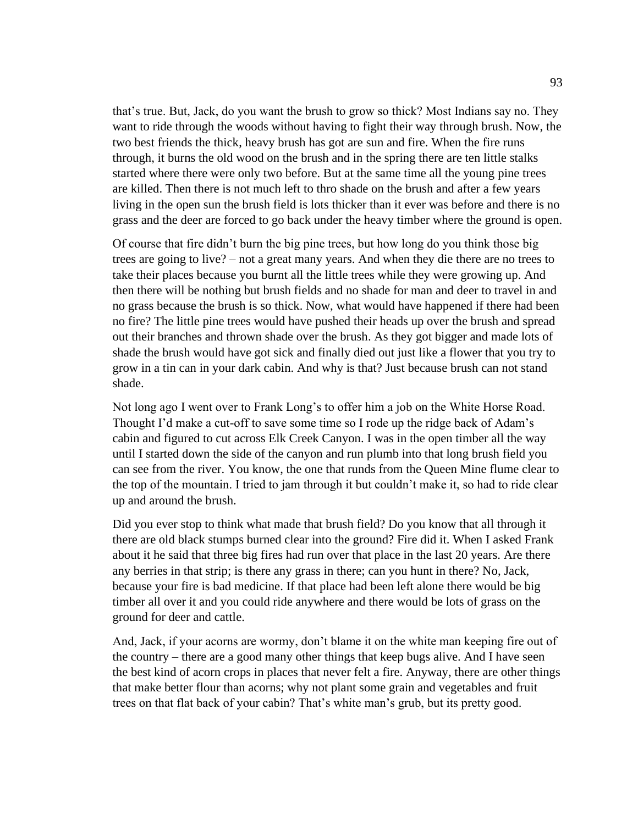that's true. But, Jack, do you want the brush to grow so thick? Most Indians say no. They want to ride through the woods without having to fight their way through brush. Now, the two best friends the thick, heavy brush has got are sun and fire. When the fire runs through, it burns the old wood on the brush and in the spring there are ten little stalks started where there were only two before. But at the same time all the young pine trees are killed. Then there is not much left to thro shade on the brush and after a few years living in the open sun the brush field is lots thicker than it ever was before and there is no grass and the deer are forced to go back under the heavy timber where the ground is open.

Of course that fire didn't burn the big pine trees, but how long do you think those big trees are going to live? – not a great many years. And when they die there are no trees to take their places because you burnt all the little trees while they were growing up. And then there will be nothing but brush fields and no shade for man and deer to travel in and no grass because the brush is so thick. Now, what would have happened if there had been no fire? The little pine trees would have pushed their heads up over the brush and spread out their branches and thrown shade over the brush. As they got bigger and made lots of shade the brush would have got sick and finally died out just like a flower that you try to grow in a tin can in your dark cabin. And why is that? Just because brush can not stand shade.

Not long ago I went over to Frank Long's to offer him a job on the White Horse Road. Thought I'd make a cut-off to save some time so I rode up the ridge back of Adam's cabin and figured to cut across Elk Creek Canyon. I was in the open timber all the way until I started down the side of the canyon and run plumb into that long brush field you can see from the river. You know, the one that runds from the Queen Mine flume clear to the top of the mountain. I tried to jam through it but couldn't make it, so had to ride clear up and around the brush.

Did you ever stop to think what made that brush field? Do you know that all through it there are old black stumps burned clear into the ground? Fire did it. When I asked Frank about it he said that three big fires had run over that place in the last 20 years. Are there any berries in that strip; is there any grass in there; can you hunt in there? No, Jack, because your fire is bad medicine. If that place had been left alone there would be big timber all over it and you could ride anywhere and there would be lots of grass on the ground for deer and cattle.

And, Jack, if your acorns are wormy, don't blame it on the white man keeping fire out of the country – there are a good many other things that keep bugs alive. And I have seen the best kind of acorn crops in places that never felt a fire. Anyway, there are other things that make better flour than acorns; why not plant some grain and vegetables and fruit trees on that flat back of your cabin? That's white man's grub, but its pretty good.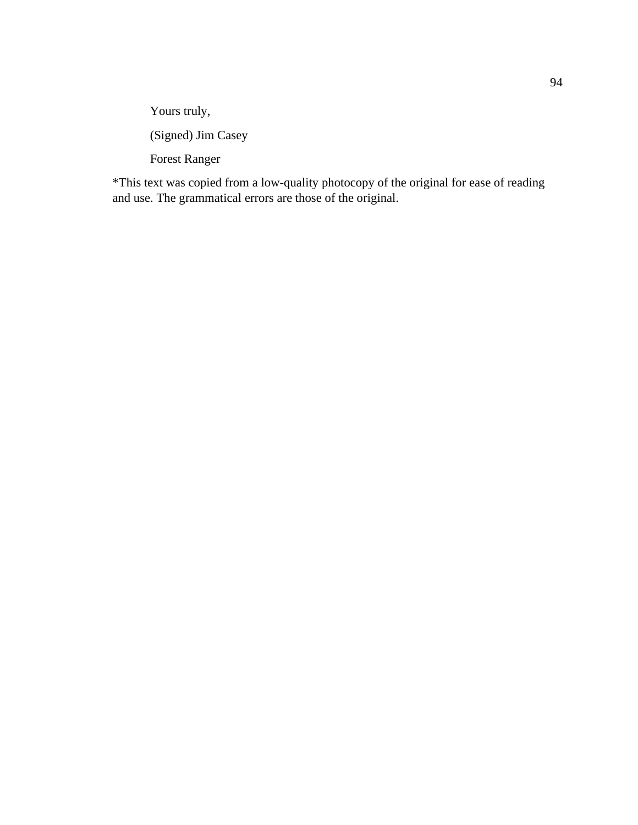Yours truly,

(Signed) Jim Casey

Forest Ranger

\*This text was copied from a low-quality photocopy of the original for ease of reading and use. The grammatical errors are those of the original.